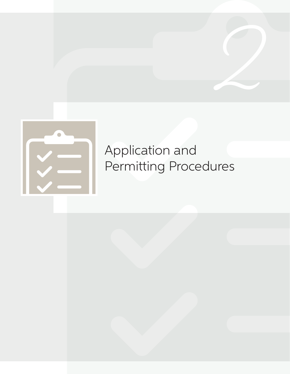

# Application and Permitting Procedures

**2**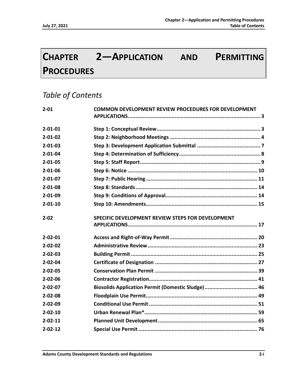# **CHAPTER 2—APPLICATION AND PERMITTING PROCEDURES**

# *Table of Contents*

| $2 - 01$      | COMMON DEVELOPMENT REVIEW PROCEDURES FOR DEVELOPMENT |
|---------------|------------------------------------------------------|
|               |                                                      |
| $2 - 01 - 01$ |                                                      |
| $2 - 01 - 02$ |                                                      |
| $2 - 01 - 03$ |                                                      |
| $2 - 01 - 04$ |                                                      |
| $2 - 01 - 05$ |                                                      |
| $2 - 01 - 06$ |                                                      |
| $2 - 01 - 07$ |                                                      |
| $2 - 01 - 08$ |                                                      |
| $2 - 01 - 09$ |                                                      |
| $2 - 01 - 10$ |                                                      |
| $2 - 02$      | SPECIFIC DEVELOPMENT REVIEW STEPS FOR DEVELOPMENT    |
| $2 - 02 - 01$ |                                                      |
| $2 - 02 - 02$ |                                                      |
| $2 - 02 - 03$ |                                                      |
| $2 - 02 - 04$ |                                                      |
| $2 - 02 - 05$ |                                                      |
| $2 - 02 - 06$ |                                                      |
| $2 - 02 - 07$ | Biosolids Application Permit (Domestic Sludge) 46    |
| $2 - 02 - 08$ |                                                      |
| $2 - 02 - 09$ |                                                      |
| $2 - 02 - 10$ |                                                      |
| $2 - 02 - 11$ |                                                      |
| $2 - 02 - 12$ |                                                      |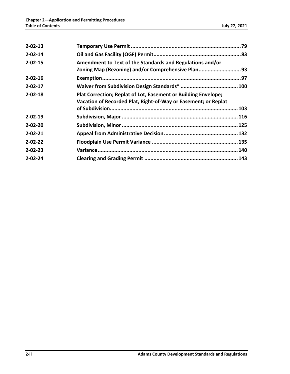| $2 - 02 - 13$ |                                                                                                                                  |  |
|---------------|----------------------------------------------------------------------------------------------------------------------------------|--|
| $2 - 02 - 14$ |                                                                                                                                  |  |
| $2 - 02 - 15$ | Amendment to Text of the Standards and Regulations and/or                                                                        |  |
|               | Zoning Map (Rezoning) and/or Comprehensive Plan93                                                                                |  |
| $2 - 02 - 16$ |                                                                                                                                  |  |
| $2 - 02 - 17$ |                                                                                                                                  |  |
| $2 - 02 - 18$ | Plat Correction; Replat of Lot, Easement or Building Envelope;<br>Vacation of Recorded Plat, Right-of-Way or Easement; or Replat |  |
|               |                                                                                                                                  |  |
| $2 - 02 - 19$ |                                                                                                                                  |  |
| $2 - 02 - 20$ |                                                                                                                                  |  |
| $2 - 02 - 21$ |                                                                                                                                  |  |
| $2 - 02 - 22$ |                                                                                                                                  |  |
| $2 - 02 - 23$ |                                                                                                                                  |  |
| $2 - 02 - 24$ |                                                                                                                                  |  |
|               |                                                                                                                                  |  |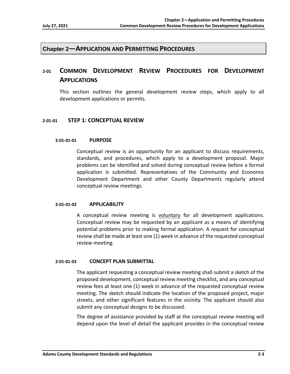# **Chapter 2—APPLICATION AND PERMITTING PROCEDURES**

# **2‐01 COMMON DEVELOPMENT REVIEW PROCEDURES FOR DEVELOPMENT APPLICATIONS**

This section outlines the general development review steps, which apply to all development applications or permits.

#### **2‐01‐01 STEP 1: CONCEPTUAL REVIEW**

#### **2‐01‐01‐01 PURPOSE**

Conceptual review is an opportunity for an applicant to discuss requirements, standards, and procedures, which apply to a development proposal. Major problems can be identified and solved during conceptual review before a formal application is submitted. Representatives of the Community and Economic Development Department and other County Departments regularly attend conceptual review meetings.

#### **2‐01‐01‐02 APPLICABILITY**

A conceptual review meeting is voluntary for all development applications. Conceptual review may be requested by an applicant as a means of identifying potential problems prior to making formal application. A request for conceptual review shall be made at least one (1) week in advance of the requested conceptual review meeting.

#### **2‐01‐01‐03 CONCEPT PLAN SUBMITTAL**

The applicant requesting a conceptual review meeting shall submit a sketch of the proposed development, conceptual review meeting checklist, and any conceptual review fees at least one (1) week in advance of the requested conceptual review meeting. The sketch should indicate the location of the proposed project, major streets, and other significant features in the vicinity. The applicant should also submit any conceptual designs to be discussed.

The degree of assistance provided by staff at the conceptual review meeting will depend upon the level of detail the applicant provides in the conceptual review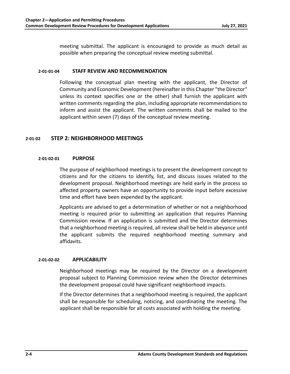meeting submittal. The applicant is encouraged to provide as much detail as possible when preparing the conceptual review meeting submittal.

#### **2‐01‐01‐04 STAFF REVIEW AND RECOMMENDATION**

Following the conceptual plan meeting with the applicant, the Director of Community and Economic Development (hereinafter in this Chapter "the Director" unless its context specifies one or the other) shall furnish the applicant with written comments regarding the plan, including appropriate recommendations to inform and assist the applicant. The written comments shall be mailed to the applicant within seven (7) days of the conceptual review meeting.

# **2‐01‐02 STEP 2: NEIGHBORHOOD MEETINGS**

#### **2‐01‐02‐01 PURPOSE**

The purpose of neighborhood meetings is to present the development concept to citizens and for the citizens to identify, list, and discuss issues related to the development proposal. Neighborhood meetings are held early in the process so affected property owners have an opportunity to provide input before excessive time and effort have been expended by the applicant.

Applicants are advised to get a determination of whether or not a neighborhood meeting is required prior to submitting an application that requires Planning Commission review. If an application is submitted and the Director determines that a neighborhood meeting is required, all review shall be held in abeyance until the applicant submits the required neighborhood meeting summary and affidavits.

# **2‐01‐02‐02 APPLICABILITY**

Neighborhood meetings may be required by the Director on a development proposal subject to Planning Commission review when the Director determines the development proposal could have significant neighborhood impacts.

If the Director determines that a neighborhood meeting is required, the applicant shall be responsible for scheduling, noticing, and coordinating the meeting. The applicant shall be responsible for all costs associated with holding the meeting.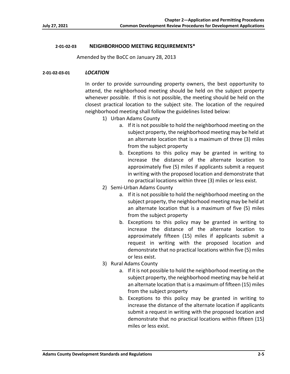# **2‐01‐02‐03 NEIGHBORHOOD MEETING REQUIREMENTS\***

Amended by the BoCC on January 28, 2013

# **2‐01‐02‐03‐01** *LOCATION*

In order to provide surrounding property owners, the best opportunity to attend, the neighborhood meeting should be held on the subject property whenever possible. If this is not possible, the meeting should be held on the closest practical location to the subject site. The location of the required neighborhood meeting shall follow the guidelines listed below:

- 1) Urban Adams County
	- a. If it is not possible to hold the neighborhood meeting on the subject property, the neighborhood meeting may be held at an alternate location that is a maximum of three (3) miles from the subject property
	- b. Exceptions to this policy may be granted in writing to increase the distance of the alternate location to approximately five (5) miles if applicants submit a request in writing with the proposed location and demonstrate that no practical locations within three (3) miles or less exist.
- 2) Semi‐Urban Adams County
	- a. If it is not possible to hold the neighborhood meeting on the subject property, the neighborhood meeting may be held at an alternate location that is a maximum of five (5) miles from the subject property
	- b. Exceptions to this policy may be granted in writing to increase the distance of the alternate location to approximately fifteen (15) miles if applicants submit a request in writing with the proposed location and demonstrate that no practical locations within five (5) miles or less exist.
- 3) Rural Adams County
	- a. If it is not possible to hold the neighborhood meeting on the subject property, the neighborhood meeting may be held at an alternate location that is a maximum of fifteen (15) miles from the subject property
	- b. Exceptions to this policy may be granted in writing to increase the distance of the alternate location if applicants submit a request in writing with the proposed location and demonstrate that no practical locations within fifteen (15) miles or less exist.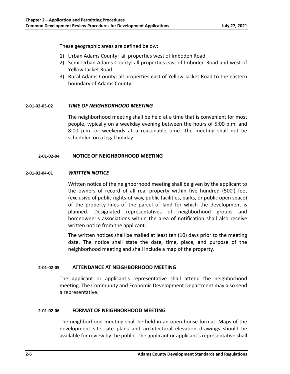These geographic areas are defined below:

- 1) Urban Adams County: all properties west of Imboden Road
- 2) Semi-Urban Adams County: all properties east of Imboden Road and west of Yellow Jacket Road
- 3) Rural Adams County: all properties east of Yellow Jacket Road to the eastern boundary of Adams County

# **2‐01‐02‐03‐02** *TIME OF NEIGHBORHOOD MEETING*

The neighborhood meeting shall be held at a time that is convenient for most people, typically on a weekday evening between the hours of 5:00 p.m. and 8:00 p.m. or weekends at a reasonable time. The meeting shall not be scheduled on a legal holiday.

# **2‐01‐02‐04 NOTICE OF NEIGHBORHOOD MEETING**

# **2‐01‐02‐04‐01** *WRITTEN NOTICE*

Written notice of the neighborhood meeting shall be given by the applicant to the owners of record of all real property within five hundred (500') feet (exclusive of public rights‐of‐way, public facilities, parks, or public open space) of the property lines of the parcel of land for which the development is planned. Designated representatives of neighborhood groups and homeowner's associations within the area of notification shall also receive written notice from the applicant.

The written notices shall be mailed at least ten (10) days prior to the meeting date. The notice shall state the date, time, place, and purpose of the neighborhood meeting and shall include a map of the property.

# **2‐01‐02‐05 ATTENDANCE AT NEIGHBORHOOD MEETING**

The applicant or applicant's representative shall attend the neighborhood meeting. The Community and Economic Development Department may also send a representative.

# **2‐01‐02‐06 FORMAT OF NEIGHBORHOOD MEETING**

The neighborhood meeting shall be held in an open house format. Maps of the development site, site plans and architectural elevation drawings should be available for review by the public. The applicant or applicant's representative shall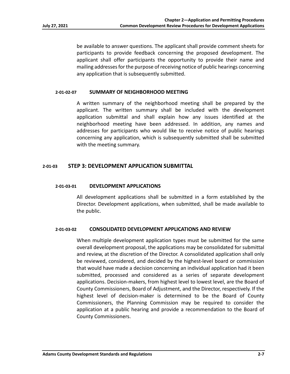be available to answer questions. The applicant shall provide comment sheets for participants to provide feedback concerning the proposed development. The applicant shall offer participants the opportunity to provide their name and mailing addresses for the purpose of receiving notice of public hearings concerning any application that is subsequently submitted.

#### **2‐01‐02‐07 SUMMARY OF NEIGHBORHOOD MEETING**

A written summary of the neighborhood meeting shall be prepared by the applicant. The written summary shall be included with the development application submittal and shall explain how any issues identified at the neighborhood meeting have been addressed. In addition, any names and addresses for participants who would like to receive notice of public hearings concerning any application, which is subsequently submitted shall be submitted with the meeting summary.

# **2‐01‐03 STEP 3: DEVELOPMENT APPLICATION SUBMITTAL**

#### **2‐01‐03‐01 DEVELOPMENT APPLICATIONS**

All development applications shall be submitted in a form established by the Director. Development applications, when submitted, shall be made available to the public.

#### **2‐01‐03‐02 CONSOLIDATED DEVELOPMENT APPLICATIONS AND REVIEW**

When multiple development application types must be submitted for the same overall development proposal, the applications may be consolidated for submittal and review, at the discretion of the Director. A consolidated application shall only be reviewed, considered, and decided by the highest‐level board or commission that would have made a decision concerning an individual application had it been submitted, processed and considered as a series of separate development applications. Decision‐makers, from highest level to lowest level, are the Board of County Commissioners, Board of Adjustment, and the Director, respectively. If the highest level of decision-maker is determined to be the Board of County Commissioners, the Planning Commission may be required to consider the application at a public hearing and provide a recommendation to the Board of County Commissioners.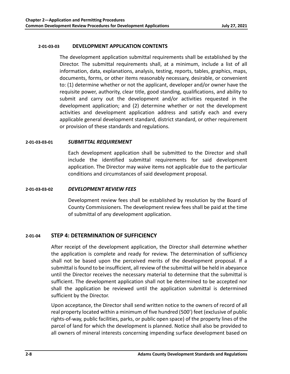# **2‐01‐03‐03 DEVELOPMENT APPLICATION CONTENTS**

The development application submittal requirements shall be established by the Director. The submittal requirements shall, at a minimum, include a list of all information, data, explanations, analysis, testing, reports, tables, graphics, maps, documents, forms, or other items reasonably necessary, desirable, or convenient to: (1) determine whether or not the applicant, developer and/or owner have the requisite power, authority, clear title, good standing, qualifications, and ability to submit and carry out the development and/or activities requested in the development application; and (2) determine whether or not the development activities and development application address and satisfy each and every applicable general development standard, district standard, or other requirement or provision of these standards and regulations.

#### **2‐01‐03‐03‐01** *SUBMITTAL REQUIREMENT*

Each development application shall be submitted to the Director and shall include the identified submittal requirements for said development application. The Director may waive items not applicable due to the particular conditions and circumstances of said development proposal.

#### **2‐01‐03‐03‐02** *DEVELOPMENT REVIEW FEES*

Development review fees shall be established by resolution by the Board of County Commissioners. The development review fees shall be paid at the time of submittal of any development application.

# **2‐01‐04 STEP 4: DETERMINATION OF SUFFICIENCY**

After receipt of the development application, the Director shall determine whether the application is complete and ready for review. The determination of sufficiency shall not be based upon the perceived merits of the development proposal. If a submittal is found to be insufficient, all review of the submittal will be held in abeyance until the Director receives the necessary material to determine that the submittal is sufficient. The development application shall not be determined to be accepted nor shall the application be reviewed until the application submittal is determined sufficient by the Director.

Upon acceptance, the Director shall send written notice to the owners of record of all real property located within a minimum of five hundred (500') feet (exclusive of public rights‐of‐way, public facilities, parks, or public open space) of the property lines of the parcel of land for which the development is planned. Notice shall also be provided to all owners of mineral interests concerning impending surface development based on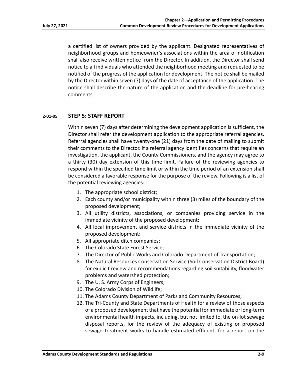a certified list of owners provided by the applicant. Designated representatives of neighborhood groups and homeowner's associations within the area of notification shall also receive written notice from the Director. In addition, the Director shall send notice to all individuals who attended the neighborhood meeting and requested to be notified of the progress of the application for development. The notice shall be mailed by the Director within seven (7) days of the date of acceptance of the application. The notice shall describe the nature of the application and the deadline for pre‐hearing comments.

# **2‐01‐05 STEP 5: STAFF REPORT**

Within seven (7) days after determining the development application is sufficient, the Director shall refer the development application to the appropriate referral agencies. Referral agencies shall have twenty‐one (21) days from the date of mailing to submit their comments to the Director. If a referral agency identifies concerns that require an investigation, the applicant, the County Commissioners, and the agency may agree to a thirty (30) day extension of this time limit. Failure of the reviewing agencies to respond within the specified time limit or within the time period of an extension shall be considered a favorable response for the purpose of the review. Following is a list of the potential reviewing agencies:

- 1. The appropriate school district;
- 2. Each county and/or municipality within three (3) miles of the boundary of the proposed development;
- 3. All utility districts, associations, or companies providing service in the immediate vicinity of the proposed development;
- 4. All local improvement and service districts in the immediate vicinity of the proposed development;
- 5. All appropriate ditch companies;
- 6. The Colorado State Forest Service;
- 7. The Director of Public Works and Colorado Department of Transportation;
- 8. The Natural Resources Conservation Service (Soil Conservation District Board) for explicit review and recommendations regarding soil suitability, floodwater problems and watershed protection;
- 9. The U. S. Army Corps of Engineers;
- 10. The Colorado Division of Wildlife;
- 11. The Adams County Department of Parks and Community Resources;
- 12. The Tri-County and State Departments of Health for a review of those aspects of a proposed development that have the potential for immediate or long‐term environmental health impacts, including, but not limited to, the on‐lot sewage disposal reports, for the review of the adequacy of existing or proposed sewage treatment works to handle estimated effluent, for a report on the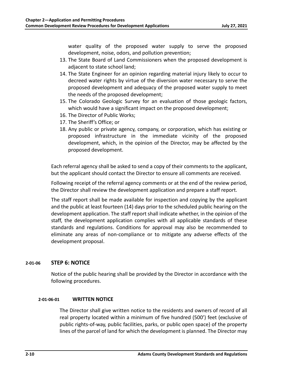water quality of the proposed water supply to serve the proposed development, noise, odors, and pollution prevention;

- 13. The State Board of Land Commissioners when the proposed development is adjacent to state school land;
- 14. The State Engineer for an opinion regarding material injury likely to occur to decreed water rights by virtue of the diversion water necessary to serve the proposed development and adequacy of the proposed water supply to meet the needs of the proposed development;
- 15. The Colorado Geologic Survey for an evaluation of those geologic factors, which would have a significant impact on the proposed development;
- 16. The Director of Public Works;
- 17. The Sheriff's Office; or
- 18. Any public or private agency, company, or corporation, which has existing or proposed infrastructure in the immediate vicinity of the proposed development, which, in the opinion of the Director, may be affected by the proposed development.

Each referral agency shall be asked to send a copy of their comments to the applicant, but the applicant should contact the Director to ensure all comments are received.

Following receipt of the referral agency comments or at the end of the review period, the Director shall review the development application and prepare a staff report.

The staff report shall be made available for inspection and copying by the applicant and the public at least fourteen (14) days prior to the scheduled public hearing on the development application. The staff report shall indicate whether, in the opinion of the staff, the development application complies with all applicable standards of these standards and regulations. Conditions for approval may also be recommended to eliminate any areas of non‐compliance or to mitigate any adverse effects of the development proposal.

# **2‐01‐06 STEP 6: NOTICE**

Notice of the public hearing shall be provided by the Director in accordance with the following procedures.

# **2‐01‐06‐01 WRITTEN NOTICE**

The Director shall give written notice to the residents and owners of record of all real property located within a minimum of five hundred (500') feet (exclusive of public rights‐of‐way, public facilities, parks, or public open space) of the property lines of the parcel of land for which the development is planned. The Director may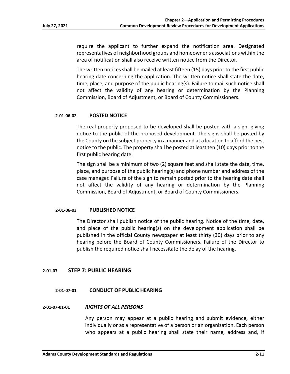require the applicant to further expand the notification area. Designated representatives of neighborhood groups and homeowner's associations within the area of notification shall also receive written notice from the Director.

The written notices shall be mailed at least fifteen (15) days prior to the first public hearing date concerning the application. The written notice shall state the date, time, place, and purpose of the public hearing(s). Failure to mail such notice shall not affect the validity of any hearing or determination by the Planning Commission, Board of Adjustment, or Board of County Commissioners.

# **2‐01‐06‐02 POSTED NOTICE**

The real property proposed to be developed shall be posted with a sign, giving notice to the public of the proposed development. The signs shall be posted by the County on the subject property in a manner and at a location to afford the best notice to the public. The property shall be posted at least ten (10) days prior to the first public hearing date.

The sign shall be a minimum of two (2) square feet and shall state the date, time, place, and purpose of the public hearing(s) and phone number and address of the case manager. Failure of the sign to remain posted prior to the hearing date shall not affect the validity of any hearing or determination by the Planning Commission, Board of Adjustment, or Board of County Commissioners.

#### **2‐01‐06‐03 PUBLISHED NOTICE**

The Director shall publish notice of the public hearing. Notice of the time, date, and place of the public hearing(s) on the development application shall be published in the official County newspaper at least thirty (30) days prior to any hearing before the Board of County Commissioners. Failure of the Director to publish the required notice shall necessitate the delay of the hearing.

# **2‐01‐07 STEP 7: PUBLIC HEARING**

#### **2‐01‐07‐01 CONDUCT OF PUBLIC HEARING**

#### **2‐01‐07‐01‐01** *RIGHTS OF ALL PERSONS*

Any person may appear at a public hearing and submit evidence, either individually or as a representative of a person or an organization. Each person who appears at a public hearing shall state their name, address and, if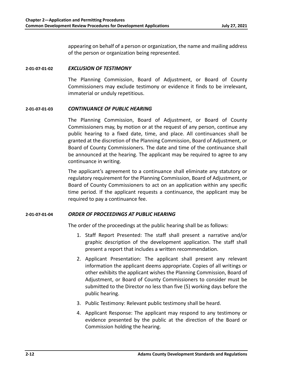appearing on behalf of a person or organization, the name and mailing address of the person or organization being represented.

# **2‐01‐07‐01‐02** *EXCLUSION OF TESTIMONY*

The Planning Commission, Board of Adjustment, or Board of County Commissioners may exclude testimony or evidence it finds to be irrelevant, immaterial or unduly repetitious.

# **2‐01‐07‐01‐03** *CONTINUANCE OF PUBLIC HEARING*

The Planning Commission, Board of Adjustment, or Board of County Commissioners may, by motion or at the request of any person, continue any public hearing to a fixed date, time, and place. All continuances shall be granted at the discretion of the Planning Commission, Board of Adjustment, or Board of County Commissioners. The date and time of the continuance shall be announced at the hearing. The applicant may be required to agree to any continuance in writing.

The applicant's agreement to a continuance shall eliminate any statutory or regulatory requirement for the Planning Commission, Board of Adjustment, or Board of County Commissioners to act on an application within any specific time period. If the applicant requests a continuance, the applicant may be required to pay a continuance fee.

# **2‐01‐07‐01‐04** *ORDER OF PROCEEDINGS AT PUBLIC HEARING*

The order of the proceedings at the public hearing shall be as follows:

- 1. Staff Report Presented: The staff shall present a narrative and/or graphic description of the development application. The staff shall present a report that includes a written recommendation.
- 2. Applicant Presentation: The applicant shall present any relevant information the applicant deems appropriate. Copies of all writings or other exhibits the applicant wishes the Planning Commission, Board of Adjustment, or Board of County Commissioners to consider must be submitted to the Director no less than five (5) working days before the public hearing.
- 3. Public Testimony: Relevant public testimony shall be heard.
- 4. Applicant Response: The applicant may respond to any testimony or evidence presented by the public at the direction of the Board or Commission holding the hearing.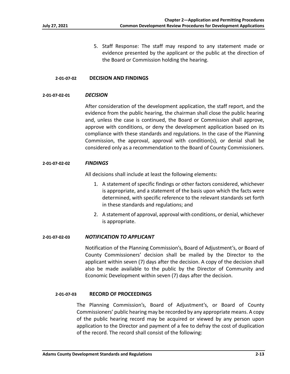5. Staff Response: The staff may respond to any statement made or evidence presented by the applicant or the public at the direction of the Board or Commission holding the hearing.

# **2‐01‐07‐02 DECISION AND FINDINGS**

#### **2‐01‐07‐02‐01** *DECISION*

After consideration of the development application, the staff report, and the evidence from the public hearing, the chairman shall close the public hearing and, unless the case is continued, the Board or Commission shall approve, approve with conditions, or deny the development application based on its compliance with these standards and regulations. In the case of the Planning Commission, the approval, approval with condition(s), or denial shall be considered only as a recommendation to the Board of County Commissioners.

#### **2‐01‐07‐02‐02** *FINDINGS*

All decisions shall include at least the following elements:

- 1. A statement of specific findings or other factors considered, whichever is appropriate, and a statement of the basis upon which the facts were determined, with specific reference to the relevant standards set forth in these standards and regulations; and
- 2. A statement of approval, approval with conditions, or denial, whichever is appropriate.

#### **2‐01‐07‐02‐03** *NOTIFICATION TO APPLICANT*

Notification of the Planning Commission's, Board of Adjustment's, or Board of County Commissioners' decision shall be mailed by the Director to the applicant within seven (7) days after the decision. A copy of the decision shall also be made available to the public by the Director of Community and Economic Development within seven (7) days after the decision.

# **2‐01‐07‐03 RECORD OF PROCEEDINGS**

The Planning Commission's, Board of Adjustment's, or Board of County Commissioners' public hearing may be recorded by any appropriate means. A copy of the public hearing record may be acquired or viewed by any person upon application to the Director and payment of a fee to defray the cost of duplication of the record. The record shall consist of the following: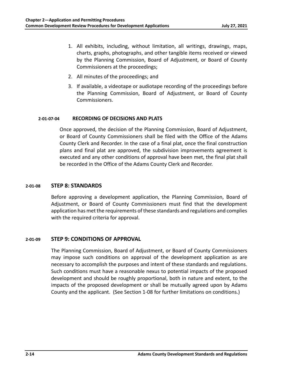- 1. All exhibits, including, without limitation, all writings, drawings, maps, charts, graphs, photographs, and other tangible items received or viewed by the Planning Commission, Board of Adjustment, or Board of County Commissioners at the proceedings;
- 2. All minutes of the proceedings; and
- 3. If available, a videotape or audiotape recording of the proceedings before the Planning Commission, Board of Adjustment, or Board of County Commissioners.

# **2‐01‐07‐04 RECORDING OF DECISIONS AND PLATS**

Once approved, the decision of the Planning Commission, Board of Adjustment, or Board of County Commissioners shall be filed with the Office of the Adams County Clerk and Recorder. In the case of a final plat, once the final construction plans and final plat are approved, the subdivision improvements agreement is executed and any other conditions of approval have been met, the final plat shall be recorded in the Office of the Adams County Clerk and Recorder.

# **2‐01‐08 STEP 8: STANDARDS**

Before approving a development application, the Planning Commission, Board of Adjustment, or Board of County Commissioners must find that the development application has met the requirements of these standards and regulations and complies with the required criteria for approval.

# **2‐01‐09 STEP 9: CONDITIONS OF APPROVAL**

The Planning Commission, Board of Adjustment, or Board of County Commissioners may impose such conditions on approval of the development application as are necessary to accomplish the purposes and intent of these standards and regulations. Such conditions must have a reasonable nexus to potential impacts of the proposed development and should be roughly proportional, both in nature and extent, to the impacts of the proposed development or shall be mutually agreed upon by Adams County and the applicant. (See Section 1‐08 for further limitations on conditions.)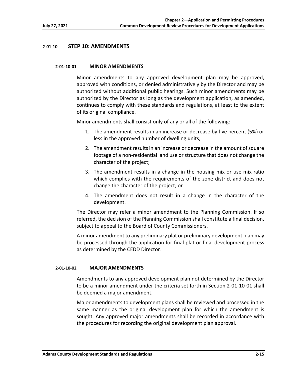# **2‐01‐10 STEP 10: AMENDMENTS**

#### **2‐01‐10‐01 MINOR AMENDMENTS**

Minor amendments to any approved development plan may be approved, approved with conditions, or denied administratively by the Director and may be authorized without additional public hearings. Such minor amendments may be authorized by the Director as long as the development application, as amended, continues to comply with these standards and regulations, at least to the extent of its original compliance.

Minor amendments shall consist only of any or all of the following:

- 1. The amendment results in an increase or decrease by five percent (5%) or less in the approved number of dwelling units;
- 2. The amendment results in an increase or decrease in the amount of square footage of a non‐residential land use or structure that does not change the character of the project;
- 3. The amendment results in a change in the housing mix or use mix ratio which complies with the requirements of the zone district and does not change the character of the project; or
- 4. The amendment does not result in a change in the character of the development.

The Director may refer a minor amendment to the Planning Commission. If so referred, the decision of the Planning Commission shall constitute a final decision, subject to appeal to the Board of County Commissioners.

A minor amendment to any preliminary plat or preliminary development plan may be processed through the application for final plat or final development process as determined by the CEDD Director.

#### **2‐01‐10‐02 MAJOR AMENDMENTS**

Amendments to any approved development plan not determined by the Director to be a minor amendment under the criteria set forth in Section 2‐01‐10‐01 shall be deemed a major amendment.

Major amendments to development plans shall be reviewed and processed in the same manner as the original development plan for which the amendment is sought. Any approved major amendments shall be recorded in accordance with the procedures for recording the original development plan approval.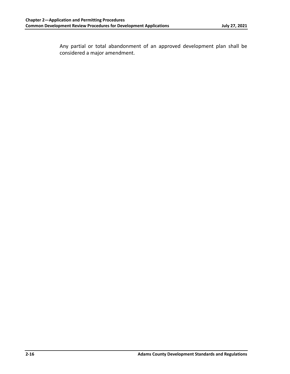Any partial or total abandonment of an approved development plan shall be considered a major amendment.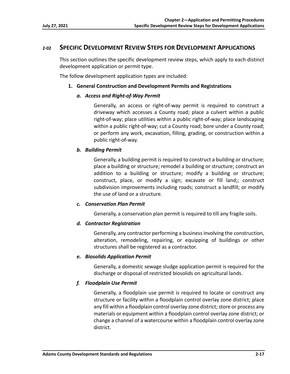# **2‐02 SPECIFIC DEVELOPMENT REVIEW STEPS FOR DEVELOPMENT APPLICATIONS**

This section outlines the specific development review steps, which apply to each distinct development application or permit type.

The follow development application types are included:

# **1. General Construction and Development Permits and Registrations**

# *a. Access and Right‐of‐Way Permit*

Generally, an access or right‐of‐way permit is required to construct a driveway which accesses a County road; place a culvert within a public right‐of‐way; place utilities within a public right‐of‐way; place landscaping within a public right-of-way; cut a County road; bore under a County road; or perform any work, excavation, filling, grading, or construction within a public right‐of‐way.

# *b. Building Permit*

Generally, a building permit is required to construct a building or structure; place a building or structure; remodel a building or structure; construct an addition to a building or structure; modify a building or structure; construct, place, or modify a sign; excavate or fill land;; construct subdivision improvements including roads; construct a landfill; or modify the use of land or a structure.

# *c. Conservation Plan Permit*

Generally, a conservation plan permit is required to till any fragile soils.

# *d. Contractor Registration*

Generally, any contractor performing a business involving the construction, alteration, remodeling, repairing, or equipping of buildings or other structures shall be registered as a contractor.

# *e. Biosolids Application Permit*

Generally, a domestic sewage sludge application permit is required for the discharge or disposal of restricted biosolids on agricultural lands.

# *f. Floodplain Use Permit*

Generally, a floodplain use permit is required to locate or construct any structure or facility within a floodplain control overlay zone district; place any fill within a floodplain control overlay zone district; store or process any materials or equipment within a floodplain control overlay zone district; or change a channel of a watercourse within a floodplain control overlay zone district.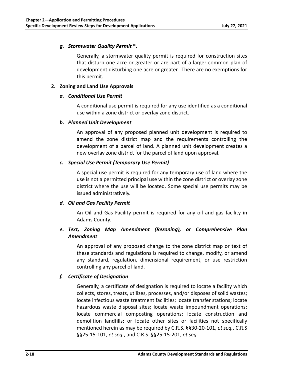# *g. Stormwater Quality Permit* **\*.**

Generally, a stormwater quality permit is required for construction sites that disturb one acre or greater or are part of a larger common plan of development disturbing one acre or greater. There are no exemptions for this permit.

# **2. Zoning and Land Use Approvals**

# *a. Conditional Use Permit*

A conditional use permit is required for any use identified as a conditional use within a zone district or overlay zone district.

# *b. Planned Unit Development*

An approval of any proposed planned unit development is required to amend the zone district map and the requirements controlling the development of a parcel of land. A planned unit development creates a new overlay zone district for the parcel of land upon approval.

# *c. Special Use Permit (Temporary Use Permit)*

A special use permit is required for any temporary use of land where the use is not a permitted principal use within the zone district or overlay zone district where the use will be located. Some special use permits may be issued administratively.

# *d. Oil and Gas Facility Permit*

An Oil and Gas Facility permit is required for any oil and gas facility in Adams County.

# *e. Text, Zoning Map Amendment (Rezoning), or Comprehensive Plan Amendment*

An approval of any proposed change to the zone district map or text of these standards and regulations is required to change, modify, or amend any standard, regulation, dimensional requirement, or use restriction controlling any parcel of land.

# *f. Certificate of Designation*

Generally, a certificate of designation is required to locate a facility which collects, stores, treats, utilizes, processes, and/or disposes of solid wastes; locate infectious waste treatment facilities; locate transfer stations; locate hazardous waste disposal sites; locate waste impoundment operations; locate commercial composting operations; locate construction and demolition landfills; or locate other sites or facilities not specifically mentioned herein as may be required by C.R.S. §§30‐20‐101, *et seq.*, C.R.S §§25‐15‐101, *et seq.*, and C.R.S. §§25‐15‐201, *et seq.*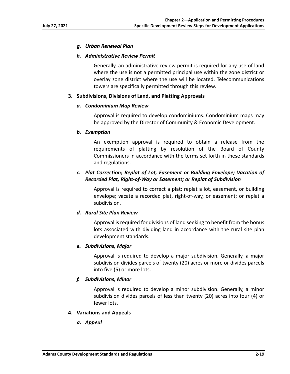# *g. Urban Renewal Plan*

# *h. Administrative Review Permit*

Generally, an administrative review permit is required for any use of land where the use is not a permitted principal use within the zone district or overlay zone district where the use will be located. Telecommunications towers are specifically permitted through this review.

# **3. Subdivisions, Divisions of Land, and Platting Approvals**

# *a. Condominium Map Review*

Approval is required to develop condominiums. Condominium maps may be approved by the Director of Community & Economic Development.

# *b. Exemption*

An exemption approval is required to obtain a release from the requirements of platting by resolution of the Board of County Commissioners in accordance with the terms set forth in these standards and regulations.

# *c. Plat Correction; Replat of Lot, Easement or Building Envelope; Vacation of Recorded Plat, Right‐of‐Way or Easement; or Replat of Subdivision*

Approval is required to correct a plat; replat a lot, easement, or building envelope; vacate a recorded plat, right‐of‐way, or easement; or replat a subdivision.

# *d. Rural Site Plan Review*

Approval is required for divisions of land seeking to benefit from the bonus lots associated with dividing land in accordance with the rural site plan development standards.

# *e. Subdivisions, Major*

Approval is required to develop a major subdivision. Generally, a major subdivision divides parcels of twenty (20) acres or more or divides parcels into five (5) or more lots.

# *f. Subdivisions, Minor*

Approval is required to develop a minor subdivision. Generally, a minor subdivision divides parcels of less than twenty (20) acres into four (4) or fewer lots.

# **4. Variations and Appeals**

*a. Appeal*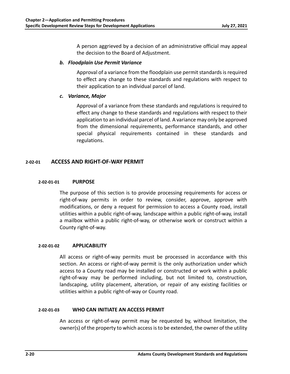A person aggrieved by a decision of an administrative official may appeal the decision to the Board of Adjustment.

# *b. Floodplain Use Permit Variance*

Approval of a variance from the floodplain use permit standards is required to effect any change to these standards and regulations with respect to their application to an individual parcel of land.

# *c. Variance, Major*

Approval of a variance from these standards and regulations is required to effect any change to these standards and regulations with respect to their application to an individual parcel of land. A variance may only be approved from the dimensional requirements, performance standards, and other special physical requirements contained in these standards and regulations.

# **2‐02‐01 ACCESS AND RIGHT‐OF‐WAY PERMIT**

# **2‐02‐01‐01 PURPOSE**

The purpose of this section is to provide processing requirements for access or right-of-way permits in order to review, consider, approve, approve with modifications, or deny a request for permission to access a County road, install utilities within a public right‐of‐way, landscape within a public right‐of‐way, install a mailbox within a public right‐of‐way, or otherwise work or construct within a County right‐of‐way.

# **2‐02‐01‐02 APPLICABILITY**

All access or right-of-way permits must be processed in accordance with this section. An access or right‐of‐way permit is the only authorization under which access to a County road may be installed or constructed or work within a public right-of-way may be performed including, but not limited to, construction, landscaping, utility placement, alteration, or repair of any existing facilities or utilities within a public right‐of‐way or County road.

# **2‐02‐01‐03 WHO CAN INITIATE AN ACCESS PERMIT**

An access or right-of-way permit may be requested by, without limitation, the owner(s) of the property to which access is to be extended, the owner of the utility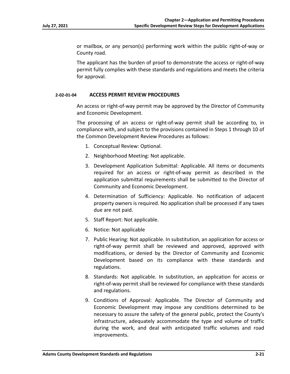or mailbox, or any person(s) performing work within the public right‐of‐way or County road.

The applicant has the burden of proof to demonstrate the access or right‐of‐way permit fully complies with these standards and regulations and meets the criteria for approval.

# **2‐02‐01‐04 ACCESS PERMIT REVIEW PROCEDURES**

An access or right‐of‐way permit may be approved by the Director of Community and Economic Development.

The processing of an access or right-of-way permit shall be according to, in compliance with, and subject to the provisions contained in Steps 1 through 10 of the Common Development Review Procedures as follows:

- 1. Conceptual Review: Optional.
- 2. Neighborhood Meeting: Not applicable.
- 3. Development Application Submittal: Applicable. All items or documents required for an access or right‐of‐way permit as described in the application submittal requirements shall be submitted to the Director of Community and Economic Development.
- 4. Determination of Sufficiency: Applicable. No notification of adjacent property owners is required. No application shall be processed if any taxes due are not paid.
- 5. Staff Report: Not applicable.
- 6. Notice: Not applicable
- 7. Public Hearing: Not applicable. In substitution, an application for access or right‐of‐way permit shall be reviewed and approved, approved with modifications, or denied by the Director of Community and Economic Development based on its compliance with these standards and regulations.
- 8. Standards: Not applicable. In substitution, an application for access or right‐of‐way permit shall be reviewed for compliance with these standards and regulations.
- 9. Conditions of Approval: Applicable. The Director of Community and Economic Development may impose any conditions determined to be necessary to assure the safety of the general public, protect the County's infrastructure, adequately accommodate the type and volume of traffic during the work, and deal with anticipated traffic volumes and road improvements.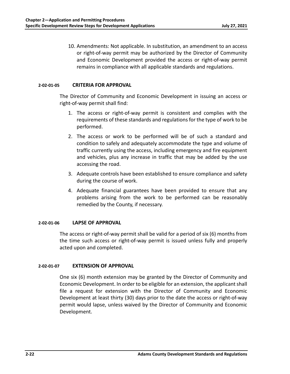10. Amendments: Not applicable. In substitution, an amendment to an access or right‐of‐way permit may be authorized by the Director of Community and Economic Development provided the access or right‐of‐way permit remains in compliance with all applicable standards and regulations.

#### **2‐02‐01‐05 CRITERIA FOR APPROVAL**

The Director of Community and Economic Development in issuing an access or right‐of‐way permit shall find:

- 1. The access or right‐of‐way permit is consistent and complies with the requirements of these standards and regulations for the type of work to be performed.
- 2. The access or work to be performed will be of such a standard and condition to safely and adequately accommodate the type and volume of traffic currently using the access, including emergency and fire equipment and vehicles, plus any increase in traffic that may be added by the use accessing the road.
- 3. Adequate controls have been established to ensure compliance and safety during the course of work.
- 4. Adequate financial guarantees have been provided to ensure that any problems arising from the work to be performed can be reasonably remedied by the County, if necessary.

# **2‐02‐01‐06 LAPSE OF APPROVAL**

The access or right-of-way permit shall be valid for a period of six (6) months from the time such access or right‐of‐way permit is issued unless fully and properly acted upon and completed.

# **2‐02‐01‐07 EXTENSION OF APPROVAL**

One six (6) month extension may be granted by the Director of Community and Economic Development. In order to be eligible for an extension, the applicant shall file a request for extension with the Director of Community and Economic Development at least thirty (30) days prior to the date the access or right‐of‐way permit would lapse, unless waived by the Director of Community and Economic Development.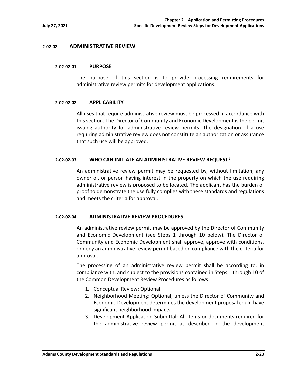# **2‐02‐02 ADMINISTRATIVE REVIEW**

#### **2‐02‐02‐01 PURPOSE**

The purpose of this section is to provide processing requirements for administrative review permits for development applications.

#### **2‐02‐02‐02 APPLICABILITY**

All uses that require administrative review must be processed in accordance with this section. The Director of Community and Economic Development is the permit issuing authority for administrative review permits. The designation of a use requiring administrative review does not constitute an authorization or assurance that such use will be approved.

# **2‐02‐02‐03 WHO CAN INITIATE AN ADMINISTRATIVE REVIEW REQUEST?**

An administrative review permit may be requested by, without limitation, any owner of, or person having interest in the property on which the use requiring administrative review is proposed to be located. The applicant has the burden of proof to demonstrate the use fully complies with these standards and regulations and meets the criteria for approval.

# **2‐02‐02‐04 ADMINISTRATIVE REVIEW PROCEDURES**

An administrative review permit may be approved by the Director of Community and Economic Development (see Steps 1 through 10 below). The Director of Community and Economic Development shall approve, approve with conditions, or deny an administrative review permit based on compliance with the criteria for approval.

The processing of an administrative review permit shall be according to, in compliance with, and subject to the provisions contained in Steps 1 through 10 of the Common Development Review Procedures as follows:

- 1. Conceptual Review: Optional.
- 2. Neighborhood Meeting: Optional, unless the Director of Community and Economic Development determines the development proposal could have significant neighborhood impacts.
- 3. Development Application Submittal: All items or documents required for the administrative review permit as described in the development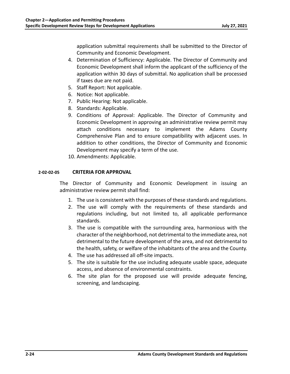application submittal requirements shall be submitted to the Director of Community and Economic Development.

- 4. Determination of Sufficiency: Applicable. The Director of Community and Economic Development shall inform the applicant of the sufficiency of the application within 30 days of submittal. No application shall be processed if taxes due are not paid.
- 5. Staff Report: Not applicable.
- 6. Notice: Not applicable.
- 7. Public Hearing: Not applicable.
- 8. Standards: Applicable.
- 9. Conditions of Approval: Applicable. The Director of Community and Economic Development in approving an administrative review permit may attach conditions necessary to implement the Adams County Comprehensive Plan and to ensure compatibility with adjacent uses. In addition to other conditions, the Director of Community and Economic Development may specify a term of the use.
- 10. Amendments: Applicable.

# **2‐02‐02‐05 CRITERIA FOR APPROVAL**

The Director of Community and Economic Development in issuing an administrative review permit shall find:

- 1. The use is consistent with the purposes of these standards and regulations.
- 2. The use will comply with the requirements of these standards and regulations including, but not limited to, all applicable performance standards.
- 3. The use is compatible with the surrounding area, harmonious with the character of the neighborhood, not detrimental to the immediate area, not detrimental to the future development of the area, and not detrimental to the health, safety, or welfare of the inhabitants of the area and the County.
- 4. The use has addressed all off‐site impacts.
- 5. The site is suitable for the use including adequate usable space, adequate access, and absence of environmental constraints.
- 6. The site plan for the proposed use will provide adequate fencing, screening, and landscaping.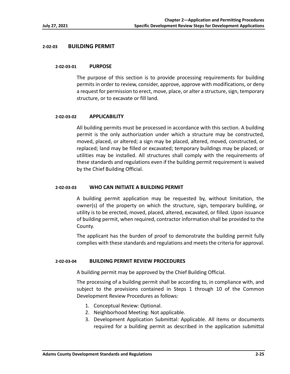# **2‐02‐03 BUILDING PERMIT**

#### **2‐02‐03‐01 PURPOSE**

The purpose of this section is to provide processing requirements for building permits in order to review, consider, approve, approve with modifications, or deny a request for permission to erect, move, place, or alter a structure, sign, temporary structure, or to excavate or fill land.

#### **2‐02‐03‐02 APPLICABILITY**

All building permits must be processed in accordance with this section. A building permit is the only authorization under which a structure may be constructed, moved, placed, or altered; a sign may be placed, altered, moved, constructed, or replaced; land may be filled or excavated; temporary buildings may be placed; or utilities may be installed. All structures shall comply with the requirements of these standards and regulations even if the building permit requirement is waived by the Chief Building Official.

# **2‐02‐03‐03 WHO CAN INITIATE A BUILDING PERMIT**

A building permit application may be requested by, without limitation, the owner(s) of the property on which the structure, sign, temporary building, or utility is to be erected, moved, placed, altered, excavated, or filled. Upon issuance of building permit, when required, contractor information shall be provided to the County.

The applicant has the burden of proof to demonstrate the building permit fully complies with these standards and regulations and meets the criteria for approval.

# **2‐02‐03‐04 BUILDING PERMIT REVIEW PROCEDURES**

A building permit may be approved by the Chief Building Official.

The processing of a building permit shall be according to, in compliance with, and subject to the provisions contained in Steps 1 through 10 of the Common Development Review Procedures as follows:

- 1. Conceptual Review: Optional.
- 2. Neighborhood Meeting: Not applicable.
- 3. Development Application Submittal: Applicable. All items or documents required for a building permit as described in the application submittal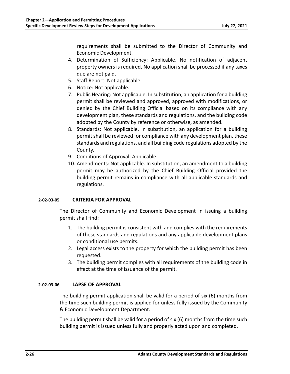requirements shall be submitted to the Director of Community and Economic Development.

- 4. Determination of Sufficiency: Applicable. No notification of adjacent property owners is required. No application shall be processed if any taxes due are not paid.
- 5. Staff Report: Not applicable.
- 6. Notice: Not applicable.
- 7. Public Hearing: Not applicable. In substitution, an application for a building permit shall be reviewed and approved, approved with modifications, or denied by the Chief Building Official based on its compliance with any development plan, these standards and regulations, and the building code adopted by the County by reference or otherwise, as amended.
- 8. Standards: Not applicable. In substitution, an application for a building permit shall be reviewed for compliance with any development plan, these standards and regulations, and all building code regulations adopted by the County.
- 9. Conditions of Approval: Applicable.
- 10. Amendments: Not applicable. In substitution, an amendment to a building permit may be authorized by the Chief Building Official provided the building permit remains in compliance with all applicable standards and regulations.

# **2‐02‐03‐05 CRITERIA FOR APPROVAL**

The Director of Community and Economic Development in issuing a building permit shall find:

- 1. The building permit is consistent with and complies with the requirements of these standards and regulations and any applicable development plans or conditional use permits.
- 2. Legal access exists to the property for which the building permit has been requested.
- 3. The building permit complies with all requirements of the building code in effect at the time of issuance of the permit.

# **2‐02‐03‐06 LAPSE OF APPROVAL**

The building permit application shall be valid for a period of six (6) months from the time such building permit is applied for unless fully issued by the Community & Economic Development Department.

The building permit shall be valid for a period of six (6) months from the time such building permit is issued unless fully and properly acted upon and completed.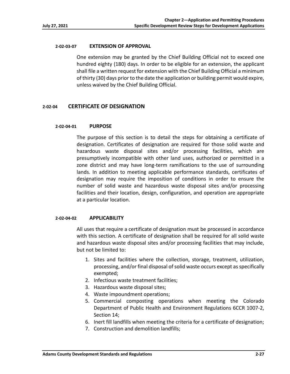# **2‐02‐03‐07 EXTENSION OF APPROVAL**

One extension may be granted by the Chief Building Official not to exceed one hundred eighty (180) days. In order to be eligible for an extension, the applicant shall file a written request for extension with the Chief Building Official a minimum of thirty (30) days prior to the date the application or building permit would expire, unless waived by the Chief Building Official.

# **2‐02‐04 CERTIFICATE OF DESIGNATION**

#### **2‐02‐04‐01 PURPOSE**

The purpose of this section is to detail the steps for obtaining a certificate of designation. Certificates of designation are required for those solid waste and hazardous waste disposal sites and/or processing facilities, which are presumptively incompatible with other land uses, authorized or permitted in a zone district and may have long-term ramifications to the use of surrounding lands. In addition to meeting applicable performance standards, certificates of designation may require the imposition of conditions in order to ensure the number of solid waste and hazardous waste disposal sites and/or processing facilities and their location, design, configuration, and operation are appropriate at a particular location.

# **2‐02‐04‐02 APPLICABILITY**

All uses that require a certificate of designation must be processed in accordance with this section. A certificate of designation shall be required for all solid waste and hazardous waste disposal sites and/or processing facilities that may include, but not be limited to:

- 1. Sites and facilities where the collection, storage, treatment, utilization, processing, and/or final disposal of solid waste occurs except as specifically exempted;
- 2. Infectious waste treatment facilities;
- 3. Hazardous waste disposal sites;
- 4. Waste impoundment operations;
- 5. Commercial composting operations when meeting the Colorado Department of Public Health and Environment Regulations 6CCR 1007‐2, Section 14;
- 6. Inert fill landfills when meeting the criteria for a certificate of designation;
- 7. Construction and demolition landfills;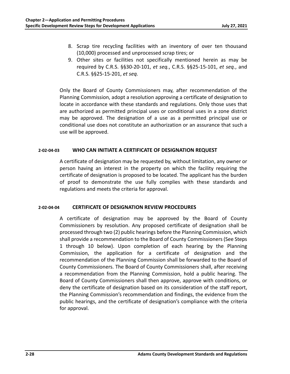- 8. Scrap tire recycling facilities with an inventory of over ten thousand (10,000) processed and unprocessed scrap tires; or
- 9. Other sites or facilities not specifically mentioned herein as may be required by C.R.S. §§30‐20‐101, *et seq.*, C.R.S. §§25‐15‐101, *et seq.*, and C.R.S. §§25‐15‐201, *et seq.*

Only the Board of County Commissioners may, after recommendation of the Planning Commission, adopt a resolution approving a certificate of designation to locate in accordance with these standards and regulations. Only those uses that are authorized as permitted principal uses or conditional uses in a zone district may be approved. The designation of a use as a permitted principal use or conditional use does not constitute an authorization or an assurance that such a use will be approved.

# **2‐02‐04‐03 WHO CAN INITIATE A CERTIFICATE OF DESIGNATION REQUEST**

A certificate of designation may be requested by, without limitation, any owner or person having an interest in the property on which the facility requiring the certificate of designation is proposed to be located. The applicant has the burden of proof to demonstrate the use fully complies with these standards and regulations and meets the criteria for approval.

# **2‐02‐04‐04 CERTIFICATE OF DESIGNATION REVIEW PROCEDURES**

A certificate of designation may be approved by the Board of County Commissioners by resolution. Any proposed certificate of designation shall be processed through two (2) public hearings before the Planning Commission, which shall provide a recommendation to the Board of County Commissioners (See Steps 1 through 10 below). Upon completion of each hearing by the Planning Commission, the application for a certificate of designation and the recommendation of the Planning Commission shall be forwarded to the Board of County Commissioners. The Board of County Commissioners shall, after receiving a recommendation from the Planning Commission, hold a public hearing. The Board of County Commissioners shall then approve, approve with conditions, or deny the certificate of designation based on its consideration of the staff report, the Planning Commission's recommendation and findings, the evidence from the public hearings, and the certificate of designation's compliance with the criteria for approval.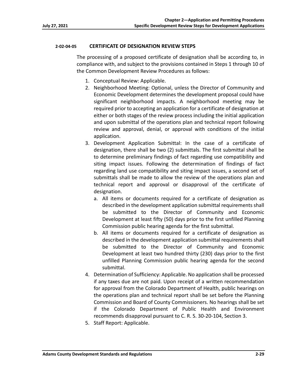# **2‐02‐04‐05 CERTIFICATE OF DESIGNATION REVIEW STEPS**

The processing of a proposed certificate of designation shall be according to, in compliance with, and subject to the provisions contained in Steps 1 through 10 of the Common Development Review Procedures as follows:

- 1. Conceptual Review: Applicable.
- 2. Neighborhood Meeting: Optional, unless the Director of Community and Economic Development determines the development proposal could have significant neighborhood impacts. A neighborhood meeting may be required prior to accepting an application for a certificate of designation at either or both stages of the review process including the initial application and upon submittal of the operations plan and technical report following review and approval, denial, or approval with conditions of the initial application.
- 3. Development Application Submittal: In the case of a certificate of designation, there shall be two (2) submittals. The first submittal shall be to determine preliminary findings of fact regarding use compatibility and siting impact issues. Following the determination of findings of fact regarding land use compatibility and siting impact issues, a second set of submittals shall be made to allow the review of the operations plan and technical report and approval or disapproval of the certificate of designation.
	- a. All items or documents required for a certificate of designation as described in the development application submittal requirements shall be submitted to the Director of Community and Economic Development at least fifty (50) days prior to the first unfilled Planning Commission public hearing agenda for the first submittal.
	- b. All items or documents required for a certificate of designation as described in the development application submittal requirements shall be submitted to the Director of Community and Economic Development at least two hundred thirty (230) days prior to the first unfilled Planning Commission public hearing agenda for the second submittal.
- 4. Determination of Sufficiency: Applicable. No application shall be processed if any taxes due are not paid. Upon receipt of a written recommendation for approval from the Colorado Department of Health, public hearings on the operations plan and technical report shall be set before the Planning Commission and Board of County Commissioners. No hearings shall be set if the Colorado Department of Public Health and Environment recommends disapproval pursuant to C. R. S. 30‐20‐104, Section 3.
- 5. Staff Report: Applicable.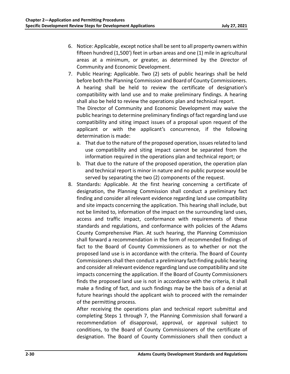- 6. Notice: Applicable, except notice shall be sent to all property owners within fifteen hundred (1,500') feet in urban areas and one (1) mile in agricultural areas at a minimum, or greater, as determined by the Director of Community and Economic Development.
- 7. Public Hearing: Applicable. Two (2) sets of public hearings shall be held before both the Planning Commission and Board of County Commissioners. A hearing shall be held to review the certificate of designation's compatibility with land use and to make preliminary findings. A hearing shall also be held to review the operations plan and technical report. The Director of Community and Economic Development may waive the public hearings to determine preliminary findings of fact regarding land use compatibility and siting impact issues of a proposal upon request of the applicant or with the applicant's concurrence, if the following determination is made:
	- a. That due to the nature of the proposed operation, issues related to land use compatibility and siting impact cannot be separated from the information required in the operations plan and technical report; or
	- b. That due to the nature of the proposed operation, the operation plan and technical report is minor in nature and no public purpose would be served by separating the two (2) components of the request.
- 8. Standards: Applicable. At the first hearing concerning a certificate of designation, the Planning Commission shall conduct a preliminary fact finding and consider all relevant evidence regarding land use compatibility and site impacts concerning the application. This hearing shall include, but not be limited to, information of the impact on the surrounding land uses, access and traffic impact, conformance with requirements of these standards and regulations, and conformance with policies of the Adams County Comprehensive Plan. At such hearing, the Planning Commission shall forward a recommendation in the form of recommended findings of fact to the Board of County Commissioners as to whether or not the proposed land use is in accordance with the criteria. The Board of County Commissioners shall then conduct a preliminary fact‐finding public hearing and consider all relevant evidence regarding land use compatibility and site impacts concerning the application. If the Board of County Commissioners finds the proposed land use is not in accordance with the criteria, it shall make a finding of fact, and such findings may be the basis of a denial at future hearings should the applicant wish to proceed with the remainder of the permitting process.

After receiving the operations plan and technical report submittal and completing Steps 1 through 7, the Planning Commission shall forward a recommendation of disapproval, approval, or approval subject to conditions, to the Board of County Commissioners of the certificate of designation. The Board of County Commissioners shall then conduct a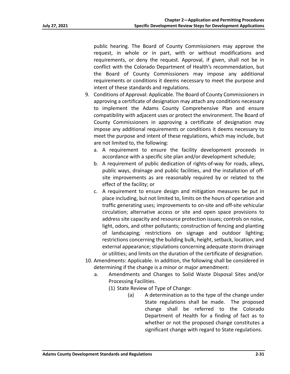public hearing. The Board of County Commissioners may approve the request, in whole or in part, with or without modifications and requirements, or deny the request. Approval, if given, shall not be in conflict with the Colorado Department of Health's recommendation, but the Board of County Commissioners may impose any additional requirements or conditions it deems necessary to meet the purpose and intent of these standards and regulations.

- 9. Conditions of Approval: Applicable. The Board of County Commissioners in approving a certificate of designation may attach any conditions necessary to implement the Adams County Comprehensive Plan and ensure compatibility with adjacent uses or protect the environment. The Board of County Commissioners in approving a certificate of designation may impose any additional requirements or conditions it deems necessary to meet the purpose and intent of these regulations, which may include, but are not limited to, the following:
	- a. A requirement to ensure the facility development proceeds in accordance with a specific site plan and/or development schedule;
	- b. A requirement of public dedication of rights‐of‐way for roads, alleys, public ways, drainage and public facilities, and the installation of off‐ site improvements as are reasonably required by or related to the effect of the facility; or
	- c. A requirement to ensure design and mitigation measures be put in place including, but not limited to, limits on the hours of operation and traffic generating uses; improvements to on‐site and off‐site vehicular circulation; alternative access or site and open space provisions to address site capacity and resource protection issues; controls on noise, light, odors, and other pollutants; construction of fencing and planting of landscaping; restrictions on signage and outdoor lighting; restrictions concerning the building bulk, height, setback, location, and external appearance; stipulations concerning adequate storm drainage or utilities; and limits on the duration of the certificate of designation.
- 10. Amendments: Applicable. In addition, the following shall be considered in determining if the change is a minor or major amendment:
	- a. Amendments and Changes to Solid Waste Disposal Sites and/or Processing Facilities.
		- (1) State Review of Type of Change:
			- (a) A determination as to the type of the change under State regulations shall be made. The proposed change shall be referred to the Colorado Department of Health for a finding of fact as to whether or not the proposed change constitutes a significant change with regard to State regulations.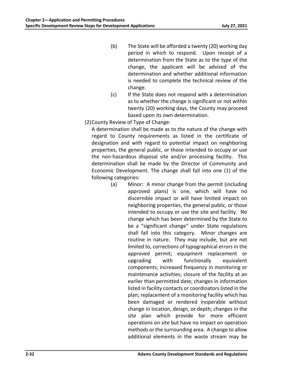- (b) The State will be afforded a twenty (20) working day period in which to respond. Upon receipt of a determination from the State as to the type of the change, the applicant will be advised of the determination and whether additional information is needed to complete the technical review of the change.
- (c) If the State does not respond with a determination as to whether the change is significant or not within twenty (20) working days, the County may proceed based upon its own determination.
- (2) County Review of Type of Change:

A determination shall be made as to the nature of the change with regard to County requirements as listed in the certificate of designation and with regard to potential impact on neighboring properties, the general public, or those intended to occupy or use the non-hazardous disposal site and/or processing facility. This determination shall be made by the Director of Community and Economic Development. The change shall fall into one (1) of the following categories:

(a) Minor: A minor change from the permit (including approved plans) is one, which will have no discernible impact or will have limited impact on neighboring properties, the general public, or those intended to occupy or use the site and facility. No change which has been determined by the State to be a "significant change" under State regulations shall fall into this category. Minor changes are routine in nature. They may include, but are not limited to, corrections of typographical errors in the approved permit; equipment replacement or upgrading with functionally equivalent components; increased frequency in monitoring or maintenance activities; closure of the facility at an earlier than permitted date; changes in information listed in facility contacts or coordinators listed in the plan; replacement of a monitoring facility which has been damaged or rendered inoperable without change in location, design, or depth; changes in the site plan which provide for more efficient operations on site but have no impact on operation methods or the surrounding area. A change to allow additional elements in the waste stream may be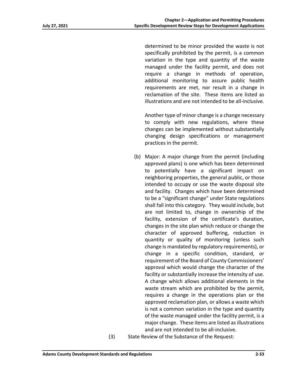determined to be minor provided the waste is not specifically prohibited by the permit, is a common variation in the type and quantity of the waste managed under the facility permit, and does not require a change in methods of operation, additional monitoring to assure public health requirements are met, nor result in a change in reclamation of the site. These items are listed as illustrations and are not intended to be all‐inclusive.

Another type of minor change is a change necessary to comply with new regulations, where these changes can be implemented without substantially changing design specifications or management practices in the permit.

- (b) Major: A major change from the permit (including approved plans) is one which has been determined to potentially have a significant impact on neighboring properties, the general public, or those intended to occupy or use the waste disposal site and facility. Changes which have been determined to be a "significant change" under State regulations shall fall into this category. They would include, but are not limited to, change in ownership of the facility, extension of the certificate's duration, changes in the site plan which reduce or change the character of approved buffering, reduction in quantity or quality of monitoring (unless such change is mandated by regulatory requirements), or change in a specific condition, standard, or requirement of the Board of County Commissioners' approval which would change the character of the facility or substantially increase the intensity of use. A change which allows additional elements in the waste stream which are prohibited by the permit, requires a change in the operations plan or the approved reclamation plan, or allows a waste which is not a common variation in the type and quantity of the waste managed under the facility permit, is a major change. These items are listed as illustrations and are not intended to be all‐inclusive.
- 

(3) State Review of the Substance of the Request: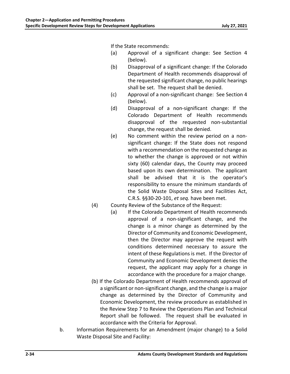If the State recommends:

- (a) Approval of a significant change: See Section 4 (below).
- (b) Disapproval of a significant change: If the Colorado Department of Health recommends disapproval of the requested significant change, no public hearings shall be set. The request shall be denied.
- (c) Approval of a non‐significant change: See Section 4 (below).
- (d) Disapproval of a non‐significant change: If the Colorado Department of Health recommends disapproval of the requested non‐substantial change, the request shall be denied.
- (e) No comment within the review period on a non‐ significant change: If the State does not respond with a recommendation on the requested change as to whether the change is approved or not within sixty (60) calendar days, the County may proceed based upon its own determination. The applicant shall be advised that it is the operator's responsibility to ensure the minimum standards of the Solid Waste Disposal Sites and Facilities Act, C.R.S. §§30‐20‐101, *et seq.* have been met.
- (4) County Review of the Substance of the Request:
	- (a) If the Colorado Department of Health recommends approval of a non‐significant change, and the change is a minor change as determined by the Director of Community and Economic Development, then the Director may approve the request with conditions determined necessary to assure the intent of these Regulations is met. If the Director of Community and Economic Development denies the request, the applicant may apply for a change in accordance with the procedure for a major change.
- (b) If the Colorado Department of Health recommends approval of a significant or non‐significant change, and the change is a major change as determined by the Director of Community and Economic Development, the review procedure as established in the Review Step 7 to Review the Operations Plan and Technical Report shall be followed. The request shall be evaluated in accordance with the Criteria for Approval.
- b. Information Requirements for an Amendment (major change) to a Solid Waste Disposal Site and Facility: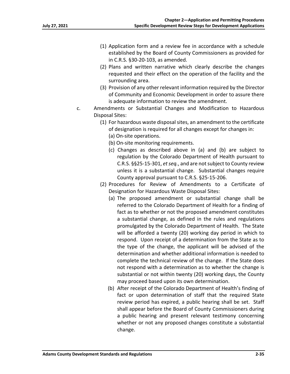- (1) Application form and a review fee in accordance with a schedule established by the Board of County Commissioners as provided for in C.R.S. §30‐20‐103, as amended.
- (2) Plans and written narrative which clearly describe the changes requested and their effect on the operation of the facility and the surrounding area.
- (3) Provision of any other relevant information required by the Director of Community and Economic Development in order to assure there is adequate information to review the amendment.
- c. Amendments or Substantial Changes and Modification to Hazardous Disposal Sites:
	- (1) For hazardous waste disposal sites, an amendment to the certificate of designation is required for all changes except for changes in:
		- (a) On‐site operations.
		- (b) On‐site monitoring requirements.
		- (c) Changes as described above in (a) and (b) are subject to regulation by the Colorado Department of Health pursuant to C.R.S. §§25‐15‐301, *et seq.*, and are not subject to County review unless it is a substantial change. Substantial changes require County approval pursuant to C.R.S. §25‐15‐206.
	- (2) Procedures for Review of Amendments to a Certificate of Designation for Hazardous Waste Disposal Sites:
		- (a) The proposed amendment or substantial change shall be referred to the Colorado Department of Health for a finding of fact as to whether or not the proposed amendment constitutes a substantial change, as defined in the rules and regulations promulgated by the Colorado Department of Health. The State will be afforded a twenty (20) working day period in which to respond. Upon receipt of a determination from the State as to the type of the change, the applicant will be advised of the determination and whether additional information is needed to complete the technical review of the change. If the State does not respond with a determination as to whether the change is substantial or not within twenty (20) working days, the County may proceed based upon its own determination.
		- (b) After receipt of the Colorado Department of Health's finding of fact or upon determination of staff that the required State review period has expired, a public hearing shall be set. Staff shall appear before the Board of County Commissioners during a public hearing and present relevant testimony concerning whether or not any proposed changes constitute a substantial change.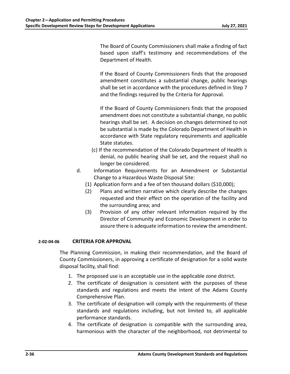The Board of County Commissioners shall make a finding of fact based upon staff's testimony and recommendations of the Department of Health.

If the Board of County Commissioners finds that the proposed amendment constitutes a substantial change, public hearings shall be set in accordance with the procedures defined in Step 7 and the findings required by the Criteria for Approval.

If the Board of County Commissioners finds that the proposed amendment does not constitute a substantial change, no public hearings shall be set. A decision on changes determined to not be substantial is made by the Colorado Department of Health in accordance with State regulatory requirements and applicable State statutes.

- (c) If the recommendation of the Colorado Department of Health is denial, no public hearing shall be set, and the request shall no longer be considered.
- d. Information Requirements for an Amendment or Substantial Change to a Hazardous Waste Disposal Site:
	- (1) Application form and a fee of ten thousand dollars (\$10,000);
	- (2) Plans and written narrative which clearly describe the changes requested and their effect on the operation of the facility and the surrounding area; and
	- (3) Provision of any other relevant information required by the Director of Community and Economic Development in order to assure there is adequate information to review the amendment.

# **2‐02‐04‐06 CRITERIA FOR APPROVAL**

The Planning Commission, in making their recommendation, and the Board of County Commissioners, in approving a certificate of designation for a solid waste disposal facility, shall find:

- 1. The proposed use is an acceptable use in the applicable zone district.
- 2. The certificate of designation is consistent with the purposes of these standards and regulations and meets the intent of the Adams County Comprehensive Plan.
- 3. The certificate of designation will comply with the requirements of these standards and regulations including, but not limited to, all applicable performance standards.
- 4. The certificate of designation is compatible with the surrounding area, harmonious with the character of the neighborhood, not detrimental to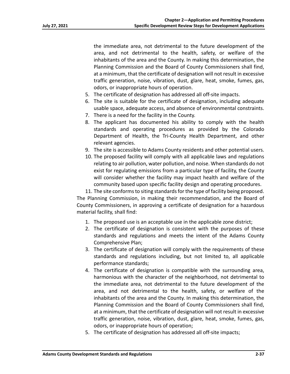the immediate area, not detrimental to the future development of the area, and not detrimental to the health, safety, or welfare of the inhabitants of the area and the County. In making this determination, the Planning Commission and the Board of County Commissioners shall find, at a minimum, that the certificate of designation will not result in excessive traffic generation, noise, vibration, dust, glare, heat, smoke, fumes, gas, odors, or inappropriate hours of operation.

- 5. The certificate of designation has addressed all off‐site impacts.
- 6. The site is suitable for the certificate of designation, including adequate usable space, adequate access, and absence of environmental constraints.
- 7. There is a need for the facility in the County.
- 8. The applicant has documented his ability to comply with the health standards and operating procedures as provided by the Colorado Department of Health, the Tri‐County Health Department, and other relevant agencies.
- 9. The site is accessible to Adams County residents and other potential users.
- 10. The proposed facility will comply with all applicable laws and regulations relating to air pollution, water pollution, and noise. When standards do not exist for regulating emissions from a particular type of facility, the County will consider whether the facility may impact health and welfare of the community based upon specific facility design and operating procedures.

11. The site conforms to siting standards for the type of facility being proposed. The Planning Commission, in making their recommendation, and the Board of County Commissioners, in approving a certificate of designation for a hazardous material facility, shall find:

- 1. The proposed use is an acceptable use in the applicable zone district;
- 2. The certificate of designation is consistent with the purposes of these standards and regulations and meets the intent of the Adams County Comprehensive Plan;
- 3. The certificate of designation will comply with the requirements of these standards and regulations including, but not limited to, all applicable performance standards;
- 4. The certificate of designation is compatible with the surrounding area, harmonious with the character of the neighborhood, not detrimental to the immediate area, not detrimental to the future development of the area, and not detrimental to the health, safety, or welfare of the inhabitants of the area and the County. In making this determination, the Planning Commission and the Board of County Commissioners shall find, at a minimum, that the certificate of designation will not result in excessive traffic generation, noise, vibration, dust, glare, heat, smoke, fumes, gas, odors, or inappropriate hours of operation;
- 5. The certificate of designation has addressed all off-site impacts;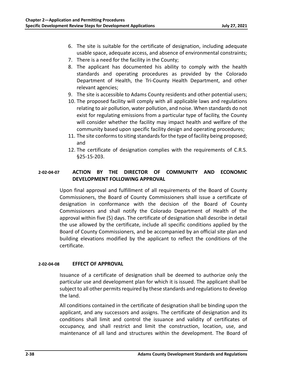- 6. The site is suitable for the certificate of designation, including adequate usable space, adequate access, and absence of environmental constraints;
- 7. There is a need for the facility in the County;
- 8. The applicant has documented his ability to comply with the health standards and operating procedures as provided by the Colorado Department of Health, the Tri‐County Health Department, and other relevant agencies;
- 9. The site is accessible to Adams County residents and other potential users;
- 10. The proposed facility will comply with all applicable laws and regulations relating to air pollution, water pollution, and noise. When standards do not exist for regulating emissions from a particular type of facility, the County will consider whether the facility may impact health and welfare of the community based upon specific facility design and operating procedures;
- 11. The site conforms to siting standards for the type of facility being proposed; and
- 12. The certificate of designation complies with the requirements of C.R.S. §25‐15‐203.

# **2‐02‐04‐07 ACTION BY THE DIRECTOR OF COMMUNITY AND ECONOMIC DEVELOPMENT FOLLOWING APPROVAL**

Upon final approval and fulfillment of all requirements of the Board of County Commissioners, the Board of County Commissioners shall issue a certificate of designation in conformance with the decision of the Board of County Commissioners and shall notify the Colorado Department of Health of the approval within five (5) days. The certificate of designation shall describe in detail the use allowed by the certificate, include all specific conditions applied by the Board of County Commissioners, and be accompanied by an official site plan and building elevations modified by the applicant to reflect the conditions of the certificate.

## **2‐02‐04‐08 EFFECT OF APPROVAL**

Issuance of a certificate of designation shall be deemed to authorize only the particular use and development plan for which it is issued. The applicant shall be subject to all other permits required by these standards and regulations to develop the land.

All conditions contained in the certificate of designation shall be binding upon the applicant, and any successors and assigns. The certificate of designation and its conditions shall limit and control the issuance and validity of certificates of occupancy, and shall restrict and limit the construction, location, use, and maintenance of all land and structures within the development. The Board of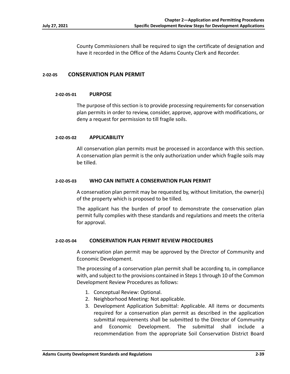County Commissioners shall be required to sign the certificate of designation and have it recorded in the Office of the Adams County Clerk and Recorder.

## **2‐02‐05 CONSERVATION PLAN PERMIT**

### **2‐02‐05‐01 PURPOSE**

The purpose of this section is to provide processing requirements for conservation plan permits in order to review, consider, approve, approve with modifications, or deny a request for permission to till fragile soils.

### **2‐02‐05‐02 APPLICABILITY**

All conservation plan permits must be processed in accordance with this section. A conservation plan permit is the only authorization under which fragile soils may be tilled.

### **2‐02‐05‐03 WHO CAN INITIATE A CONSERVATION PLAN PERMIT**

A conservation plan permit may be requested by, without limitation, the owner(s) of the property which is proposed to be tilled.

The applicant has the burden of proof to demonstrate the conservation plan permit fully complies with these standards and regulations and meets the criteria for approval.

## **2‐02‐05‐04 CONSERVATION PLAN PERMIT REVIEW PROCEDURES**

A conservation plan permit may be approved by the Director of Community and Economic Development.

The processing of a conservation plan permit shall be according to, in compliance with, and subject to the provisions contained in Steps 1 through 10 of the Common Development Review Procedures as follows:

- 1. Conceptual Review: Optional.
- 2. Neighborhood Meeting: Not applicable.
- 3. Development Application Submittal: Applicable. All items or documents required for a conservation plan permit as described in the application submittal requirements shall be submitted to the Director of Community and Economic Development. The submittal shall include a recommendation from the appropriate Soil Conservation District Board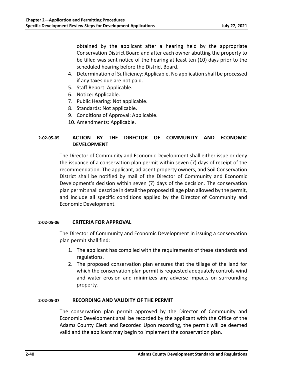obtained by the applicant after a hearing held by the appropriate Conservation District Board and after each owner abutting the property to be tilled was sent notice of the hearing at least ten (10) days prior to the scheduled hearing before the District Board.

- 4. Determination of Sufficiency: Applicable. No application shall be processed if any taxes due are not paid.
- 5. Staff Report: Applicable.
- 6. Notice: Applicable.
- 7. Public Hearing: Not applicable.
- 8. Standards: Not applicable.
- 9. Conditions of Approval: Applicable.
- 10. Amendments: Applicable.

# **2‐02‐05‐05 ACTION BY THE DIRECTOR OF COMMUNITY AND ECONOMIC DEVELOPMENT**

The Director of Community and Economic Development shall either issue or deny the issuance of a conservation plan permit within seven (7) days of receipt of the recommendation. The applicant, adjacent property owners, and Soil Conservation District shall be notified by mail of the Director of Community and Economic Development's decision within seven (7) days of the decision. The conservation plan permit shall describe in detail the proposed tillage plan allowed by the permit, and include all specific conditions applied by the Director of Community and Economic Development.

# **2‐02‐05‐06 CRITERIA FOR APPROVAL**

The Director of Community and Economic Development in issuing a conservation plan permit shall find:

- 1. The applicant has complied with the requirements of these standards and regulations.
- 2. The proposed conservation plan ensures that the tillage of the land for which the conservation plan permit is requested adequately controls wind and water erosion and minimizes any adverse impacts on surrounding property.

# **2‐02‐05‐07 RECORDING AND VALIDITY OF THE PERMIT**

The conservation plan permit approved by the Director of Community and Economic Development shall be recorded by the applicant with the Office of the Adams County Clerk and Recorder. Upon recording, the permit will be deemed valid and the applicant may begin to implement the conservation plan.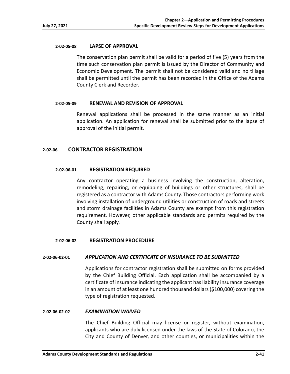### **2‐02‐05‐08 LAPSE OF APPROVAL**

The conservation plan permit shall be valid for a period of five (5) years from the time such conservation plan permit is issued by the Director of Community and Economic Development. The permit shall not be considered valid and no tillage shall be permitted until the permit has been recorded in the Office of the Adams County Clerk and Recorder.

### **2‐02‐05‐09 RENEWAL AND REVISION OF APPROVAL**

Renewal applications shall be processed in the same manner as an initial application. An application for renewal shall be submitted prior to the lapse of approval of the initial permit.

## **2‐02‐06 CONTRACTOR REGISTRATION**

### **2‐02‐06‐01 REGISTRATION REQUIRED**

Any contractor operating a business involving the construction, alteration, remodeling, repairing, or equipping of buildings or other structures, shall be registered as a contractor with Adams County. Those contractors performing work involving installation of underground utilities or construction of roads and streets and storm drainage facilities in Adams County are exempt from this registration requirement. However, other applicable standards and permits required by the County shall apply.

#### **2‐02‐06‐02 REGISTRATION PROCEDURE**

## **2‐02‐06‐02‐01** *APPLICATION AND CERTIFICATE OF INSURANCE TO BE SUBMITTED*

Applications for contractor registration shall be submitted on forms provided by the Chief Building Official. Each application shall be accompanied by a certificate of insurance indicating the applicant has liability insurance coverage in an amount of at least one hundred thousand dollars (\$100,000) covering the type of registration requested.

#### **2‐02‐06‐02‐02** *EXAMINATION WAIVED*

The Chief Building Official may license or register, without examination, applicants who are duly licensed under the laws of the State of Colorado, the City and County of Denver, and other counties, or municipalities within the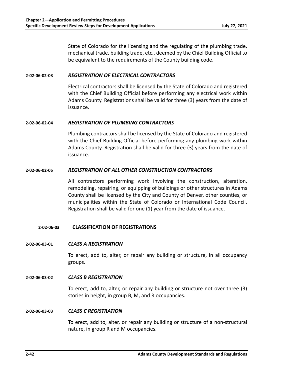State of Colorado for the licensing and the regulating of the plumbing trade, mechanical trade, building trade, etc., deemed by the Chief Building Official to be equivalent to the requirements of the County building code.

## **2‐02‐06‐02‐03** *REGISTRATION OF ELECTRICAL CONTRACTORS*

Electrical contractors shall be licensed by the State of Colorado and registered with the Chief Building Official before performing any electrical work within Adams County. Registrations shall be valid for three (3) years from the date of issuance.

### **2‐02‐06‐02‐04** *REGISTRATION OF PLUMBING CONTRACTORS*

Plumbing contractors shall be licensed by the State of Colorado and registered with the Chief Building Official before performing any plumbing work within Adams County. Registration shall be valid for three (3) years from the date of issuance.

## **2‐02‐06‐02‐05** *REGISTRATION OF ALL OTHER CONSTRUCTION CONTRACTORS*

All contractors performing work involving the construction, alteration, remodeling, repairing, or equipping of buildings or other structures in Adams County shall be licensed by the City and County of Denver, other counties, or municipalities within the State of Colorado or International Code Council. Registration shall be valid for one (1) year from the date of issuance.

## **2‐02‐06‐03 CLASSIFICATION OF REGISTRATIONS**

#### **2‐02‐06‐03‐01** *CLASS A REGISTRATION*

To erect, add to, alter, or repair any building or structure, in all occupancy groups.

#### **2‐02‐06‐03‐02** *CLASS B REGISTRATION*

To erect, add to, alter, or repair any building or structure not over three (3) stories in height, in group B, M, and R occupancies.

#### **2‐02‐06‐03‐03** *CLASS C REGISTRATION*

To erect, add to, alter, or repair any building or structure of a non‐structural nature, in group R and M occupancies.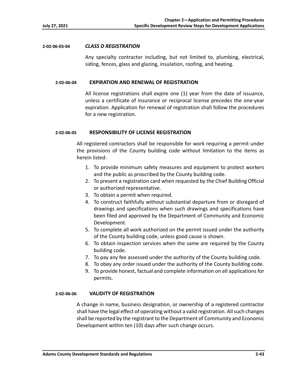### **2‐02‐06‐03‐04** *CLASS D REGISTRATION*

Any specialty contractor including, but not limited to, plumbing, electrical, siding, fences, glass and glazing, insulation, roofing, and heating.

### **2‐02‐06‐04 EXPIRATION AND RENEWAL OF REGISTRATION**

All license registrations shall expire one (1) year from the date of issuance, unless a certificate of insurance or reciprocal license precedes the one‐year expiration. Application for renewal of registration shall follow the procedures for a new registration.

## **2‐02‐06‐05 RESPONSIBILITY OF LICENSE REGISTRATION**

All registered contractors shall be responsible for work requiring a permit under the provisions of the County building code without limitation to the items as herein listed:

- 1. To provide minimum safety measures and equipment to protect workers and the public as proscribed by the County building code.
- 2. To present a registration card when requested by the Chief Building Official or authorized representative.
- 3. To obtain a permit when required.
- 4. To construct faithfully without substantial departure from or disregard of drawings and specifications when such drawings and specifications have been filed and approved by the Department of Community and Economic Development.
- 5. To complete all work authorized on the permit issued under the authority of the County building code, unless good cause is shown.
- 6. To obtain inspection services when the same are required by the County building code.
- 7. To pay any fee assessed under the authority of the County building code.
- 8. To obey any order issued under the authority of the County building code.
- 9. To provide honest, factual and complete information on all applications for permits.

## **2‐02‐06‐06 VALIDITY OF REGISTRATION**

A change in name, business designation, or ownership of a registered contractor shall have the legal effect of operating without a valid registration. All such changes shall be reported by the registrant to the Department of Community and Economic Development within ten (10) days after such change occurs.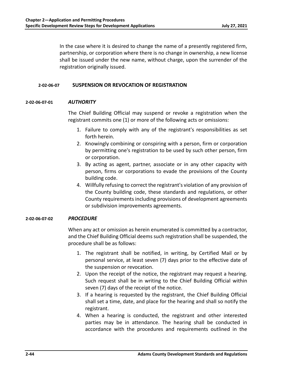In the case where it is desired to change the name of a presently registered firm, partnership, or corporation where there is no change in ownership, a new license shall be issued under the new name, without charge, upon the surrender of the registration originally issued.

## **2‐02‐06‐07 SUSPENSION OR REVOCATION OF REGISTRATION**

## **2‐02‐06‐07‐01** *AUTHORITY*

The Chief Building Official may suspend or revoke a registration when the registrant commits one (1) or more of the following acts or omissions:

- 1. Failure to comply with any of the registrant's responsibilities as set forth herein.
- 2. Knowingly combining or conspiring with a person, firm or corporation by permitting one's registration to be used by such other person, firm or corporation.
- 3. By acting as agent, partner, associate or in any other capacity with person, firms or corporations to evade the provisions of the County building code.
- 4. Willfully refusing to correct the registrant's violation of any provision of the County building code, these standards and regulations, or other County requirements including provisions of development agreements or subdivision improvements agreements.

## **2‐02‐06‐07‐02** *PROCEDURE*

When any act or omission as herein enumerated is committed by a contractor, and the Chief Building Official deems such registration shall be suspended, the procedure shall be as follows:

- 1. The registrant shall be notified, in writing, by Certified Mail or by personal service, at least seven (7) days prior to the effective date of the suspension or revocation.
- 2. Upon the receipt of the notice, the registrant may request a hearing. Such request shall be in writing to the Chief Building Official within seven (7) days of the receipt of the notice.
- 3. If a hearing is requested by the registrant, the Chief Building Official shall set a time, date, and place for the hearing and shall so notify the registrant.
- 4. When a hearing is conducted, the registrant and other interested parties may be in attendance. The hearing shall be conducted in accordance with the procedures and requirements outlined in the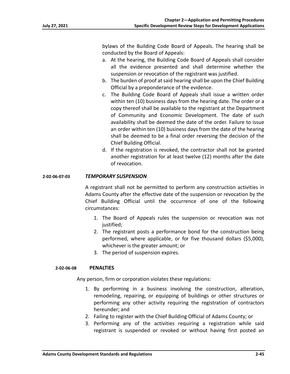bylaws of the Building Code Board of Appeals. The hearing shall be conducted by the Board of Appeals:

- a. At the hearing, the Building Code Board of Appeals shall consider all the evidence presented and shall determine whether the suspension or revocation of the registrant was justified.
- b. The burden of proof at said hearing shall be upon the Chief Building Official by a preponderance of the evidence.
- c. The Building Code Board of Appeals shall issue a written order within ten (10) business days from the hearing date. The order or a copy thereof shall be available to the registrant at the Department of Community and Economic Development. The date of such availability shall be deemed the date of the order. Failure to issue an order within ten (10) business days from the date of the hearing shall be deemed to be a final order reversing the decision of the Chief Building Official.
- d. If the registration is revoked, the contractor shall not be granted another registration for at least twelve (12) months after the date of revocation.

## **2‐02‐06‐07‐03** *TEMPORARY SUSPENSION*

A registrant shall not be permitted to perform any construction activities in Adams County after the effective date of the suspension or revocation by the Chief Building Official until the occurrence of one of the following circumstances:

- 1. The Board of Appeals rules the suspension or revocation was not justified;
- 2. The registrant posts a performance bond for the construction being performed, where applicable, or for five thousand dollars (\$5,000), whichever is the greater amount; or
- 3. The period of suspension expires.

## **2‐02‐06‐08 PENALTIES**

Any person, firm or corporation violates these regulations:

- 1. By performing in a business involving the construction, alteration, remodeling, repairing, or equipping of buildings or other structures or performing any other activity requiring the registration of contractors hereunder; and
- 2. Failing to register with the Chief Building Official of Adams County; or
- 3. Performing any of the activities requiring a registration while said registrant is suspended or revoked or without having first posted an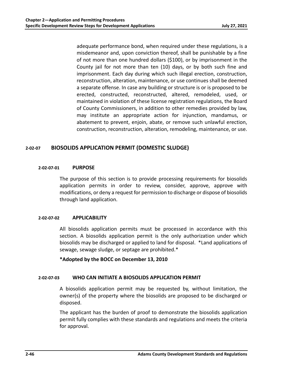adequate performance bond, when required under these regulations, is a misdemeanor and, upon conviction thereof, shall be punishable by a fine of not more than one hundred dollars (\$100), or by imprisonment in the County jail for not more than ten (10) days, or by both such fine and imprisonment. Each day during which such illegal erection, construction, reconstruction, alteration, maintenance, or use continues shall be deemed a separate offense. In case any building or structure is or is proposed to be erected, constructed, reconstructed, altered, remodeled, used, or maintained in violation of these license registration regulations, the Board of County Commissioners, in addition to other remedies provided by law, may institute an appropriate action for injunction, mandamus, or abatement to prevent, enjoin, abate, or remove such unlawful erection, construction, reconstruction, alteration, remodeling, maintenance, or use.

# **2‐02‐07 BIOSOLIDS APPLICATION PERMIT (DOMESTIC SLUDGE)**

## **2‐02‐07‐01 PURPOSE**

The purpose of this section is to provide processing requirements for biosolids application permits in order to review, consider, approve, approve with modifications, or deny a request for permission to discharge or dispose of biosolids through land application.

## **2‐02‐07‐02 APPLICABILITY**

All biosolids application permits must be processed in accordance with this section. A biosolids application permit is the only authorization under which biosolids may be discharged or applied to land for disposal. \*Land applications of sewage, sewage sludge, or septage are prohibited.\*

# **\*Adopted by the BOCC on December 13, 2010**

## **2‐02‐07‐03 WHO CAN INITIATE A BIOSOLIDS APPLICATION PERMIT**

A biosolids application permit may be requested by, without limitation, the owner(s) of the property where the biosolids are proposed to be discharged or disposed.

The applicant has the burden of proof to demonstrate the biosolids application permit fully complies with these standards and regulations and meets the criteria for approval.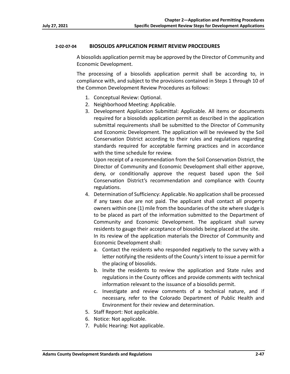## **2‐02‐07‐04 BIOSOLIDS APPLICATION PERMIT REVIEW PROCEDURES**

A biosolids application permit may be approved by the Director of Community and Economic Development.

The processing of a biosolids application permit shall be according to, in compliance with, and subject to the provisions contained in Steps 1 through 10 of the Common Development Review Procedures as follows:

- 1. Conceptual Review: Optional.
- 2. Neighborhood Meeting: Applicable.
- 3. Development Application Submittal: Applicable. All items or documents required for a biosolids application permit as described in the application submittal requirements shall be submitted to the Director of Community and Economic Development. The application will be reviewed by the Soil Conservation District according to their rules and regulations regarding standards required for acceptable farming practices and in accordance with the time schedule for review.

 Upon receipt of a recommendation from the Soil Conservation District, the Director of Community and Economic Development shall either approve, deny, or conditionally approve the request based upon the Soil Conservation District's recommendation and compliance with County regulations.

- 4. Determination of Sufficiency: Applicable. No application shall be processed if any taxes due are not paid. The applicant shall contact all property owners within one (1) mile from the boundaries of the site where sludge is to be placed as part of the information submitted to the Department of Community and Economic Development. The applicant shall survey residents to gauge their acceptance of biosolids being placed at the site. In its review of the application materials the Director of Community and Economic Development shall:
	- a. Contact the residents who responded negatively to the survey with a letter notifying the residents of the County's intent to issue a permit for the placing of biosolids.
	- b. Invite the residents to review the application and State rules and regulations in the County offices and provide comments with technical information relevant to the issuance of a biosolids permit.
	- c. Investigate and review comments of a technical nature, and if necessary, refer to the Colorado Department of Public Health and Environment for their review and determination.
- 5. Staff Report: Not applicable.
- 6. Notice: Not applicable.
- 7. Public Hearing: Not applicable.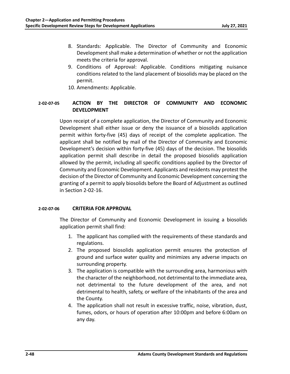- 8. Standards: Applicable. The Director of Community and Economic Development shall make a determination of whether or not the application meets the criteria for approval.
- 9. Conditions of Approval: Applicable. Conditions mitigating nuisance conditions related to the land placement of biosolids may be placed on the permit.
- 10. Amendments: Applicable.

# **2‐02‐07‐05 ACTION BY THE DIRECTOR OF COMMUNITY AND ECONOMIC DEVELOPMENT**

Upon receipt of a complete application, the Director of Community and Economic Development shall either issue or deny the issuance of a biosolids application permit within forty-five (45) days of receipt of the complete application. The applicant shall be notified by mail of the Director of Community and Economic Development's decision within forty‐five (45) days of the decision. The biosolids application permit shall describe in detail the proposed biosolids application allowed by the permit, including all specific conditions applied by the Director of Community and Economic Development. Applicants and residents may protest the decision of the Director of Community and Economic Development concerning the granting of a permit to apply biosolids before the Board of Adjustment as outlined in Section 2‐02‐16.

## **2‐02‐07‐06 CRITERIA FOR APPROVAL**

The Director of Community and Economic Development in issuing a biosolids application permit shall find:

- 1. The applicant has complied with the requirements of these standards and regulations.
- 2. The proposed biosolids application permit ensures the protection of ground and surface water quality and minimizes any adverse impacts on surrounding property.
- 3. The application is compatible with the surrounding area, harmonious with the character of the neighborhood, not detrimental to the immediate area, not detrimental to the future development of the area, and not detrimental to health, safety, or welfare of the inhabitants of the area and the County.
- 4. The application shall not result in excessive traffic, noise, vibration, dust, fumes, odors, or hours of operation after 10:00pm and before 6:00am on any day.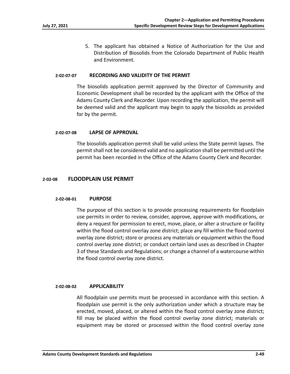5. The applicant has obtained a Notice of Authorization for the Use and Distribution of Biosolids from the Colorado Department of Public Health and Environment.

#### **2‐02‐07‐07 RECORDING AND VALIDITY OF THE PERMIT**

The biosolids application permit approved by the Director of Community and Economic Development shall be recorded by the applicant with the Office of the Adams County Clerk and Recorder. Upon recording the application, the permit will be deemed valid and the applicant may begin to apply the biosolids as provided for by the permit.

### **2‐02‐07‐08 LAPSE OF APPROVAL**

The biosolids application permit shall be valid unless the State permit lapses. The permit shall not be considered valid and no application shall be permitted until the permit has been recorded in the Office of the Adams County Clerk and Recorder.

## **2‐02‐08 FLOODPLAIN USE PERMIT**

#### **2‐02‐08‐01 PURPOSE**

The purpose of this section is to provide processing requirements for floodplain use permits in order to review, consider, approve, approve with modifications, or deny a request for permission to erect, move, place, or alter a structure or facility within the flood control overlay zone district; place any fill within the flood control overlay zone district; store or process any materials or equipment within the flood control overlay zone district; or conduct certain land uses as described in Chapter 3 of these Standards and Regulations; or change a channel of a watercourse within the flood control overlay zone district.

#### **2‐02‐08‐02 APPLICABILITY**

All floodplain use permits must be processed in accordance with this section. A floodplain use permit is the only authorization under which a structure may be erected, moved, placed, or altered within the flood control overlay zone district; fill may be placed within the flood control overlay zone district; materials or equipment may be stored or processed within the flood control overlay zone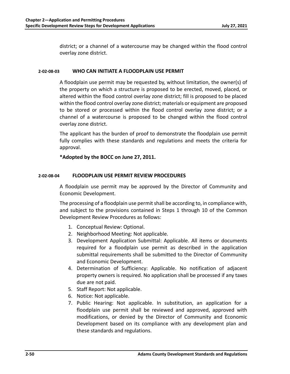district; or a channel of a watercourse may be changed within the flood control overlay zone district.

## **2‐02‐08‐03 WHO CAN INITIATE A FLOODPLAIN USE PERMIT**

A floodplain use permit may be requested by, without limitation, the owner(s) of the property on which a structure is proposed to be erected, moved, placed, or altered within the flood control overlay zone district; fill is proposed to be placed within the flood control overlay zone district; materials or equipment are proposed to be stored or processed within the flood control overlay zone district; or a channel of a watercourse is proposed to be changed within the flood control overlay zone district.

The applicant has the burden of proof to demonstrate the floodplain use permit fully complies with these standards and regulations and meets the criteria for approval.

# **\*Adopted by the BOCC on June 27, 2011.**

# **2‐02‐08‐04 FLOODPLAIN USE PERMIT REVIEW PROCEDURES**

A floodplain use permit may be approved by the Director of Community and Economic Development.

The processing of a floodplain use permit shall be according to, in compliance with, and subject to the provisions contained in Steps 1 through 10 of the Common Development Review Procedures as follows:

- 1. Conceptual Review: Optional.
- 2. Neighborhood Meeting: Not applicable.
- 3. Development Application Submittal: Applicable. All items or documents required for a floodplain use permit as described in the application submittal requirements shall be submitted to the Director of Community and Economic Development.
- 4. Determination of Sufficiency: Applicable. No notification of adjacent property owners is required. No application shall be processed if any taxes due are not paid.
- 5. Staff Report: Not applicable.
- 6. Notice: Not applicable.
- 7. Public Hearing: Not applicable. In substitution, an application for a floodplain use permit shall be reviewed and approved, approved with modifications, or denied by the Director of Community and Economic Development based on its compliance with any development plan and these standards and regulations.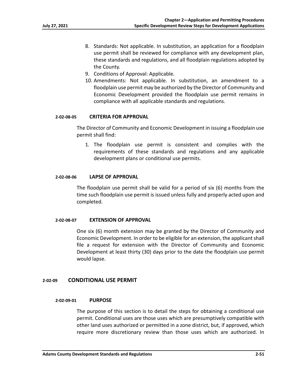- 8. Standards: Not applicable. In substitution, an application for a floodplain use permit shall be reviewed for compliance with any development plan, these standards and regulations, and all floodplain regulations adopted by the County.
- 9. Conditions of Approval: Applicable.
- 10. Amendments: Not applicable. In substitution, an amendment to a floodplain use permit may be authorized by the Director of Community and Economic Development provided the floodplain use permit remains in compliance with all applicable standards and regulations.

### **2‐02‐08‐05 CRITERIA FOR APPROVAL**

The Director of Community and Economic Development in issuing a floodplain use permit shall find:

1. The floodplain use permit is consistent and complies with the requirements of these standards and regulations and any applicable development plans or conditional use permits.

#### **2‐02‐08‐06 LAPSE OF APPROVAL**

The floodplain use permit shall be valid for a period of six (6) months from the time such floodplain use permit is issued unless fully and properly acted upon and completed.

#### **2‐02‐08‐07 EXTENSION OF APPROVAL**

One six (6) month extension may be granted by the Director of Community and Economic Development. In order to be eligible for an extension, the applicant shall file a request for extension with the Director of Community and Economic Development at least thirty (30) days prior to the date the floodplain use permit would lapse.

## **2‐02‐09 CONDITIONAL USE PERMIT**

#### **2‐02‐09‐01 PURPOSE**

The purpose of this section is to detail the steps for obtaining a conditional use permit. Conditional uses are those uses which are presumptively compatible with other land uses authorized or permitted in a zone district, but, if approved, which require more discretionary review than those uses which are authorized. In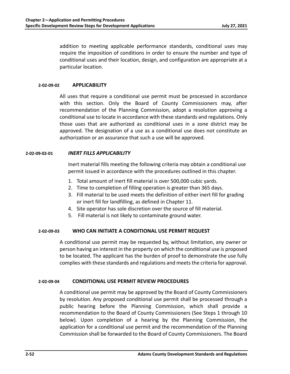addition to meeting applicable performance standards, conditional uses may require the imposition of conditions in order to ensure the number and type of conditional uses and their location, design, and configuration are appropriate at a particular location.

### **2‐02‐09‐02 APPLICABILITY**

All uses that require a conditional use permit must be processed in accordance with this section. Only the Board of County Commissioners may, after recommendation of the Planning Commission, adopt a resolution approving a conditional use to locate in accordance with these standards and regulations. Only those uses that are authorized as conditional uses in a zone district may be approved. The designation of a use as a conditional use does not constitute an authorization or an assurance that such a use will be approved.

## **2‐02‐09‐02‐01** *INERT FILLS APPLICABILITY*

Inert material fills meeting the following criteria may obtain a conditional use permit issued in accordance with the procedures outlined in this chapter.

- 1. Total amount of inert fill material is over 500,000 cubic yards.
- 2. Time to completion of filling operation is greater than 365 days.
- 3. Fill material to be used meets the definition of either inert fill for grading or inert fill for landfilling, as defined in Chapter 11.
- 4. Site operator has sole discretion over the source of fill material.
- 5. Fill material is not likely to contaminate ground water.

## **2‐02‐09‐03 WHO CAN INITIATE A CONDITIONAL USE PERMIT REQUEST**

A conditional use permit may be requested by, without limitation, any owner or person having an interest in the property on which the conditional use is proposed to be located. The applicant has the burden of proof to demonstrate the use fully complies with these standards and regulations and meets the criteria for approval.

#### **2‐02‐09‐04 CONDITIONAL USE PERMIT REVIEW PROCEDURES**

A conditional use permit may be approved by the Board of County Commissioners by resolution. Any proposed conditional use permit shall be processed through a public hearing before the Planning Commission, which shall provide a recommendation to the Board of County Commissioners (See Steps 1 through 10 below). Upon completion of a hearing by the Planning Commission, the application for a conditional use permit and the recommendation of the Planning Commission shall be forwarded to the Board of County Commissioners. The Board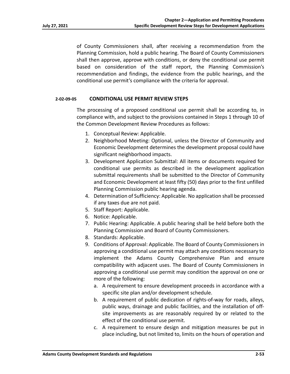of County Commissioners shall, after receiving a recommendation from the Planning Commission, hold a public hearing. The Board of County Commissioners shall then approve, approve with conditions, or deny the conditional use permit based on consideration of the staff report, the Planning Commission's recommendation and findings, the evidence from the public hearings, and the conditional use permit's compliance with the criteria for approval.

### **2‐02‐09‐05 CONDITIONAL USE PERMIT REVIEW STEPS**

The processing of a proposed conditional use permit shall be according to, in compliance with, and subject to the provisions contained in Steps 1 through 10 of the Common Development Review Procedures as follows:

- 1. Conceptual Review: Applicable.
- 2. Neighborhood Meeting: Optional, unless the Director of Community and Economic Development determines the development proposal could have significant neighborhood impacts.
- 3. Development Application Submittal: All items or documents required for conditional use permits as described in the development application submittal requirements shall be submitted to the Director of Community and Economic Development at least fifty (50) days prior to the first unfilled Planning Commission public hearing agenda.
- 4. Determination of Sufficiency: Applicable. No application shall be processed if any taxes due are not paid.
- 5. Staff Report: Applicable.
- 6. Notice: Applicable.
- 7. Public Hearing: Applicable. A public hearing shall be held before both the Planning Commission and Board of County Commissioners.
- 8. Standards: Applicable.
- 9. Conditions of Approval: Applicable. The Board of County Commissioners in approving a conditional use permit may attach any conditions necessary to implement the Adams County Comprehensive Plan and ensure compatibility with adjacent uses. The Board of County Commissioners in approving a conditional use permit may condition the approval on one or more of the following:
	- a. A requirement to ensure development proceeds in accordance with a specific site plan and/or development schedule.
	- b. A requirement of public dedication of rights‐of‐way for roads, alleys, public ways, drainage and public facilities, and the installation of off‐ site improvements as are reasonably required by or related to the effect of the conditional use permit.
	- c. A requirement to ensure design and mitigation measures be put in place including, but not limited to, limits on the hours of operation and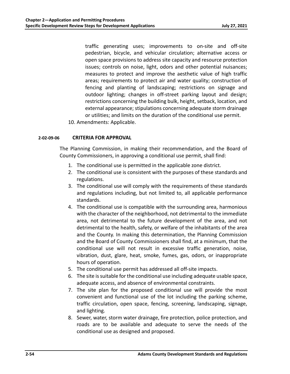traffic generating uses; improvements to on‐site and off‐site pedestrian, bicycle, and vehicular circulation; alternative access or open space provisions to address site capacity and resource protection issues; controls on noise, light, odors and other potential nuisances; measures to protect and improve the aesthetic value of high traffic areas; requirements to protect air and water quality; construction of fencing and planting of landscaping; restrictions on signage and outdoor lighting; changes in off-street parking layout and design; restrictions concerning the building bulk, height, setback, location, and external appearance; stipulations concerning adequate storm drainage or utilities; and limits on the duration of the conditional use permit.

10. Amendments: Applicable.

## **2‐02‐09‐06 CRITERIA FOR APPROVAL**

The Planning Commission, in making their recommendation, and the Board of County Commissioners, in approving a conditional use permit, shall find:

- 1. The conditional use is permitted in the applicable zone district.
- 2. The conditional use is consistent with the purposes of these standards and regulations.
- 3. The conditional use will comply with the requirements of these standards and regulations including, but not limited to, all applicable performance standards.
- 4. The conditional use is compatible with the surrounding area, harmonious with the character of the neighborhood, not detrimental to the immediate area, not detrimental to the future development of the area, and not detrimental to the health, safety, or welfare of the inhabitants of the area and the County. In making this determination, the Planning Commission and the Board of County Commissioners shall find, at a minimum, that the conditional use will not result in excessive traffic generation, noise, vibration, dust, glare, heat, smoke, fumes, gas, odors, or inappropriate hours of operation.
- 5. The conditional use permit has addressed all off‐site impacts.
- 6. The site is suitable for the conditional use including adequate usable space, adequate access, and absence of environmental constraints.
- 7. The site plan for the proposed conditional use will provide the most convenient and functional use of the lot including the parking scheme, traffic circulation, open space, fencing, screening, landscaping, signage, and lighting.
- 8. Sewer, water, storm water drainage, fire protection, police protection, and roads are to be available and adequate to serve the needs of the conditional use as designed and proposed.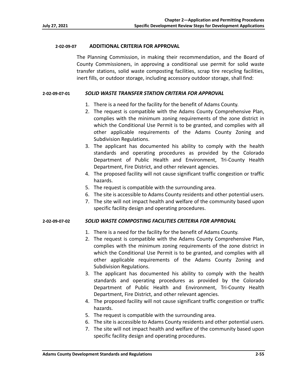### **2‐02‐09‐07 ADDITIONAL CRITERIA FOR APPROVAL**

The Planning Commission, in making their recommendation, and the Board of County Commissioners, in approving a conditional use permit for solid waste transfer stations, solid waste composting facilities, scrap tire recycling facilities, inert fills, or outdoor storage, including accessory outdoor storage, shall find:

### **2‐02‐09‐07‐01** *SOLID WASTE TRANSFER STATION CRITERIA FOR APPROVAL*

- 1. There is a need for the facility for the benefit of Adams County.
- 2. The request is compatible with the Adams County Comprehensive Plan, complies with the minimum zoning requirements of the zone district in which the Conditional Use Permit is to be granted, and complies with all other applicable requirements of the Adams County Zoning and Subdivision Regulations.
- 3. The applicant has documented his ability to comply with the health standards and operating procedures as provided by the Colorado Department of Public Health and Environment, Tri‐County Health Department, Fire District, and other relevant agencies.
- 4. The proposed facility will not cause significant traffic congestion or traffic hazards.
- 5. The request is compatible with the surrounding area.
- 6. The site is accessible to Adams County residents and other potential users.
- 7. The site will not impact health and welfare of the community based upon specific facility design and operating procedures.

## **2‐02‐09‐07‐02** *SOLID WASTE COMPOSTING FACILITIES CRITERIA FOR APPROVAL*

- 1. There is a need for the facility for the benefit of Adams County.
- 2. The request is compatible with the Adams County Comprehensive Plan, complies with the minimum zoning requirements of the zone district in which the Conditional Use Permit is to be granted, and complies with all other applicable requirements of the Adams County Zoning and Subdivision Regulations.
- 3. The applicant has documented his ability to comply with the health standards and operating procedures as provided by the Colorado Department of Public Health and Environment, Tri‐County Health Department, Fire District, and other relevant agencies.
- 4. The proposed facility will not cause significant traffic congestion or traffic hazards.
- 5. The request is compatible with the surrounding area.
- 6. The site is accessible to Adams County residents and other potential users.
- 7. The site will not impact health and welfare of the community based upon specific facility design and operating procedures.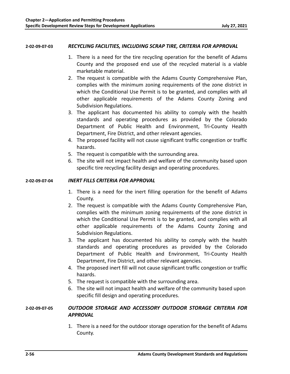### **2‐02‐09‐07‐03** *RECYCLING FACILITIES, INCLUDING SCRAP TIRE, CRITERIA FOR APPROVAL*

- 1. There is a need for the tire recycling operation for the benefit of Adams County and the proposed end use of the recycled material is a viable marketable material.
- 2. The request is compatible with the Adams County Comprehensive Plan, complies with the minimum zoning requirements of the zone district in which the Conditional Use Permit is to be granted, and complies with all other applicable requirements of the Adams County Zoning and Subdivision Regulations.
- 3. The applicant has documented his ability to comply with the health standards and operating procedures as provided by the Colorado Department of Public Health and Environment, Tri-County Health Department, Fire District, and other relevant agencies.
- 4. The proposed facility will not cause significant traffic congestion or traffic hazards.
- 5. The request is compatible with the surrounding area.
- 6. The site will not impact health and welfare of the community based upon specific tire recycling facility design and operating procedures.

## **2‐02‐09‐07‐04** *INERT FILLS CRITERIA FOR APPROVAL*

- 1. There is a need for the inert filling operation for the benefit of Adams County.
- 2. The request is compatible with the Adams County Comprehensive Plan, complies with the minimum zoning requirements of the zone district in which the Conditional Use Permit is to be granted, and complies with all other applicable requirements of the Adams County Zoning and Subdivision Regulations.
- 3. The applicant has documented his ability to comply with the health standards and operating procedures as provided by the Colorado Department of Public Health and Environment, Tri-County Health Department, Fire District, and other relevant agencies.
- 4. The proposed inert fill will not cause significant traffic congestion or traffic hazards.
- 5. The request is compatible with the surrounding area.
- 6. The site will not impact health and welfare of the community based upon specific fill design and operating procedures.

# **2‐02‐09‐07‐05** *OUTDOOR STORAGE AND ACCESSORY OUTDOOR STORAGE CRITERIA FOR APPROVAL*

1. There is a need for the outdoor storage operation for the benefit of Adams County.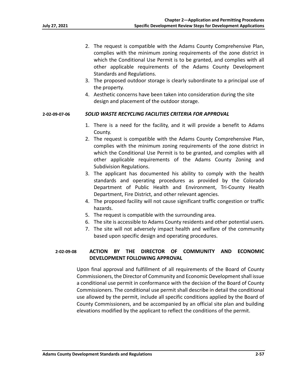- 2. The request is compatible with the Adams County Comprehensive Plan, complies with the minimum zoning requirements of the zone district in which the Conditional Use Permit is to be granted, and complies with all other applicable requirements of the Adams County Development Standards and Regulations.
- 3. The proposed outdoor storage is clearly subordinate to a principal use of the property.
- 4. Aesthetic concerns have been taken into consideration during the site design and placement of the outdoor storage.

### **2‐02‐09‐07‐06** *SOLID WASTE RECYCLING FACILITIES CRITERIA FOR APPROVAL*

- 1. There is a need for the facility, and it will provide a benefit to Adams County.
- 2. The request is compatible with the Adams County Comprehensive Plan, complies with the minimum zoning requirements of the zone district in which the Conditional Use Permit is to be granted, and complies with all other applicable requirements of the Adams County Zoning and Subdivision Regulations.
- 3. The applicant has documented his ability to comply with the health standards and operating procedures as provided by the Colorado Department of Public Health and Environment, Tri‐County Health Department, Fire District, and other relevant agencies.
- 4. The proposed facility will not cause significant traffic congestion or traffic hazards.
- 5. The request is compatible with the surrounding area.
- 6. The site is accessible to Adams County residents and other potential users.
- 7. The site will not adversely impact health and welfare of the community based upon specific design and operating procedures.

# **2‐02‐09‐08 ACTION BY THE DIRECTOR OF COMMUNITY AND ECONOMIC DEVELOPMENT FOLLOWING APPROVAL**

Upon final approval and fulfillment of all requirements of the Board of County Commissioners, the Director of Community and Economic Development shall issue a conditional use permit in conformance with the decision of the Board of County Commissioners. The conditional use permit shall describe in detail the conditional use allowed by the permit, include all specific conditions applied by the Board of County Commissioners, and be accompanied by an official site plan and building elevations modified by the applicant to reflect the conditions of the permit.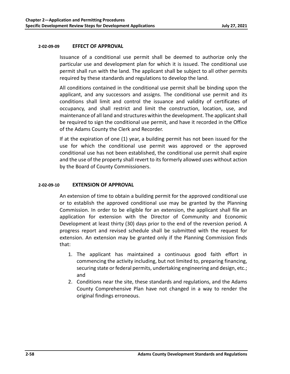## **2‐02‐09‐09 EFFECT OF APPROVAL**

Issuance of a conditional use permit shall be deemed to authorize only the particular use and development plan for which it is issued. The conditional use permit shall run with the land. The applicant shall be subject to all other permits required by these standards and regulations to develop the land.

All conditions contained in the conditional use permit shall be binding upon the applicant, and any successors and assigns. The conditional use permit and its conditions shall limit and control the issuance and validity of certificates of occupancy, and shall restrict and limit the construction, location, use, and maintenance of all land and structures within the development. The applicant shall be required to sign the conditional use permit, and have it recorded in the Office of the Adams County the Clerk and Recorder.

If at the expiration of one (1) year, a building permit has not been issued for the use for which the conditional use permit was approved or the approved conditional use has not been established, the conditional use permit shall expire and the use of the property shall revert to its formerly allowed uses without action by the Board of County Commissioners.

### **2‐02‐09‐10 EXTENSION OF APPROVAL**

An extension of time to obtain a building permit for the approved conditional use or to establish the approved conditional use may be granted by the Planning Commission. In order to be eligible for an extension, the applicant shall file an application for extension with the Director of Community and Economic Development at least thirty (30) days prior to the end of the reversion period. A progress report and revised schedule shall be submitted with the request for extension. An extension may be granted only if the Planning Commission finds that:

- 1. The applicant has maintained a continuous good faith effort in commencing the activity including, but not limited to, preparing financing, securing state or federal permits, undertaking engineering and design, etc.; and
- 2. Conditions near the site, these standards and regulations, and the Adams County Comprehensive Plan have not changed in a way to render the original findings erroneous.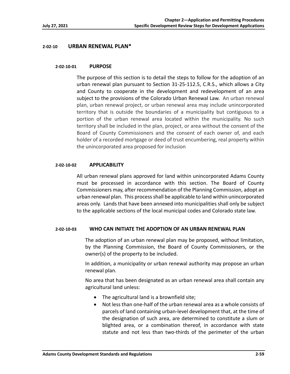## **2‐02‐10 URBAN RENEWAL PLAN\***

### **2‐02‐10‐01 PURPOSE**

The purpose of this section is to detail the steps to follow for the adoption of an urban renewal plan pursuant to Section 31‐25‐112.5, C.R.S., which allows a City and County to cooperate in the development and redevelopment of an area subject to the provisions of the Colorado Urban Renewal Law. An urban renewal plan, urban renewal project, or urban renewal area may include unincorporated territory that is outside the boundaries of a municipality but contiguous to a portion of the urban renewal area located within the municipality. No such territory shall be included in the plan, project, or area without the consent of the Board of County Commissioners and the consent of each owner of, and each holder of a recorded mortgage or deed of trust encumbering, real property within the unincorporated area proposed for inclusion

## **2‐02‐10‐02 APPLICABILITY**

All urban renewal plans approved for land within unincorporated Adams County must be processed in accordance with this section. The Board of County Commissioners may, after recommendation of the Planning Commission, adopt an urban renewal plan. This process shall be applicable to land within unincorporated areas only. Lands that have been annexed into municipalities shall only be subject to the applicable sections of the local municipal codes and Colorado state law.

## **2‐02‐10‐03 WHO CAN INITIATE THE ADOPTION OF AN URBAN RENEWAL PLAN**

The adoption of an urban renewal plan may be proposed, without limitation, by the Planning Commission, the Board of County Commissioners, or the owner(s) of the property to be included.

In addition, a municipality or urban renewal authority may propose an urban renewal plan.

No area that has been designated as an urban renewal area shall contain any agricultural land unless:

- The agricultural land is a brownfield site;
- Not less than one-half of the urban renewal area as a whole consists of parcels of land containing urban‐level development that, at the time of the designation of such area, are determined to constitute a slum or blighted area, or a combination thereof, in accordance with state statute and not less than two-thirds of the perimeter of the urban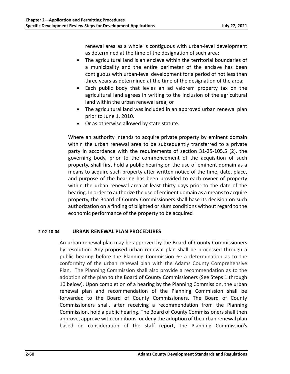renewal area as a whole is contiguous with urban‐level development as determined at the time of the designation of such area;

- The agricultural land is an enclave within the territorial boundaries of a municipality and the entire perimeter of the enclave has been contiguous with urban‐level development for a period of not less than three years as determined at the time of the designation of the area;
- Each public body that levies an ad valorem property tax on the agricultural land agrees in writing to the inclusion of the agricultural land within the urban renewal area; or
- The agricultural land was included in an approved urban renewal plan prior to June 1, 2010.
- Or as otherwise allowed by state statute.

Where an authority intends to acquire private property by eminent domain within the urban renewal area to be subsequently transferred to a private party in accordance with the requirements of section 31‐25‐105.5 (2), the governing body, prior to the commencement of the acquisition of such property, shall first hold a public hearing on the use of eminent domain as a means to acquire such property after written notice of the time, date, place, and purpose of the hearing has been provided to each owner of property within the urban renewal area at least thirty days prior to the date of the hearing. In order to authorize the use of eminent domain as a means to acquire property, the Board of County Commissioners shall base its decision on such authorization on a finding of blighted or slum conditions without regard to the economic performance of the property to be acquired

# **2‐02‐10‐04 URBAN RENEWAL PLAN PROCEDURES**

An urban renewal plan may be approved by the Board of County Commissioners by resolution. Any proposed urban renewal plan shall be processed through a public hearing before the Planning Commission for a determination as to the conformity of the urban renewal plan with the Adams County Comprehensive Plan. The Planning Commission shall also provide a recommendation as to the adoption of the plan to the Board of County Commissioners (See Steps 1 through 10 below). Upon completion of a hearing by the Planning Commission, the urban renewal plan and recommendation of the Planning Commission shall be forwarded to the Board of County Commissioners. The Board of County Commissioners shall, after receiving a recommendation from the Planning Commission, hold a public hearing. The Board of County Commissioners shall then approve, approve with conditions, or deny the adoption of the urban renewal plan based on consideration of the staff report, the Planning Commission's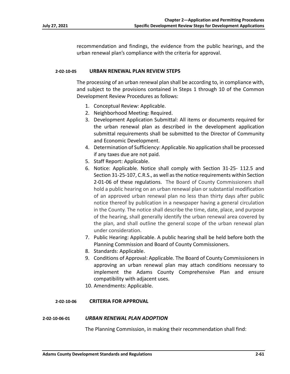recommendation and findings, the evidence from the public hearings, and the urban renewal plan's compliance with the criteria for approval.

### **2‐02‐10‐05 URBAN RENEWAL PLAN REVIEW STEPS**

The processing of an urban renewal plan shall be according to, in compliance with, and subject to the provisions contained in Steps 1 through 10 of the Common Development Review Procedures as follows:

- 1. Conceptual Review: Applicable.
- 2. Neighborhood Meeting: Required.
- 3. Development Application Submittal: All items or documents required for the urban renewal plan as described in the development application submittal requirements shall be submitted to the Director of Community and Economic Development.
- 4. Determination of Sufficiency: Applicable. No application shall be processed if any taxes due are not paid.
- 5. Staff Report: Applicable.
- 6. Notice: Applicable. Notice shall comply with Section 31‐25‐ 112.5 and Section 31‐25‐107, C.R.S., as well as the notice requirements within Section 2‐01‐06 of these regulations. The Board of County Commissioners shall hold a public hearing on an urban renewal plan or substantial modification of an approved urban renewal plan no less than thirty days after public notice thereof by publication in a newspaper having a general circulation in the County. The notice shall describe the time, date, place, and purpose of the hearing, shall generally identify the urban renewal area covered by the plan, and shall outline the general scope of the urban renewal plan under consideration.
- 7. Public Hearing: Applicable. A public hearing shall be held before both the Planning Commission and Board of County Commissioners.
- 8. Standards: Applicable.
- 9. Conditions of Approval: Applicable. The Board of County Commissioners in approving an urban renewal plan may attach conditions necessary to implement the Adams County Comprehensive Plan and ensure compatibility with adjacent uses.
- 10. Amendments: Applicable.

## **2‐02‐10‐06 CRITERIA FOR APPROVAL**

#### **2‐02‐10‐06‐01** *URBAN RENEWAL PLAN ADOPTION*

The Planning Commission, in making their recommendation shall find: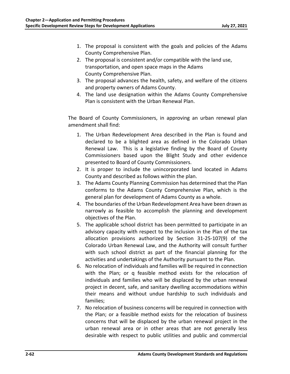- 1. The proposal is consistent with the goals and policies of the Adams County Comprehensive Plan.
- 2. The proposal is consistent and/or compatible with the land use, transportation, and open space maps in the Adams County Comprehensive Plan.
- 3. The proposal advances the health, safety, and welfare of the citizens and property owners of Adams County.
- 4. The land use designation within the Adams County Comprehensive Plan is consistent with the Urban Renewal Plan.

The Board of County Commissioners, in approving an urban renewal plan amendment shall find:

- 1. The Urban Redevelopment Area described in the Plan is found and declared to be a blighted area as defined in the Colorado Urban Renewal Law. This is a legislative finding by the Board of County Commissioners based upon the Blight Study and other evidence presented to Board of County Commissioners.
- 2. It is proper to include the unincorporated land located in Adams County and described as follows within the plan.
- 3. The Adams County Planning Commission has determined that the Plan conforms to the Adams County Comprehensive Plan, which is the general plan for development of Adams County as a whole.
- 4. The boundaries of the Urban Redevelopment Area have been drawn as narrowly as feasible to accomplish the planning and development objectives of the Plan.
- 5. The applicable school district has been permitted to participate in an advisory capacity with respect to the inclusion in the Plan of the tax allocation provisions authorized by Section 31‐25‐107(9) of the Colorado Urban Renewal Law, and the Authority will consult further with such school district as part of the financial planning for the activities and undertakings of the Authority pursuant to the Plan.
- 6. No relocation of individuals and families will be required in connection with the Plan; or q feasible method exists for the relocation of individuals and families who will be displaced by the urban renewal project in decent, safe, and sanitary dwelling accommodations within their means and without undue hardship to such individuals and families;
- 7. No relocation of business concerns will be required in connection with the Plan; or a feasible method exists for the relocation of business concerns that will be displaced by the urban renewal project in the urban renewal area or in other areas that are not generally less desirable with respect to public utilities and public and commercial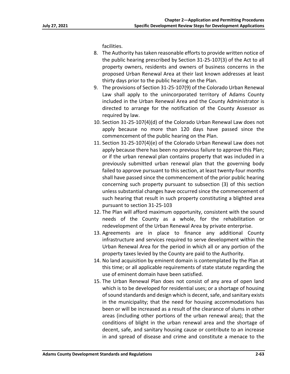facilities.

- 8. The Authority has taken reasonable efforts to provide written notice of the public hearing prescribed by Section 31‐25‐107(3) of the Act to all property owners, residents and owners of business concerns in the proposed Urban Renewal Area at their last known addresses at least thirty days prior to the public hearing on the Plan.
- 9. The provisions of Section 31‐25‐107(9) of the Colorado Urban Renewal Law shall apply to the unincorporated territory of Adams County included in the Urban Renewal Area and the County Administrator is directed to arrange for the notification of the County Assessor as required by law.
- 10. Section 31‐25‐107(4)(d) of the Colorado Urban Renewal Law does not apply because no more than 120 days have passed since the commencement of the public hearing on the Plan.
- 11. Section 31‐25‐107(4)(e) of the Colorado Urban Renewal Law does not apply because there has been no previous failure to approve this Plan; or if the urban renewal plan contains property that was included in a previously submitted urban renewal plan that the governing body failed to approve pursuant to this section, at least twenty‐four months shall have passed since the commencement of the prior public hearing concerning such property pursuant to subsection (3) of this section unless substantial changes have occurred since the commencement of such hearing that result in such property constituting a blighted area pursuant to section 31‐25‐103
- 12. The Plan will afford maximum opportunity, consistent with the sound needs of the County as a whole, for the rehabilitation or redevelopment of the Urban Renewal Area by private enterprise.
- 13. Agreements are in place to finance any additional County infrastructure and services required to serve development within the Urban Renewal Area for the period in which all or any portion of the property taxes levied by the County are paid to the Authority.
- 14. No land acquisition by eminent domain is contemplated by the Plan at this time; or all applicable requirements of state statute regarding the use of eminent domain have been satisfied.
- 15. The Urban Renewal Plan does not consist of any area of open land which is to be developed for residential uses; or a shortage of housing of sound standards and design which is decent, safe, and sanitary exists in the municipality; that the need for housing accommodations has been or will be increased as a result of the clearance of slums in other areas (including other portions of the urban renewal area); that the conditions of blight in the urban renewal area and the shortage of decent, safe, and sanitary housing cause or contribute to an increase in and spread of disease and crime and constitute a menace to the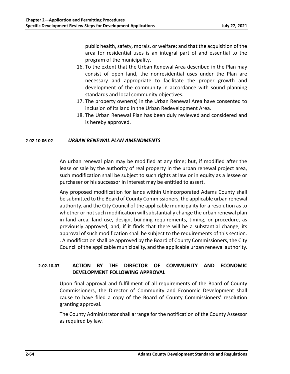public health, safety, morals, or welfare; and that the acquisition of the area for residential uses is an integral part of and essential to the program of the municipality.

- 16. To the extent that the Urban Renewal Area described in the Plan may consist of open land, the nonresidential uses under the Plan are necessary and appropriate to facilitate the proper growth and development of the community in accordance with sound planning standards and local community objectives.
- 17. The property owner(s) in the Urban Renewal Area have consented to inclusion of its land in the Urban Redevelopment Area.
- 18. The Urban Renewal Plan has been duly reviewed and considered and is hereby approved.

# **2‐02‐10‐06‐02** *URBAN RENEWAL PLAN AMENDMENTS*

An urban renewal plan may be modified at any time; but, if modified after the lease or sale by the authority of real property in the urban renewal project area, such modification shall be subject to such rights at law or in equity as a lessee or purchaser or his successor in interest may be entitled to assert.

Any proposed modification for lands within Unincorporated Adams County shall be submitted to the Board of County Commissioners, the applicable urban renewal authority, and the City Council of the applicable municipality for a resolution as to whether or not such modification will substantially change the urban renewal plan in land area, land use, design, building requirements, timing, or procedure, as previously approved, and, if it finds that there will be a substantial change, its approval of such modification shall be subject to the requirements of this section. . A modification shall be approved by the Board of County Commissioners, the City Council of the applicable municipality, and the applicable urban renewal authority.

# **2‐02‐10‐07 ACTION BY THE DIRECTOR OF COMMUNITY AND ECONOMIC DEVELOPMENT FOLLOWING APPROVAL**

Upon final approval and fulfillment of all requirements of the Board of County Commissioners, the Director of Community and Economic Development shall cause to have filed a copy of the Board of County Commissioners' resolution granting approval.

The County Administrator shall arrange for the notification of the County Assessor as required by law.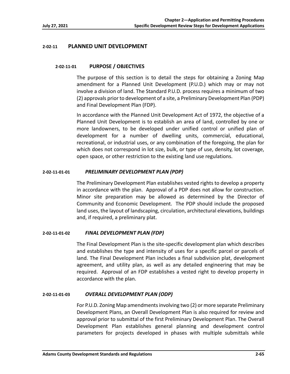# **2‐02‐11 PLANNED UNIT DEVELOPMENT**

## **2‐02‐11‐01 PURPOSE / OBJECTIVES**

The purpose of this section is to detail the steps for obtaining a Zoning Map amendment for a Planned Unit Development (P.U.D.) which may or may not involve a division of land. The Standard P.U.D. process requires a minimum of two (2) approvals prior to development of a site, a Preliminary Development Plan (PDP) and Final Development Plan (FDP).

In accordance with the Planned Unit Development Act of 1972, the objective of a Planned Unit Development is to establish an area of land, controlled by one or more landowners, to be developed under unified control or unified plan of development for a number of dwelling units, commercial, educational, recreational, or industrial uses, or any combination of the foregoing, the plan for which does not correspond in lot size, bulk, or type of use, density, lot coverage, open space, or other restriction to the existing land use regulations.

## **2‐02‐11‐01‐01** *PRELIMINARY DEVELOPMENT PLAN (PDP)*

The Preliminary Development Plan establishes vested rights to develop a property in accordance with the plan. Approval of a PDP does not allow for construction. Minor site preparation may be allowed as determined by the Director of Community and Economic Development. The PDP should include the proposed land uses, the layout of landscaping, circulation, architectural elevations, buildings and, if required, a preliminary plat.

## **2‐02‐11‐01‐02** *FINAL DEVELOPMENT PLAN (FDP)*

The Final Development Plan is the site‐specific development plan which describes and establishes the type and intensity of uses for a specific parcel or parcels of land. The Final Development Plan includes a final subdivision plat, development agreement, and utility plan, as well as any detailed engineering that may be required. Approval of an FDP establishes a vested right to develop property in accordance with the plan.

## **2‐02‐11‐01‐03** *OVERALL DEVELOPMENT PLAN (ODP)*

For P.U.D. Zoning Map amendments involving two (2) or more separate Preliminary Development Plans, an Overall Development Plan is also required for review and approval prior to submittal of the first Preliminary Development Plan. The Overall Development Plan establishes general planning and development control parameters for projects developed in phases with multiple submittals while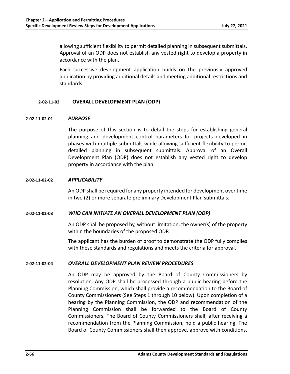allowing sufficient flexibility to permit detailed planning in subsequent submittals. Approval of an ODP does not establish any vested right to develop a property in accordance with the plan.

Each successive development application builds on the previously approved application by providing additional details and meeting additional restrictions and standards.

## **2‐02‐11‐02 OVERALL DEVELOPMENT PLAN (ODP)**

## **2‐02‐11‐02‐01** *PURPOSE*

The purpose of this section is to detail the steps for establishing general planning and development control parameters for projects developed in phases with multiple submittals while allowing sufficient flexibility to permit detailed planning in subsequent submittals. Approval of an Overall Development Plan (ODP) does not establish any vested right to develop property in accordance with the plan.

### **2‐02‐11‐02‐02** *APPLICABILITY*

An ODP shall be required for any property intended for development over time in two (2) or more separate preliminary Development Plan submittals.

## **2‐02‐11‐02‐03** *WHO CAN INITIATE AN OVERALL DEVELOPMENT PLAN (ODP)*

An ODP shall be proposed by, without limitation, the owner(s) of the property within the boundaries of the proposed ODP.

The applicant has the burden of proof to demonstrate the ODP fully complies with these standards and regulations and meets the criteria for approval.

## **2‐02‐11‐02‐04** *OVERALL DEVELOPMENT PLAN REVIEW PROCEDURES*

An ODP may be approved by the Board of County Commissioners by resolution. Any ODP shall be processed through a public hearing before the Planning Commission, which shall provide a recommendation to the Board of County Commissioners (See Steps 1 through 10 below). Upon completion of a hearing by the Planning Commission, the ODP and recommendation of the Planning Commission shall be forwarded to the Board of County Commissioners. The Board of County Commissioners shall, after receiving a recommendation from the Planning Commission, hold a public hearing. The Board of County Commissioners shall then approve, approve with conditions,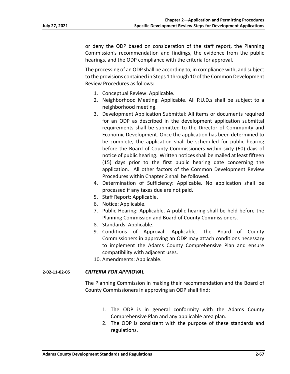or deny the ODP based on consideration of the staff report, the Planning Commission's recommendation and findings, the evidence from the public hearings, and the ODP compliance with the criteria for approval.

The processing of an ODP shall be according to, in compliance with, and subject to the provisions contained in Steps 1 through 10 of the Common Development Review Procedures as follows:

- 1. Conceptual Review: Applicable.
- 2. Neighborhood Meeting: Applicable. All P.U.D.s shall be subject to a neighborhood meeting.
- 3. Development Application Submittal: All items or documents required for an ODP as described in the development application submittal requirements shall be submitted to the Director of Community and Economic Development. Once the application has been determined to be complete, the application shall be scheduled for public hearing before the Board of County Commissioners within sixty (60) days of notice of public hearing. Written notices shall be mailed at least fifteen (15) days prior to the first public hearing date concerning the application. All other factors of the Common Development Review Procedures within Chapter 2 shall be followed.
- 4. Determination of Sufficiency: Applicable. No application shall be processed if any taxes due are not paid.
- 5. Staff Report: Applicable.
- 6. Notice: Applicable.
- 7. Public Hearing: Applicable. A public hearing shall be held before the Planning Commission and Board of County Commissioners.
- 8. Standards: Applicable.
- 9. Conditions of Approval: Applicable. The Board of County Commissioners in approving an ODP may attach conditions necessary to implement the Adams County Comprehensive Plan and ensure compatibility with adjacent uses.
- 10. Amendments: Applicable.

## **2‐02‐11‐02‐05** *CRITERIA FOR APPROVAL*

The Planning Commission in making their recommendation and the Board of County Commissioners in approving an ODP shall find:

- 1. The ODP is in general conformity with the Adams County Comprehensive Plan and any applicable area plan.
- 2. The ODP is consistent with the purpose of these standards and regulations.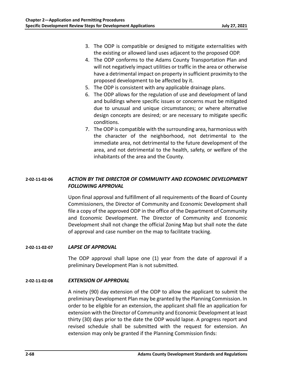- 3. The ODP is compatible or designed to mitigate externalities with the existing or allowed land uses adjacent to the proposed ODP.
- 4. The ODP conforms to the Adams County Transportation Plan and will not negatively impact utilities or traffic in the area or otherwise have a detrimental impact on property in sufficient proximity to the proposed development to be affected by it.
- 5. The ODP is consistent with any applicable drainage plans.
- 6. The ODP allows for the regulation of use and development of land and buildings where specific issues or concerns must be mitigated due to unusual and unique circumstances; or where alternative design concepts are desired; or are necessary to mitigate specific conditions.
- 7. The ODP is compatible with the surrounding area, harmonious with the character of the neighborhood, not detrimental to the immediate area, not detrimental to the future development of the area, and not detrimental to the health, safety, or welfare of the inhabitants of the area and the County.

# **2‐02‐11‐02‐06** *ACTION BY THE DIRECTOR OF COMMUNITY AND ECONOMIC DEVELOPMENT FOLLOWING APPROVAL*

Upon final approval and fulfillment of all requirements of the Board of County Commissioners, the Director of Community and Economic Development shall file a copy of the approved ODP in the office of the Department of Community and Economic Development. The Director of Community and Economic Development shall not change the official Zoning Map but shall note the date of approval and case number on the map to facilitate tracking.

## **2‐02‐11‐02‐07** *LAPSE OF APPROVAL*

The ODP approval shall lapse one (1) year from the date of approval if a preliminary Development Plan is not submitted.

## **2‐02‐11‐02‐08** *EXTENSION OF APPROVAL*

A ninety (90) day extension of the ODP to allow the applicant to submit the preliminary Development Plan may be granted by the Planning Commission. In order to be eligible for an extension, the applicant shall file an application for extension with the Director of Community and Economic Development at least thirty (30) days prior to the date the ODP would lapse. A progress report and revised schedule shall be submitted with the request for extension. An extension may only be granted if the Planning Commission finds: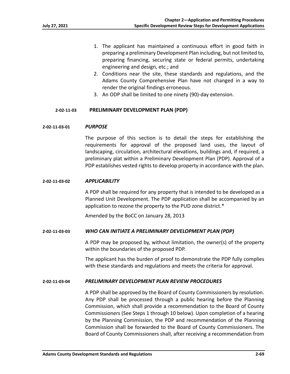- 1. The applicant has maintained a continuous effort in good faith in preparing a preliminary Development Plan including, but not limited to, preparing financing, securing state or federal permits, undertaking engineering and design, etc.; and
- 2. Conditions near the site, these standards and regulations, and the Adams County Comprehensive Plan have not changed in a way to render the original findings erroneous.
- 3. An ODP shall be limited to one ninety (90)‐day extension.

#### **2‐02‐11‐03 PRELIMINARY DEVELOPMENT PLAN (PDP)**

#### **2‐02‐11‐03‐01** *PURPOSE*

The purpose of this section is to detail the steps for establishing the requirements for approval of the proposed land uses, the layout of landscaping, circulation, architectural elevations, buildings and, if required, a preliminary plat within a Preliminary Development Plan (PDP). Approval of a PDP establishes vested rights to develop property in accordance with the plan.

#### **2‐02‐11‐03‐02** *APPLICABILITY*

A PDP shall be required for any property that is intended to be developed as a Planned Unit Development. The PDP application shall be accompanied by an application to rezone the property to the PUD zone district.\*

Amended by the BoCC on January 28, 2013

#### **2‐02‐11‐03‐03** *WHO CAN INITIATE A PRELIMINARY DEVELOPMENT PLAN (PDP)*

A PDP may be proposed by, without limitation, the owner(s) of the property within the boundaries of the proposed PDP.

The applicant has the burden of proof to demonstrate the PDP fully complies with these standards and regulations and meets the criteria for approval.

#### **2‐02‐11‐03‐04** *PRELIMINARY DEVELOPMENT PLAN REVIEW PROCEDURES*

A PDP shall be approved by the Board of County Commissioners by resolution. Any PDP shall be processed through a public hearing before the Planning Commission, which shall provide a recommendation to the Board of County Commissioners (See Steps 1 through 10 below). Upon completion of a hearing by the Planning Commission, the PDP and recommendation of the Planning Commission shall be forwarded to the Board of County Commissioners. The Board of County Commissioners shall, after receiving a recommendation from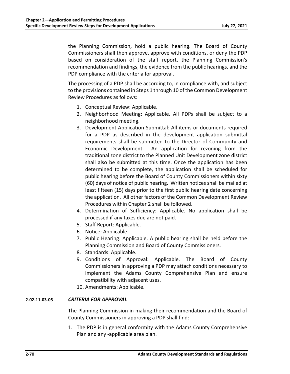the Planning Commission, hold a public hearing. The Board of County Commissioners shall then approve, approve with conditions, or deny the PDP based on consideration of the staff report, the Planning Commission's recommendation and findings, the evidence from the public hearings, and the PDP compliance with the criteria for approval.

The processing of a PDP shall be according to, in compliance with, and subject to the provisions contained in Steps 1 through 10 of the Common Development Review Procedures as follows:

- 1. Conceptual Review: Applicable.
- 2. Neighborhood Meeting: Applicable. All PDPs shall be subject to a neighborhood meeting.
- 3. Development Application Submittal: All items or documents required for a PDP as described in the development application submittal requirements shall be submitted to the Director of Community and Economic Development. An application for rezoning from the traditional zone district to the Planned Unit Development zone district shall also be submitted at this time. Once the application has been determined to be complete, the application shall be scheduled for public hearing before the Board of County Commissioners within sixty (60) days of notice of public hearing. Written notices shall be mailed at least fifteen (15) days prior to the first public hearing date concerning the application. All other factors of the Common Development Review Procedures within Chapter 2 shall be followed.
- 4. Determination of Sufficiency: Applicable. No application shall be processed if any taxes due are not paid.
- 5. Staff Report: Applicable.
- 6. Notice: Applicable.
- 7. Public Hearing: Applicable. A public hearing shall be held before the Planning Commission and Board of County Commissioners.
- 8. Standards: Applicable.
- 9. Conditions of Approval: Applicable. The Board of County Commissioners in approving a PDP may attach conditions necessary to implement the Adams County Comprehensive Plan and ensure compatibility with adjacent uses.
- 10. Amendments: Applicable.

# **2‐02‐11‐03‐05** *CRITERIA FOR APPROVAL*

The Planning Commission in making their recommendation and the Board of County Commissioners in approving a PDP shall find:

1. The PDP is in general conformity with the Adams County Comprehensive Plan and any ‐applicable area plan.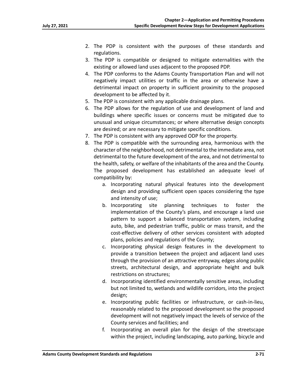- 2. The PDP is consistent with the purposes of these standards and regulations.
- 3. The PDP is compatible or designed to mitigate externalities with the existing or allowed land uses adjacent to the proposed PDP.
- 4. The PDP conforms to the Adams County Transportation Plan and will not negatively impact utilities or traffic in the area or otherwise have a detrimental impact on property in sufficient proximity to the proposed development to be affected by it.
- 5. The PDP is consistent with any applicable drainage plans.
- 6. The PDP allows for the regulation of use and development of land and buildings where specific issues or concerns must be mitigated due to unusual and unique circumstances; or where alternative design concepts are desired; or are necessary to mitigate specific conditions.
- 7. The PDP is consistent with any approved ODP for the property.
- 8. The PDP is compatible with the surrounding area, harmonious with the character of the neighborhood, not detrimental to the immediate area, not detrimental to the future development of the area, and not detrimental to the health, safety, or welfare of the inhabitants of the area and the County. The proposed development has established an adequate level of compatibility by:
	- a. Incorporating natural physical features into the development design and providing sufficient open spaces considering the type and intensity of use;
	- b. Incorporating site planning techniques to foster the implementation of the County's plans, and encourage a land use pattern to support a balanced transportation system, including auto, bike, and pedestrian traffic, public or mass transit, and the cost-effective delivery of other services consistent with adopted plans, policies and regulations of the County;
	- c. Incorporating physical design features in the development to provide a transition between the project and adjacent land uses through the provision of an attractive entryway, edges along public streets, architectural design, and appropriate height and bulk restrictions on structures;
	- d. Incorporating identified environmentally sensitive areas, including but not limited to, wetlands and wildlife corridors, into the project design;
	- e. Incorporating public facilities or infrastructure, or cash‐in‐lieu, reasonably related to the proposed development so the proposed development will not negatively impact the levels of service of the County services and facilities; and
	- f. Incorporating an overall plan for the design of the streetscape within the project, including landscaping, auto parking, bicycle and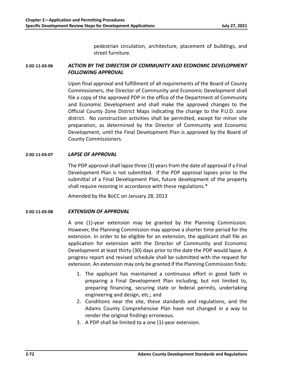pedestrian circulation, architecture, placement of buildings, and street furniture.

# **2‐02‐11‐03‐06** *ACTION BY THE DIRECTOR OF COMMUNITY AND ECONOMIC DEVELOPMENT FOLLOWING APPROVAL*

Upon final approval and fulfillment of all requirements of the Board of County Commissioners, the Director of Community and Economic Development shall file a copy of the approved PDP in the office of the Department of Community and Economic Development and shall make the approved changes to the Official County Zone District Maps indicating the change to the P.U.D. zone district. No construction activities shall be permitted, except for minor site preparation, as determined by the Director of Community and Economic Development, until the Final Development Plan is approved by the Board of County Commissioners.

## **2‐02‐11‐03‐07** *LAPSE OF APPROVAL*

The PDP approval shall lapse three (3) years from the date of approval if a Final Development Plan is not submitted. If the PDP approval lapses prior to the submittal of a Final Development Plan, future development of the property shall require rezoning in accordance with these regulations.\*

Amended by the BoCC on January 28, 2013

# **2‐02‐11‐03‐08** *EXTENSION OF APPROVAL*

A one (1)‐year extension may be granted by the Planning Commission. However, the Planning Commission may approve a shorter time period for the extension. In order to be eligible for an extension, the applicant shall file an application for extension with the Director of Community and Economic Development at least thirty (30) days prior to the date the PDP would lapse. A progress report and revised schedule shall be submitted with the request for extension. An extension may only be granted if the Planning Commission finds:

- 1. The applicant has maintained a continuous effort in good faith in preparing a Final Development Plan including, but not limited to, preparing financing, securing state or federal permits, undertaking engineering and design, etc.; and
- 2. Conditions near the site, these standards and regulations, and the Adams County Comprehensive Plan have not changed in a way to render the original findings erroneous.
- 3. A PDP shall be limited to a one (1)‐year extension.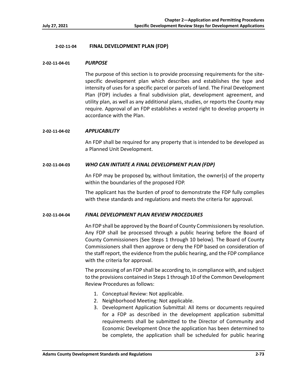## **2‐02‐11‐04 FINAL DEVELOPMENT PLAN (FDP)**

## **2‐02‐11‐04‐01** *PURPOSE*

The purpose of this section is to provide processing requirements for the site‐ specific development plan which describes and establishes the type and intensity of uses for a specific parcel or parcels of land. The Final Development Plan (FDP) includes a final subdivision plat, development agreement, and utility plan, as well as any additional plans, studies, or reports the County may require. Approval of an FDP establishes a vested right to develop property in accordance with the Plan.

## **2‐02‐11‐04‐02** *APPLICABILITY*

An FDP shall be required for any property that is intended to be developed as a Planned Unit Development.

## **2‐02‐11‐04‐03** *WHO CAN INITIATE A FINAL DEVELOPMENT PLAN (FDP)*

An FDP may be proposed by, without limitation, the owner(s) of the property within the boundaries of the proposed FDP.

The applicant has the burden of proof to demonstrate the FDP fully complies with these standards and regulations and meets the criteria for approval.

## **2‐02‐11‐04‐04** *FINAL DEVELOPMENT PLAN REVIEW PROCEDURES*

An FDP shall be approved by the Board of County Commissioners by resolution. Any FDP shall be processed through a public hearing before the Board of County Commissioners (See Steps 1 through 10 below). The Board of County Commissioners shall then approve or deny the FDP based on consideration of the staff report, the evidence from the public hearing, and the FDP compliance with the criteria for approval.

The processing of an FDP shall be according to, in compliance with, and subject to the provisions contained in Steps 1 through 10 of the Common Development Review Procedures as follows:

- 1. Conceptual Review: Not applicable.
- 2. Neighborhood Meeting: Not applicable.
- 3. Development Application Submittal: All items or documents required for a FDP as described in the development application submittal requirements shall be submitted to the Director of Community and Economic Development Once the application has been determined to be complete, the application shall be scheduled for public hearing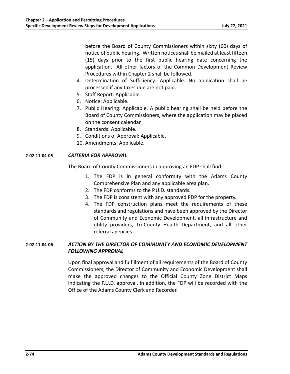before the Board of County Commissioners within sixty (60) days of notice of public hearing. Written notices shall be mailed at least fifteen (15) days prior to the first public hearing date concerning the application. All other factors of the Common Development Review Procedures within Chapter 2 shall be followed.

- 4. Determination of Sufficiency: Applicable. No application shall be processed if any taxes due are not paid.
- 5. Staff Report: Applicable.
- 6. Notice: Applicable.
- 7. Public Hearing: Applicable. A public hearing shall be held before the Board of County Commissioners, where the application may be placed on the consent calendar.
- 8. Standards: Applicable.
- 9. Conditions of Approval: Applicable.
- 10. Amendments: Applicable.

## **2‐02‐11‐04‐05** *CRITERIA FOR APPROVAL*

The Board of County Commissioners in approving an FDP shall find:

- 1. The FDP is in general conformity with the Adams County Comprehensive Plan and any applicable area plan.
- 2. The FDP conforms to the P.U.D. standards.
- 3. The FDP is consistent with any approved PDP for the property.
- 4. The FDP construction plans meet the requirements of these standards and regulations and have been approved by the Director of Community and Economic Development, all infrastructure and utility providers, Tri‐County Health Department, and all other referral agencies.

# **2‐02‐11‐04‐06** *ACTION BY THE DIRECTOR OF COMMUNITY AND ECONOMIC DEVELOPMENT FOLLOWING APPROVAL*

Upon final approval and fulfillment of all requirements of the Board of County Commissioners, the Director of Community and Economic Development shall make the approved changes to the Official County Zone District Maps indicating the P.U.D. approval. In addition, the FDP will be recorded with the Office of the Adams County Clerk and Recorder.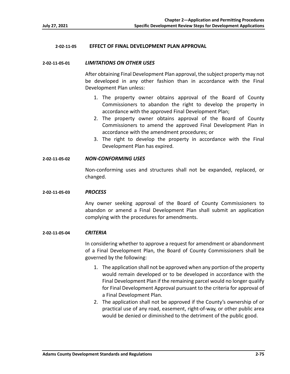## **2‐02‐11‐05 EFFECT OF FINAL DEVELOPMENT PLAN APPROVAL**

#### **2‐02‐11‐05‐01** *LIMITATIONS ON OTHER USES*

After obtaining Final Development Plan approval, the subject property may not be developed in any other fashion than in accordance with the Final Development Plan unless:

- 1. The property owner obtains approval of the Board of County Commissioners to abandon the right to develop the property in accordance with the approved Final Development Plan;
- 2. The property owner obtains approval of the Board of County Commissioners to amend the approved Final Development Plan in accordance with the amendment procedures; or
- 3. The right to develop the property in accordance with the Final Development Plan has expired.

## **2‐02‐11‐05‐02** *NON‐CONFORMING USES*

Non-conforming uses and structures shall not be expanded, replaced, or changed.

#### **2‐02‐11‐05‐03** *PROCESS*

Any owner seeking approval of the Board of County Commissioners to abandon or amend a Final Development Plan shall submit an application complying with the procedures for amendments.

#### **2‐02‐11‐05‐04** *CRITERIA*

In considering whether to approve a request for amendment or abandonment of a Final Development Plan, the Board of County Commissioners shall be governed by the following:

- 1. The application shall not be approved when any portion of the property would remain developed or to be developed in accordance with the Final Development Plan if the remaining parcel would no longer qualify for Final Development Approval pursuant to the criteria for approval of a Final Development Plan.
- 2. The application shall not be approved if the County's ownership of or practical use of any road, easement, right‐of‐way, or other public area would be denied or diminished to the detriment of the public good.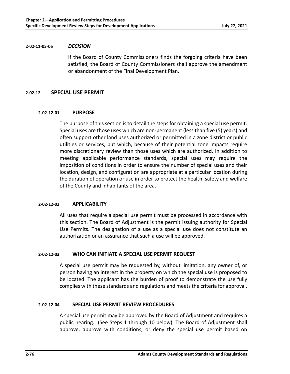## **2‐02‐11‐05‐05** *DECISION*

If the Board of County Commissioners finds the forgoing criteria have been satisfied, the Board of County Commissioners shall approve the amendment or abandonment of the Final Development Plan.

## **2‐02‐12 SPECIAL USE PERMIT**

## **2‐02‐12‐01 PURPOSE**

The purpose of this section is to detail the steps for obtaining a special use permit. Special uses are those uses which are non‐permanent (less than five (5) years) and often support other land uses authorized or permitted in a zone district or public utilities or services, but which, because of their potential zone impacts require more discretionary review than those uses which are authorized. In addition to meeting applicable performance standards, special uses may require the imposition of conditions in order to ensure the number of special uses and their location, design, and configuration are appropriate at a particular location during the duration of operation or use in order to protect the health, safety and welfare of the County and inhabitants of the area.

## **2‐02‐12‐02 APPLICABILITY**

All uses that require a special use permit must be processed in accordance with this section. The Board of Adjustment is the permit issuing authority for Special Use Permits. The designation of a use as a special use does not constitute an authorization or an assurance that such a use will be approved.

## **2‐02‐12‐03 WHO CAN INITIATE A SPECIAL USE PERMIT REQUEST**

A special use permit may be requested by, without limitation, any owner of, or person having an interest in the property on which the special use is proposed to be located. The applicant has the burden of proof to demonstrate the use fully complies with these standards and regulations and meets the criteria for approval.

## **2‐02‐12‐04 SPECIAL USE PERMIT REVIEW PROCEDURES**

A special use permit may be approved by the Board of Adjustment and requires a public hearing. (See Steps 1 through 10 below). The Board of Adjustment shall approve, approve with conditions, or deny the special use permit based on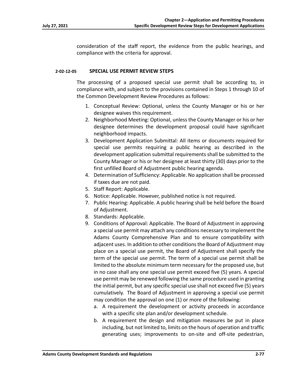consideration of the staff report, the evidence from the public hearings, and compliance with the criteria for approval.

## **2‐02‐12‐05 SPECIAL USE PERMIT REVIEW STEPS**

The processing of a proposed special use permit shall be according to, in compliance with, and subject to the provisions contained in Steps 1 through 10 of the Common Development Review Procedures as follows:

- 1. Conceptual Review: Optional, unless the County Manager or his or her designee waives this requirement.
- 2. Neighborhood Meeting: Optional, unless the County Manager or his or her designee determines the development proposal could have significant neighborhood impacts.
- 3. Development Application Submittal: All items or documents required for special use permits requiring a public hearing as described in the development application submittal requirements shall be submitted to the County Manager or his or her designee at least thirty (30) days prior to the first unfilled Board of Adjustment public hearing agenda.
- 4. Determination of Sufficiency: Applicable. No application shall be processed if taxes due are not paid.
- 5. Staff Report: Applicable.
- 6. Notice: Applicable. However, published notice is not required.
- 7. Public Hearing: Applicable. A public hearing shall be held before the Board of Adjustment.
- 8. Standards: Applicable.
- 9. Conditions of Approval: Applicable. The Board of Adjustment in approving a special use permit may attach any conditions necessary to implement the Adams County Comprehensive Plan and to ensure compatibility with adjacent uses. In addition to other conditions the Board of Adjustment may place on a special use permit, the Board of Adjustment shall specify the term of the special use permit. The term of a special use permit shall be limited to the absolute minimum term necessary for the proposed use, but in no case shall any one special use permit exceed five (5) years. A special use permit may be renewed following the same procedure used in granting the initial permit, but any specific special use shall not exceed five (5) years cumulatively. The Board of Adjustment in approving a special use permit may condition the approval on one (1) or more of the following:
	- a. A requirement the development or activity proceeds in accordance with a specific site plan and/or development schedule.
	- b. A requirement the design and mitigation measures be put in place including, but not limited to, limits on the hours of operation and traffic generating uses; improvements to on‐site and off‐site pedestrian,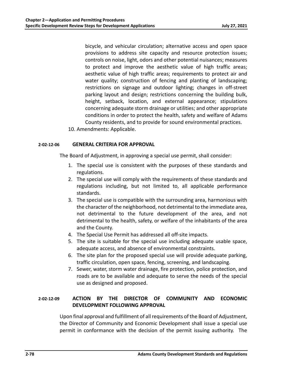bicycle, and vehicular circulation; alternative access and open space provisions to address site capacity and resource protection issues; controls on noise, light, odors and other potential nuisances; measures to protect and improve the aesthetic value of high traffic areas; aesthetic value of high traffic areas; requirements to protect air and water quality; construction of fencing and planting of landscaping; restrictions on signage and outdoor lighting; changes in off-street parking layout and design; restrictions concerning the building bulk, height, setback, location, and external appearance; stipulations concerning adequate storm drainage or utilities; and other appropriate conditions in order to protect the health, safety and welfare of Adams County residents, and to provide for sound environmental practices.

10. Amendments: Applicable.

## **2‐02‐12‐06 GENERAL CRITERIA FOR APPROVAL**

The Board of Adjustment, in approving a special use permit, shall consider:

- 1. The special use is consistent with the purposes of these standards and regulations.
- 2. The special use will comply with the requirements of these standards and regulations including, but not limited to, all applicable performance standards.
- 3. The special use is compatible with the surrounding area, harmonious with the character of the neighborhood, not detrimental to the immediate area, not detrimental to the future development of the area, and not detrimental to the health, safety, or welfare of the inhabitants of the area and the County.
- 4. The Special Use Permit has addressed all off‐site impacts.
- 5. The site is suitable for the special use including adequate usable space, adequate access, and absence of environmental constraints.
- 6. The site plan for the proposed special use will provide adequate parking, traffic circulation, open space, fencing, screening, and landscaping.
- 7. Sewer, water, storm water drainage, fire protection, police protection, and roads are to be available and adequate to serve the needs of the special use as designed and proposed.

# **2‐02‐12‐09 ACTION BY THE DIRECTOR OF COMMUNITY AND ECONOMIC DEVELOPMENT FOLLOWING APPROVAL**

Upon final approval and fulfillment of all requirements of the Board of Adjustment, the Director of Community and Economic Development shall issue a special use permit in conformance with the decision of the permit issuing authority. The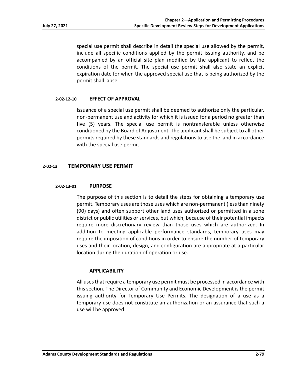special use permit shall describe in detail the special use allowed by the permit, include all specific conditions applied by the permit issuing authority, and be accompanied by an official site plan modified by the applicant to reflect the conditions of the permit. The special use permit shall also state an explicit expiration date for when the approved special use that is being authorized by the permit shall lapse.

## **2‐02‐12‐10 EFFECT OF APPROVAL**

Issuance of a special use permit shall be deemed to authorize only the particular, non‐permanent use and activity for which it is issued for a period no greater than five (5) years. The special use permit is nontransferable unless otherwise conditioned by the Board of Adjustment. The applicant shall be subject to all other permits required by these standards and regulations to use the land in accordance with the special use permit.

# **2‐02‐13 TEMPORARY USE PERMIT**

## **2‐02‐13‐01 PURPOSE**

The purpose of this section is to detail the steps for obtaining a temporary use permit. Temporary uses are those uses which are non‐permanent (less than ninety (90) days) and often support other land uses authorized or permitted in a zone district or public utilities or services, but which, because of their potential impacts require more discretionary review than those uses which are authorized. In addition to meeting applicable performance standards, temporary uses may require the imposition of conditions in order to ensure the number of temporary uses and their location, design, and configuration are appropriate at a particular location during the duration of operation or use.

## **APPLICABILITY**

All uses that require a temporary use permit must be processed in accordance with this section. The Director of Community and Economic Development is the permit issuing authority for Temporary Use Permits. The designation of a use as a temporary use does not constitute an authorization or an assurance that such a use will be approved.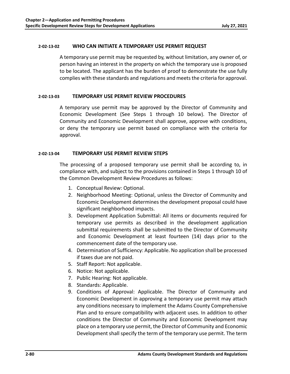## **2‐02‐13‐02 WHO CAN INITIATE A TEMPORARY USE PERMIT REQUEST**

A temporary use permit may be requested by, without limitation, any owner of, or person having an interest in the property on which the temporary use is proposed to be located. The applicant has the burden of proof to demonstrate the use fully complies with these standards and regulations and meets the criteria for approval.

## **2‐02‐13‐03 TEMPORARY USE PERMIT REVIEW PROCEDURES**

A temporary use permit may be approved by the Director of Community and Economic Development (See Steps 1 through 10 below). The Director of Community and Economic Development shall approve, approve with conditions, or deny the temporary use permit based on compliance with the criteria for approval.

## **2‐02‐13‐04 TEMPORARY USE PERMIT REVIEW STEPS**

The processing of a proposed temporary use permit shall be according to, in compliance with, and subject to the provisions contained in Steps 1 through 10 of the Common Development Review Procedures as follows:

- 1. Conceptual Review: Optional.
- 2. Neighborhood Meeting: Optional, unless the Director of Community and Economic Development determines the development proposal could have significant neighborhood impacts.
- 3. Development Application Submittal: All items or documents required for temporary use permits as described in the development application submittal requirements shall be submitted to the Director of Community and Economic Development at least fourteen (14) days prior to the commencement date of the temporary use.
- 4. Determination of Sufficiency: Applicable. No application shall be processed if taxes due are not paid.
- 5. Staff Report: Not applicable.
- 6. Notice: Not applicable.
- 7. Public Hearing: Not applicable.
- 8. Standards: Applicable.
- 9. Conditions of Approval: Applicable. The Director of Community and Economic Development in approving a temporary use permit may attach any conditions necessary to implement the Adams County Comprehensive Plan and to ensure compatibility with adjacent uses. In addition to other conditions the Director of Community and Economic Development may place on a temporary use permit, the Director of Community and Economic Development shall specify the term of the temporary use permit. The term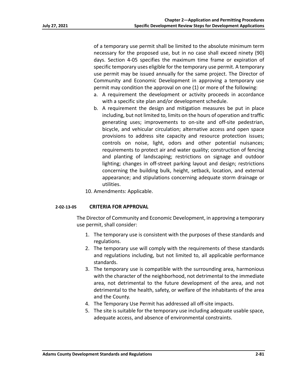of a temporary use permit shall be limited to the absolute minimum term necessary for the proposed use, but in no case shall exceed ninety (90) days. Section 4‐05 specifies the maximum time frame or expiration of specific temporary uses eligible for the temporary use permit. A temporary use permit may be issued annually for the same project. The Director of Community and Economic Development in approving a temporary use permit may condition the approval on one (1) or more of the following:

- a. A requirement the development or activity proceeds in accordance with a specific site plan and/or development schedule.
- b. A requirement the design and mitigation measures be put in place including, but not limited to, limits on the hours of operation and traffic generating uses; improvements to on‐site and off‐site pedestrian, bicycle, and vehicular circulation; alternative access and open space provisions to address site capacity and resource protection issues; controls on noise, light, odors and other potential nuisances; requirements to protect air and water quality; construction of fencing and planting of landscaping; restrictions on signage and outdoor lighting; changes in off-street parking layout and design; restrictions concerning the building bulk, height, setback, location, and external appearance; and stipulations concerning adequate storm drainage or utilities.
- 10. Amendments: Applicable.

## **2‐02‐13‐05 CRITERIA FOR APPROVAL**

The Director of Community and Economic Development, in approving a temporary use permit, shall consider:

- 1. The temporary use is consistent with the purposes of these standards and regulations.
- 2. The temporary use will comply with the requirements of these standards and regulations including, but not limited to, all applicable performance standards.
- 3. The temporary use is compatible with the surrounding area, harmonious with the character of the neighborhood, not detrimental to the immediate area, not detrimental to the future development of the area, and not detrimental to the health, safety, or welfare of the inhabitants of the area and the County.
- 4. The Temporary Use Permit has addressed all off‐site impacts.
- 5. The site is suitable for the temporary use including adequate usable space, adequate access, and absence of environmental constraints.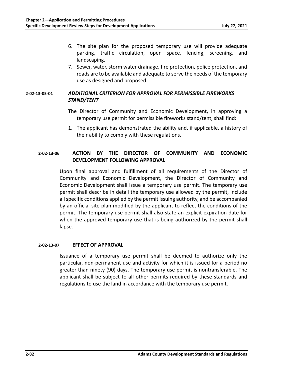- 6. The site plan for the proposed temporary use will provide adequate parking, traffic circulation, open space, fencing, screening, and landscaping.
- 7. Sewer, water, storm water drainage, fire protection, police protection, and roads are to be available and adequate to serve the needs of the temporary use as designed and proposed.

# **2‐02‐13‐05‐01** *ADDITIONAL CRITERION FOR APPROVAL FOR PERMISSIBLE FIREWORKS STAND/TENT*

- The Director of Community and Economic Development, in approving a temporary use permit for permissible fireworks stand/tent, shall find:
- 1. The applicant has demonstrated the ability and, if applicable, a history of their ability to comply with these regulations.

# **2‐02‐13‐06 ACTION BY THE DIRECTOR OF COMMUNITY AND ECONOMIC DEVELOPMENT FOLLOWING APPROVAL**

Upon final approval and fulfillment of all requirements of the Director of Community and Economic Development, the Director of Community and Economic Development shall issue a temporary use permit. The temporary use permit shall describe in detail the temporary use allowed by the permit, include all specific conditions applied by the permit issuing authority, and be accompanied by an official site plan modified by the applicant to reflect the conditions of the permit. The temporary use permit shall also state an explicit expiration date for when the approved temporary use that is being authorized by the permit shall lapse.

## **2‐02‐13‐07 EFFECT OF APPROVAL**

Issuance of a temporary use permit shall be deemed to authorize only the particular, non‐permanent use and activity for which it is issued for a period no greater than ninety (90) days. The temporary use permit is nontransferable. The applicant shall be subject to all other permits required by these standards and regulations to use the land in accordance with the temporary use permit.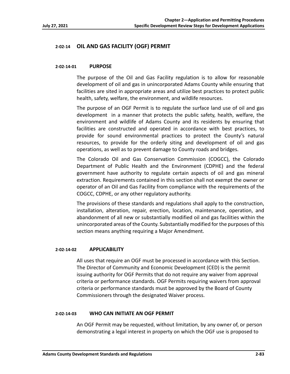# **2‐02‐14 OIL AND GAS FACILITY (OGF) PERMIT**

## **2‐02‐14‐01 PURPOSE**

The purpose of the Oil and Gas Facility regulation is to allow for reasonable development of oil and gas in unincorporated Adams County while ensuring that facilities are sited in appropriate areas and utilize best practices to protect public health, safety, welfare, the environment, and wildlife resources.

The purpose of an OGF Permit is to regulate the surface land use of oil and gas development in a manner that protects the public safety, health, welfare, the environment and wildlife of Adams County and its residents by ensuring that facilities are constructed and operated in accordance with best practices, to provide for sound environmental practices to protect the County's natural resources, to provide for the orderly siting and development of oil and gas operations, as well as to prevent damage to County roads and bridges.

The Colorado Oil and Gas Conservation Commission (COGCC), the Colorado Department of Public Health and the Environment (CDPHE) and the federal government have authority to regulate certain aspects of oil and gas mineral extraction. Requirements contained in this section shall not exempt the owner or operator of an Oil and Gas Facility from compliance with the requirements of the COGCC, CDPHE, or any other regulatory authority.

The provisions of these standards and regulations shall apply to the construction, installation, alteration, repair, erection, location, maintenance, operation, and abandonment of all new or substantially modified oil and gas facilities within the unincorporated areas of the County. Substantially modified for the purposes of this section means anything requiring a Major Amendment.

## **2‐02‐14‐02 APPLICABILITY**

All uses that require an OGF must be processed in accordance with this Section. The Director of Community and Economic Development (CED) is the permit issuing authority for OGF Permits that do not require any waiver from approval criteria or performance standards. OGF Permits requiring waivers from approval criteria or performance standards must be approved by the Board of County Commissioners through the designated Waiver process.

## **2‐02‐14‐03 WHO CAN INITIATE AN OGF PERMIT**

An OGF Permit may be requested, without limitation, by any owner of, or person demonstrating a legal interest in property on which the OGF use is proposed to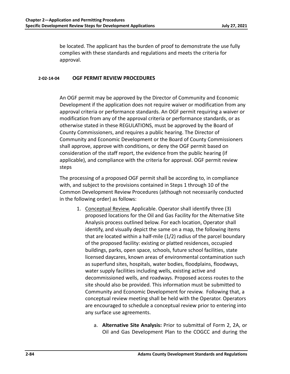be located. The applicant has the burden of proof to demonstrate the use fully complies with these standards and regulations and meets the criteria for approval.

## **2‐02‐14‐04 OGF PERMIT REVIEW PROCEDURES**

An OGF permit may be approved by the Director of Community and Economic Development if the application does not require waiver or modification from any approval criteria or performance standards. An OGF permit requiring a waiver or modification from any of the approval criteria or performance standards, or as otherwise stated in these REGULATIONS, must be approved by the Board of County Commissioners, and requires a public hearing. The Director of Community and Economic Development or the Board of County Commissioners shall approve, approve with conditions, or deny the OGF permit based on consideration of the staff report, the evidence from the public hearing (if applicable), and compliance with the criteria for approval. OGF permit review steps

The processing of a proposed OGF permit shall be according to, in compliance with, and subject to the provisions contained in Steps 1 through 10 of the Common Development Review Procedures (although not necessarily conducted in the following order) as follows:

- 1. Conceptual Review. Applicable. Operator shall identify three (3) proposed locations for the Oil and Gas Facility for the Alternative Site Analysis process outlined below. For each location, Operator shall identify, and visually depict the same on a map, the following items that are located within a half‐mile (1/2) radius of the parcel boundary of the proposed facility: existing or platted residences, occupied buildings, parks, open space, schools, future school facilities, state licensed daycares, known areas of environmental contamination such as superfund sites, hospitals, water bodies, floodplains, floodways, water supply facilities including wells, existing active and decommissioned wells, and roadways. Proposed access routes to the site should also be provided. This information must be submitted to Community and Economic Development for review. Following that, a conceptual review meeting shall be held with the Operator. Operators are encouraged to schedule a conceptual review prior to entering into any surface use agreements.
	- a. **Alternative Site Analysis:** Prior to submittal of Form 2, 2A, or Oil and Gas Development Plan to the COGCC and during the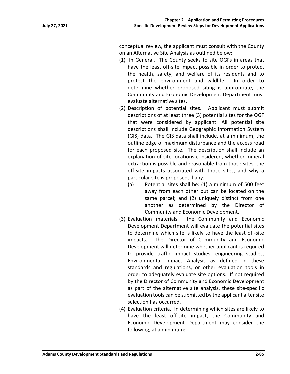conceptual review, the applicant must consult with the County on an Alternative Site Analysis as outlined below:

- (1) In General. The County seeks to site OGFs in areas that have the least off-site impact possible in order to protect the health, safety, and welfare of its residents and to protect the environment and wildlife. In order to determine whether proposed siting is appropriate, the Community and Economic Development Department must evaluate alternative sites.
- (2) Description of potential sites. Applicant must submit descriptions of at least three (3) potential sites for the OGF that were considered by applicant. All potential site descriptions shall include Geographic Information System (GIS) data. The GIS data shall include, at a minimum, the outline edge of maximum disturbance and the access road for each proposed site. The description shall include an explanation of site locations considered, whether mineral extraction is possible and reasonable from those sites, the off‐site impacts associated with those sites, and why a particular site is proposed, if any.
	- (a) Potential sites shall be: (1) a minimum of 500 feet away from each other but can be located on the same parcel; and (2) uniquely distinct from one another as determined by the Director of Community and Economic Development.
- (3) Evaluation materials. the Community and Economic Development Department will evaluate the potential sites to determine which site is likely to have the least off‐site impacts. The Director of Community and Economic Development will determine whether applicant is required to provide traffic impact studies, engineering studies, Environmental Impact Analysis as defined in these standards and regulations, or other evaluation tools in order to adequately evaluate site options. If not required by the Director of Community and Economic Development as part of the alternative site analysis, these site‐specific evaluation tools can be submitted by the applicant after site selection has occurred.
- (4) Evaluation criteria. In determining which sites are likely to have the least off-site impact, the Community and Economic Development Department may consider the following, at a minimum: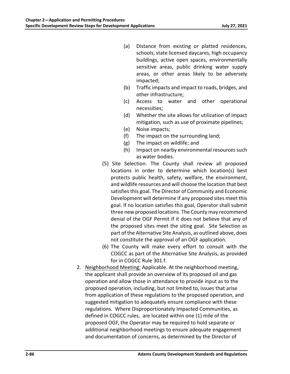- (a) Distance from existing or platted residences, schools, state licensed daycares, high occupancy buildings, active open spaces, environmentally sensitive areas, public drinking water supply areas, or other areas likely to be adversely impacted;
- (b) Traffic impacts and impact to roads, bridges, and other infrastructure;
- (c) Access to water and other operational necessities;
- (d) Whether the site allows for utilization of impact mitigation, such as use of proximate pipelines;
- (e) Noise impacts;
- (f) The impact on the surrounding land;
- (g) The impact on wildlife; and
- (h) Impact on nearby environmental resources such as water bodies.
- (5) Site Selection. The County shall review all proposed locations in order to determine which location(s) best protects public health, safety, welfare, the environment, and wildlife resources and will choose the location that best satisfies this goal. The Director of Community and Economic Development will determine if any proposed sites meet this goal. If no location satisfies this goal, Operator shall submit three new proposed locations. The County may recommend denial of the OGF Permit if it does not believe that any of the proposed sites meet the siting goal. Site Selection as part of the Alternative Site Analysis, as outlined above, does not constitute the approval of an OGF application.
- (6) The County will make every effort to consult with the COGCC as part of the Alternative Site Analysis, as provided for in COGCC Rule 301.f.
- 2. Neighborhood Meeting: Applicable. At the neighborhood meeting, the applicant shall provide an overview of its proposed oil and gas operation and allow those in attendance to provide input as to the proposed operation, including, but not limited to, issues that arise from application of these regulations to the proposed operation, and suggested mitigation to adequately ensure compliance with these regulations. Where Disproportionately Impacted Communities, as defined in COGCC rules, are located within one (1) mile of the proposed OGF, the Operator may be required to hold separate or additional neighborhood meetings to ensure adequate engagement and documentation of concerns, as determined by the Director of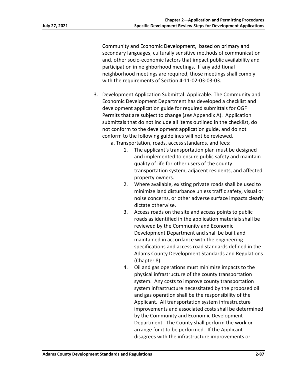Community and Economic Development, based on primary and secondary languages, culturally sensitive methods of communication and, other socio‐economic factors that impact public availability and participation in neighborhood meetings. If any additional neighborhood meetings are required, those meetings shall comply with the requirements of Section 4‐11‐02‐03‐03‐03.

- 3. Development Application Submittal: Applicable. The Community and Economic Development Department has developed a checklist and development application guide for required submittals for OGF Permits that are subject to change (*see* Appendix A). Application submittals that do not include all items outlined in the checklist, do not conform to the development application guide, and do not conform to the following guidelines will not be reviewed.
	- a. Transportation, roads, access standards, and fees:
		- 1. The applicant's transportation plan must be designed and implemented to ensure public safety and maintain quality of life for other users of the county transportation system, adjacent residents, and affected property owners.
		- 2. Where available, existing private roads shall be used to minimize land disturbance unless traffic safety, visual or noise concerns, or other adverse surface impacts clearly dictate otherwise.
		- 3. Access roads on the site and access points to public roads as identified in the application materials shall be reviewed by the Community and Economic Development Department and shall be built and maintained in accordance with the engineering specifications and access road standards defined in the Adams County Development Standards and Regulations (Chapter 8).
		- 4. Oil and gas operations must minimize impacts to the physical infrastructure of the county transportation system. Any costs to improve county transportation system infrastructure necessitated by the proposed oil and gas operation shall be the responsibility of the Applicant. All transportation system infrastructure improvements and associated costs shall be determined by the Community and Economic Development Department. The County shall perform the work or arrange for it to be performed. If the Applicant disagrees with the infrastructure improvements or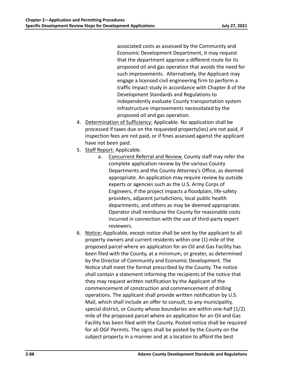associated costs as assessed by the Community and Economic Development Department, it may request that the department approve a different route for its proposed oil and gas operation that avoids the need for such improvements. Alternatively, the Applicant may engage a licensed civil engineering firm to perform a traffic impact study in accordance with Chapter 8 of the Development Standards and Regulations to independently evaluate County transportation system infrastructure improvements necessitated by the proposed oil and gas operation.

- 4. Determination of Sufficiency: Applicable. No application shall be processed if taxes due on the requested property(ies) are not paid, if inspection fees are not paid, or if fines assessed against the applicant have not been paid.
- 5. Staff Report: Applicable.
	- a. Concurrent Referral and Review. County staff may refer the complete application review by the various County Departments and the County Attorney's Office, as deemed appropriate. An application may require review by outside experts or agencies such as the U.S. Army Corps of Engineers, if the project impacts a floodplain, life‐safety providers, adjacent jurisdictions, local public health departments, and others as may be deemed appropriate. Operator shall reimburse the County for reasonable costs incurred in connection with the use of third‐party expert reviewers.
- 6. Notice: Applicable, except notice shall be sent by the applicant to all property owners and current residents within one (1) mile of the proposed parcel where an application for an Oil and Gas Facility has been filed with the County, at a minimum, or greater, as determined by the Director of Community and Economic Development. The Notice shall meet the format prescribed by the County. The notice shall contain a statement informing the recipients of the notice that they may request written notification by the Applicant of the commencement of construction and commencement of drilling operations. The applicant shall provide written notification by U.S. Mail, which shall include an offer to consult, to any municipality, special district, or County whose boundaries are within one-half (1/2) mile of the proposed parcel where an application for an Oil and Gas Facility has been filed with the County. Posted notice shall be required for all OGF Permits. The signs shall be posted by the County on the subject property in a manner and at a location to afford the best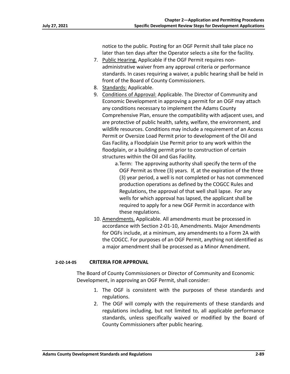notice to the public. Posting for an OGF Permit shall take place no later than ten days after the Operator selects a site for the facility.

- 7. Public Hearing. Applicable if the OGF Permit requires non‐ administrative waiver from any approval criteria or performance standards. In cases requiring a waiver, a public hearing shall be held in front of the Board of County Commissioners.
- 8. Standards: Applicable.
- 9. Conditions of Approval: Applicable. The Director of Community and Economic Development in approving a permit for an OGF may attach any conditions necessary to implement the Adams County Comprehensive Plan, ensure the compatibility with adjacent uses, and are protective of public health, safety, welfare, the environment, and wildlife resources. Conditions may include a requirement of an Access Permit or Oversize Load Permit prior to development of the Oil and Gas Facility, a Floodplain Use Permit prior to any work within the floodplain, or a building permit prior to construction of certain structures within the Oil and Gas Facility.
	- a.Term: The approving authority shall specify the term of the OGF Permit as three (3) years. If, at the expiration of the three (3) year period, a well is not completed or has not commenced production operations as defined by the COGCC Rules and Regulations, the approval of that well shall lapse. For any wells for which approval has lapsed, the applicant shall be required to apply for a new OGF Permit in accordance with these regulations.
- 10. Amendments. Applicable. All amendments must be processed in accordance with Section 2‐01‐10, Amendments. Major Amendments for OGFs include, at a minimum, any amendments to a Form 2A with the COGCC. For purposes of an OGF Permit, anything not identified as a major amendment shall be processed as a Minor Amendment.

## **2‐02‐14‐05 CRITERIA FOR APPROVAL**

The Board of County Commissioners or Director of Community and Economic Development, in approving an OGF Permit, shall consider:

- 1. The OGF is consistent with the purposes of these standards and regulations.
- 2. The OGF will comply with the requirements of these standards and regulations including, but not limited to, all applicable performance standards, unless specifically waived or modified by the Board of County Commissioners after public hearing.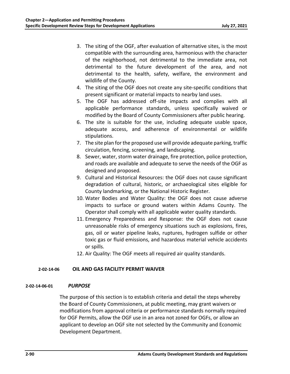- 3. The siting of the OGF, after evaluation of alternative sites, is the most compatible with the surrounding area, harmonious with the character of the neighborhood, not detrimental to the immediate area, not detrimental to the future development of the area, and not detrimental to the health, safety, welfare, the environment and wildlife of the County.
- 4. The siting of the OGF does not create any site-specific conditions that present significant or material impacts to nearby land uses.
- 5. The OGF has addressed off‐site impacts and complies with all applicable performance standards, unless specifically waived or modified by the Board of County Commissioners after public hearing.
- 6. The site is suitable for the use, including adequate usable space, adequate access, and adherence of environmental or wildlife stipulations.
- 7. The site plan for the proposed use will provide adequate parking, traffic circulation, fencing, screening, and landscaping.
- 8. Sewer, water, storm water drainage, fire protection, police protection, and roads are available and adequate to serve the needs of the OGF as designed and proposed.
- 9. Cultural and Historical Resources: the OGF does not cause significant degradation of cultural, historic, or archaeological sites eligible for County landmarking, or the National Historic Register.
- 10. Water Bodies and Water Quality: the OGF does not cause adverse impacts to surface or ground waters within Adams County. The Operator shall comply with all applicable water quality standards.
- 11. Emergency Preparedness and Response: the OGF does not cause unreasonable risks of emergency situations such as explosions, fires, gas, oil or water pipeline leaks, ruptures, hydrogen sulfide or other toxic gas or fluid emissions, and hazardous material vehicle accidents or spills.
- 12. Air Quality: The OGF meets all required air quality standards.

# **2‐02‐14‐06 OIL AND GAS FACILITY PERMIT WAIVER**

## **2‐02‐14‐06‐01** *PURPOSE*

The purpose of this section is to establish criteria and detail the steps whereby the Board of County Commissioners, at public meeting, may grant waivers or modifications from approval criteria or performance standards normally required for OGF Permits, allow the OGF use in an area not zoned for OGFs, or allow an applicant to develop an OGF site not selected by the Community and Economic Development Department.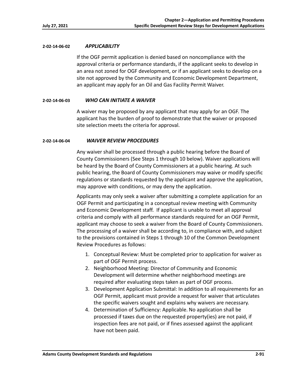## **2‐02‐14‐06‐02** *APPLICABILITY*

If the OGF permit application is denied based on noncompliance with the approval criteria or performance standards, if the applicant seeks to develop in an area not zoned for OGF development, or if an applicant seeks to develop on a site not approved by the Community and Economic Development Department, an applicant may apply for an Oil and Gas Facility Permit Waiver.

## **2‐02‐14‐06‐03** *WHO CAN INITIATE A WAIVER*

A waiver may be proposed by any applicant that may apply for an OGF. The applicant has the burden of proof to demonstrate that the waiver or proposed site selection meets the criteria for approval.

## **2‐02‐14‐06‐04**  *WAIVER REVIEW PROCEDURES*

Any waiver shall be processed through a public hearing before the Board of County Commissioners (See Steps 1 through 10 below). Waiver applications will be heard by the Board of County Commissioners at a public hearing. At such public hearing, the Board of County Commissioners may waive or modify specific regulations or standards requested by the applicant and approve the application, may approve with conditions, or may deny the application.

Applicants may only seek a waiver after submitting a complete application for an OGF Permit and participating in a conceptual review meeting with Community and Economic Development staff. If applicant is unable to meet all approval criteria and comply with all performance standards required for an OGF Permit, applicant may choose to seek a waiver from the Board of County Commissioners. The processing of a waiver shall be according to, in compliance with, and subject to the provisions contained in Steps 1 through 10 of the Common Development Review Procedures as follows:

- 1. Conceptual Review: Must be completed prior to application for waiver as part of OGF Permit process.
- 2. Neighborhood Meeting: Director of Community and Economic Development will determine whether neighborhood meetings are required after evaluating steps taken as part of OGF process.
- 3. Development Application Submittal: In addition to all requirements for an OGF Permit, applicant must provide a request for waiver that articulates the specific waivers sought and explains why waivers are necessary.
- 4. Determination of Sufficiency: Applicable. No application shall be processed if taxes due on the requested property(ies) are not paid, if inspection fees are not paid, or if fines assessed against the applicant have not been paid.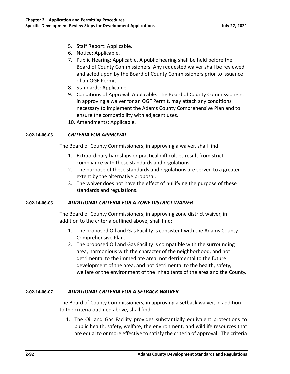- 5. Staff Report: Applicable.
- 6. Notice: Applicable.
- 7. Public Hearing: Applicable. A public hearing shall be held before the Board of County Commissioners. Any requested waiver shall be reviewed and acted upon by the Board of County Commissioners prior to issuance of an OGF Permit.
- 8. Standards: Applicable.
- 9. Conditions of Approval: Applicable. The Board of County Commissioners, in approving a waiver for an OGF Permit, may attach any conditions necessary to implement the Adams County Comprehensive Plan and to ensure the compatibility with adjacent uses.
- 10. Amendments: Applicable.

# **2‐02‐14‐06‐05** *CRITERIA FOR APPROVAL*

The Board of County Commissioners, in approving a waiver, shall find:

- 1. Extraordinary hardships or practical difficulties result from strict compliance with these standards and regulations
- 2. The purpose of these standards and regulations are served to a greater extent by the alternative proposal.
- 3. The waiver does not have the effect of nullifying the purpose of these standards and regulations.

## **2‐02‐14‐06‐06** *ADDITIONAL CRITERIA FOR A ZONE DISTRICT WAIVER*

The Board of County Commissioners, in approving zone district waiver, in addition to the criteria outlined above, shall find:

- 1. The proposed Oil and Gas Facility is consistent with the Adams County Comprehensive Plan.
- 2. The proposed Oil and Gas Facility is compatible with the surrounding area, harmonious with the character of the neighborhood, and not detrimental to the immediate area, not detrimental to the future development of the area, and not detrimental to the health, safety, welfare or the environment of the inhabitants of the area and the County.

# **2‐02‐14‐06‐07** *ADDITIONAL CRITERIA FOR A SETBACK WAIVER*

The Board of County Commissioners, in approving a setback waiver, in addition to the criteria outlined above, shall find:

1. The Oil and Gas Facility provides substantially equivalent protections to public health, safety, welfare, the environment, and wildlife resources that are equal to or more effective to satisfy the criteria of approval. The criteria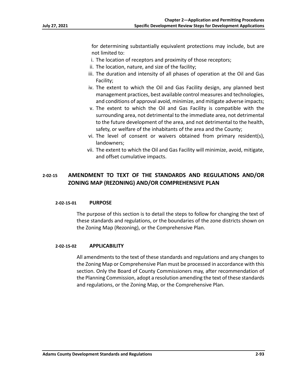for determining substantially equivalent protections may include, but are not limited to:

- i. The location of receptors and proximity of those receptors;
- ii. The location, nature, and size of the facility;
- iii. The duration and intensity of all phases of operation at the Oil and Gas Facility;
- iv. The extent to which the Oil and Gas Facility design, any planned best management practices, best available control measures and technologies, and conditions of approval avoid, minimize, and mitigate adverse impacts;
- v. The extent to which the Oil and Gas Facility is compatible with the surrounding area, not detrimental to the immediate area, not detrimental to the future development of the area, and not detrimental to the health, safety, or welfare of the inhabitants of the area and the County;
- vi. The level of consent or waivers obtained from primary resident(s), landowners;
- vii. The extent to which the Oil and Gas Facility will minimize, avoid, mitigate, and offset cumulative impacts.

# **2‐02‐15 AMENDMENT TO TEXT OF THE STANDARDS AND REGULATIONS AND/OR ZONING MAP (REZONING) AND/OR COMPREHENSIVE PLAN**

## **2‐02‐15‐01 PURPOSE**

The purpose of this section is to detail the steps to follow for changing the text of these standards and regulations, or the boundaries of the zone districts shown on the Zoning Map (Rezoning), or the Comprehensive Plan.

## **2‐02‐15‐02 APPLICABILITY**

All amendments to the text of these standards and regulations and any changes to the Zoning Map or Comprehensive Plan must be processed in accordance with this section. Only the Board of County Commissioners may, after recommendation of the Planning Commission, adopt a resolution amending the text of these standards and regulations, or the Zoning Map, or the Comprehensive Plan.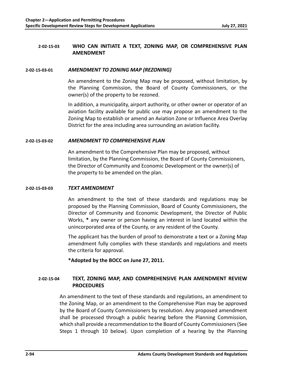# **2‐02‐15‐03 WHO CAN INITIATE A TEXT, ZONING MAP, OR COMPREHENSIVE PLAN AMENDMENT**

## **2‐02‐15‐03‐01** *AMENDMENT TO ZONING MAP (REZONING)*

An amendment to the Zoning Map may be proposed, without limitation, by the Planning Commission, the Board of County Commissioners, or the owner(s) of the property to be rezoned.

In addition, a municipality, airport authority, or other owner or operator of an aviation facility available for public use may propose an amendment to the Zoning Map to establish or amend an Aviation Zone or Influence Area Overlay District for the area including area surrounding an aviation facility.

## **2‐02‐15‐03‐02** *AMENDMENT TO COMPREHENSIVE PLAN*

An amendment to the Comprehensive Plan may be proposed, without limitation, by the Planning Commission, the Board of County Commissioners, the Director of Community and Economic Development or the owner(s) of the property to be amended on the plan.

## **2‐02‐15‐03‐03** *TEXT AMENDMENT*

An amendment to the text of these standards and regulations may be proposed by the Planning Commission, Board of County Commissioners, the Director of Community and Economic Development, the Director of Public Works, **\*** any owner or person having an interest in land located within the unincorporated area of the County, or any resident of the County.

The applicant has the burden of proof to demonstrate a text or a Zoning Map amendment fully complies with these standards and regulations and meets the criteria for approval.

**\*Adopted by the BOCC on June 27, 2011.** 

# **2‐02‐15‐04 TEXT, ZONING MAP, AND COMPREHENSIVE PLAN AMENDMENT REVIEW PROCEDURES**

An amendment to the text of these standards and regulations, an amendment to the Zoning Map, or an amendment to the Comprehensive Plan may be approved by the Board of County Commissioners by resolution. Any proposed amendment shall be processed through a public hearing before the Planning Commission, which shall provide a recommendation to the Board of County Commissioners (See Steps 1 through 10 below). Upon completion of a hearing by the Planning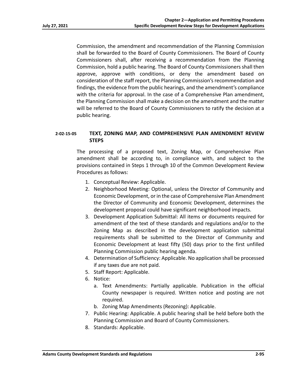Commission, the amendment and recommendation of the Planning Commission shall be forwarded to the Board of County Commissioners. The Board of County Commissioners shall, after receiving a recommendation from the Planning Commission, hold a public hearing. The Board of County Commissioners shall then approve, approve with conditions, or deny the amendment based on consideration of the staff report, the Planning Commission's recommendation and findings, the evidence from the public hearings, and the amendment's compliance with the criteria for approval. In the case of a Comprehensive Plan amendment, the Planning Commission shall make a decision on the amendment and the matter will be referred to the Board of County Commissioners to ratify the decision at a public hearing.

# **2‐02‐15‐05 TEXT, ZONING MAP, AND COMPREHENSIVE PLAN AMENDMENT REVIEW STEPS**

The processing of a proposed text, Zoning Map, or Comprehensive Plan amendment shall be according to, in compliance with, and subject to the provisions contained in Steps 1 through 10 of the Common Development Review Procedures as follows:

- 1. Conceptual Review: Applicable.
- 2. Neighborhood Meeting: Optional, unless the Director of Community and Economic Development, or in the case of Comprehensive Plan Amendment the Director of Community and Economic Development, determines the development proposal could have significant neighborhood impacts.
- 3. Development Application Submittal: All items or documents required for amendment of the text of these standards and regulations and/or to the Zoning Map as described in the development application submittal requirements shall be submitted to the Director of Community and Economic Development at least fifty (50) days prior to the first unfilled Planning Commission public hearing agenda.
- 4. Determination of Sufficiency: Applicable. No application shall be processed if any taxes due are not paid.
- 5. Staff Report: Applicable.
- 6. Notice:
	- a. Text Amendments: Partially applicable. Publication in the official County newspaper is required. Written notice and posting are not required.
	- b. Zoning Map Amendments (Rezoning): Applicable.
- 7. Public Hearing: Applicable. A public hearing shall be held before both the Planning Commission and Board of County Commissioners.
- 8. Standards: Applicable.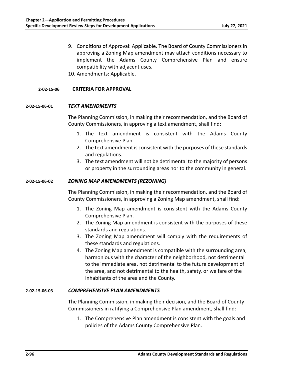- 9. Conditions of Approval: Applicable. The Board of County Commissioners in approving a Zoning Map amendment may attach conditions necessary to implement the Adams County Comprehensive Plan and ensure compatibility with adjacent uses.
- 10. Amendments: Applicable.

## **2‐02‐15‐06 CRITERIA FOR APPROVAL**

## **2‐02‐15‐06‐01** *TEXT AMENDMENTS*

The Planning Commission, in making their recommendation, and the Board of County Commissioners, in approving a text amendment, shall find:

- 1. The text amendment is consistent with the Adams County Comprehensive Plan.
- 2. The text amendment is consistent with the purposes of these standards and regulations.
- 3. The text amendment will not be detrimental to the majority of persons or property in the surrounding areas nor to the community in general.

#### **2‐02‐15‐06‐02** *ZONING MAP AMENDMENTS (REZONING)*

The Planning Commission, in making their recommendation, and the Board of County Commissioners, in approving a Zoning Map amendment, shall find:

- 1. The Zoning Map amendment is consistent with the Adams County Comprehensive Plan.
- 2. The Zoning Map amendment is consistent with the purposes of these standards and regulations.
- 3. The Zoning Map amendment will comply with the requirements of these standards and regulations.
- 4. The Zoning Map amendment is compatible with the surrounding area, harmonious with the character of the neighborhood, not detrimental to the immediate area, not detrimental to the future development of the area, and not detrimental to the health, safety, or welfare of the inhabitants of the area and the County.

## **2‐02‐15‐06‐03** *COMPREHENSIVE PLAN AMENDMENTS*

The Planning Commission, in making their decision, and the Board of County Commissioners in ratifying a Comprehensive Plan amendment, shall find:

1. The Comprehensive Plan amendment is consistent with the goals and policies of the Adams County Comprehensive Plan.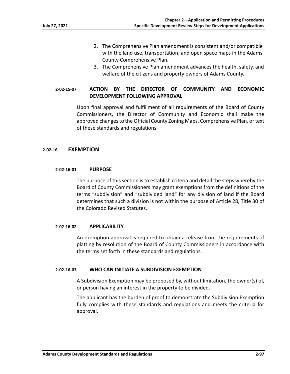- 2. The Comprehensive Plan amendment is consistent and/or compatible with the land use, transportation, and open space maps in the Adams County Comprehensive Plan.
- 3. The Comprehensive Plan amendment advances the health, safety, and welfare of the citizens and property owners of Adams County.

# **2‐02‐15‐07 ACTION BY THE DIRECTOR OF COMMUNITY AND ECONOMIC DEVELOPMENT FOLLOWING APPROVAL**

Upon final approval and fulfillment of all requirements of the Board of County Commissioners, the Director of Community and Economic shall make the approved changes to the Official County Zoning Maps, Comprehensive Plan, or text of these standards and regulations.

## **2‐02‐16 EXEMPTION**

## **2‐02‐16‐01 PURPOSE**

The purpose of this section is to establish criteria and detail the steps whereby the Board of County Commissioners may grant exemptions from the definitions of the terms "subdivision" and "subdivided land" for any division of land if the Board determines that such a division is not within the purpose of Article 28, Title 30 of the Colorado Revised Statutes.

## **2‐02‐16‐02 APPLICABILITY**

An exemption approval is required to obtain a release from the requirements of platting by resolution of the Board of County Commissioners in accordance with the terms set forth in these standards and regulations.

## **2‐02‐16‐03 WHO CAN INITIATE A SUBDIVISION EXEMPTION**

A Subdivision Exemption may be proposed by, without limitation, the owner(s) of, or person having an interest in the property to be divided.

The applicant has the burden of proof to demonstrate the Subdivision Exemption fully complies with these standards and regulations and meets the criteria for approval.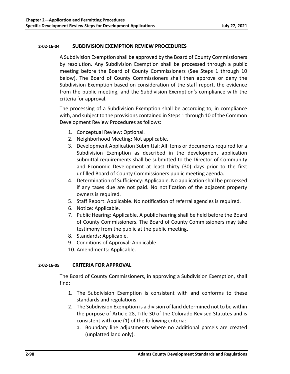## **2‐02‐16‐04 SUBDIVISION EXEMPTION REVIEW PROCEDURES**

A Subdivision Exemption shall be approved by the Board of County Commissioners by resolution. Any Subdivision Exemption shall be processed through a public meeting before the Board of County Commissioners (See Steps 1 through 10 below). The Board of County Commissioners shall then approve or deny the Subdivision Exemption based on consideration of the staff report, the evidence from the public meeting, and the Subdivision Exemption's compliance with the criteria for approval.

The processing of a Subdivision Exemption shall be according to, in compliance with, and subject to the provisions contained in Steps 1 through 10 of the Common Development Review Procedures as follows:

- 1. Conceptual Review: Optional.
- 2. Neighborhood Meeting: Not applicable.
- 3. Development Application Submittal: All items or documents required for a Subdivision Exemption as described in the development application submittal requirements shall be submitted to the Director of Community and Economic Development at least thirty (30) days prior to the first unfilled Board of County Commissioners public meeting agenda.
- 4. Determination of Sufficiency: Applicable. No application shall be processed if any taxes due are not paid. No notification of the adjacent property owners is required.
- 5. Staff Report: Applicable. No notification of referral agencies is required.
- 6. Notice: Applicable.
- 7. Public Hearing: Applicable. A public hearing shall be held before the Board of County Commissioners. The Board of County Commissioners may take testimony from the public at the public meeting.
- 8. Standards: Applicable.
- 9. Conditions of Approval: Applicable.
- 10. Amendments: Applicable.

# **2‐02‐16‐05 CRITERIA FOR APPROVAL**

The Board of County Commissioners, in approving a Subdivision Exemption, shall find:

- 1. The Subdivision Exemption is consistent with and conforms to these standards and regulations.
- 2. The Subdivision Exemption is a division of land determined not to be within the purpose of Article 28, Title 30 of the Colorado Revised Statutes and is consistent with one (1) of the following criteria:
	- a. Boundary line adjustments where no additional parcels are created (unplatted land only).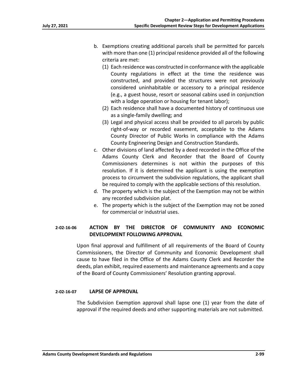- b. Exemptions creating additional parcels shall be permitted for parcels with more than one (1) principal residence provided all of the following criteria are met:
	- (1) Each residence was constructed in conformance with the applicable County regulations in effect at the time the residence was constructed, and provided the structures were not previously considered uninhabitable or accessory to a principal residence (e.g., a guest house, resort or seasonal cabins used in conjunction with a lodge operation or housing for tenant labor);
	- (2) Each residence shall have a documented history of continuous use as a single‐family dwelling; and
	- (3) Legal and physical access shall be provided to all parcels by public right‐of‐way or recorded easement, acceptable to the Adams County Director of Public Works in compliance with the Adams County Engineering Design and Construction Standards.
- c. Other divisions of land affected by a deed recorded in the Office of the Adams County Clerk and Recorder that the Board of County Commissioners determines is not within the purposes of this resolution. If it is determined the applicant is using the exemption process to circumvent the subdivision regulations, the applicant shall be required to comply with the applicable sections of this resolution.
- d. The property which is the subject of the Exemption may not be within any recorded subdivision plat.
- e. The property which is the subject of the Exemption may not be zoned for commercial or industrial uses.

# **2‐02‐16‐06 ACTION BY THE DIRECTOR OF COMMUNITY AND ECONOMIC DEVELOPMENT FOLLOWING APPROVAL**

Upon final approval and fulfillment of all requirements of the Board of County Commissioners, the Director of Community and Economic Development shall cause to have filed in the Office of the Adams County Clerk and Recorder the deeds, plan exhibit, required easements and maintenance agreements and a copy of the Board of County Commissioners' Resolution granting approval.

## **2‐02‐16‐07 LAPSE OF APPROVAL**

The Subdivision Exemption approval shall lapse one (1) year from the date of approval if the required deeds and other supporting materials are not submitted.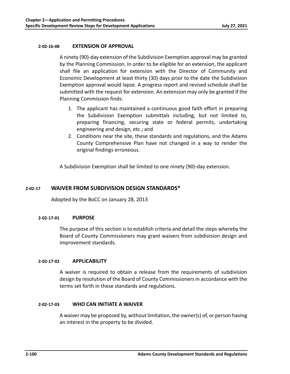## **2‐02‐16‐08 EXTENSION OF APPROVAL**

A ninety (90)‐day extension of the Subdivision Exemption approval may be granted by the Planning Commission. In order to be eligible for an extension, the applicant shall file an application for extension with the Director of Community and Economic Development at least thirty (30) days prior to the date the Subdivision Exemption approval would lapse. A progress report and revised schedule shall be submitted with the request for extension. An extension may only be granted if the Planning Commission finds:

- 1. The applicant has maintained a continuous good faith effort in preparing the Subdivision Exemption submittals including, but not limited to, preparing financing, securing state or federal permits, undertaking engineering and design, etc.; and
- 2. Conditions near the site, these standards and regulations, and the Adams County Comprehensive Plan have not changed in a way to render the original findings erroneous.

A Subdivision Exemption shall be limited to one ninety (90)‐day extension.

# **2‐02‐17 WAIVER FROM SUBDIVISION DESIGN STANDARDS\***

Adopted by the BoCC on January 28, 2013

## **2‐02‐17‐01 PURPOSE**

The purpose of this section is to establish criteria and detail the steps whereby the Board of County Commissioners may grant waivers from subdivision design and improvement standards.

# **2‐02‐17‐02 APPLICABILITY**

A waiver is required to obtain a release from the requirements of subdivision design by resolution of the Board of County Commissioners in accordance with the terms set forth in these standards and regulations.

## **2‐02‐17‐03 WHO CAN INITIATE A WAIVER**

A waiver may be proposed by, without limitation, the owner(s) of, or person having an interest in the property to be divided.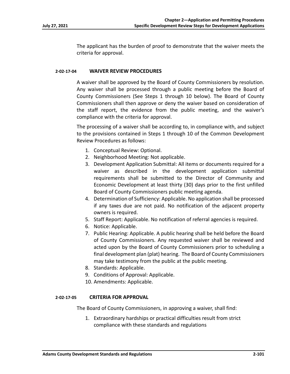The applicant has the burden of proof to demonstrate that the waiver meets the criteria for approval.

## **2‐02‐17‐04 WAIVER REVIEW PROCEDURES**

A waiver shall be approved by the Board of County Commissioners by resolution. Any waiver shall be processed through a public meeting before the Board of County Commissioners (See Steps 1 through 10 below). The Board of County Commissioners shall then approve or deny the waiver based on consideration of the staff report, the evidence from the public meeting, and the waiver's compliance with the criteria for approval.

The processing of a waiver shall be according to, in compliance with, and subject to the provisions contained in Steps 1 through 10 of the Common Development Review Procedures as follows:

- 1. Conceptual Review: Optional.
- 2. Neighborhood Meeting: Not applicable.
- 3. Development Application Submittal: All items or documents required for a waiver as described in the development application submittal requirements shall be submitted to the Director of Community and Economic Development at least thirty (30) days prior to the first unfilled Board of County Commissioners public meeting agenda.
- 4. Determination of Sufficiency: Applicable. No application shall be processed if any taxes due are not paid. No notification of the adjacent property owners is required.
- 5. Staff Report: Applicable. No notification of referral agencies is required.
- 6. Notice: Applicable.
- 7. Public Hearing: Applicable. A public hearing shall be held before the Board of County Commissioners. Any requested waiver shall be reviewed and acted upon by the Board of County Commissioners prior to scheduling a final development plan (plat) hearing. The Board of County Commissioners may take testimony from the public at the public meeting.
- 8. Standards: Applicable.
- 9. Conditions of Approval: Applicable.
- 10. Amendments: Applicable.

## **2‐02‐17‐05 CRITERIA FOR APPROVAL**

The Board of County Commissioners, in approving a waiver, shall find:

1. Extraordinary hardships or practical difficulties result from strict compliance with these standards and regulations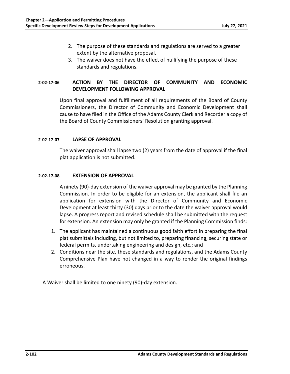- 2. The purpose of these standards and regulations are served to a greater extent by the alternative proposal.
- 3. The waiver does not have the effect of nullifying the purpose of these standards and regulations.

# **2‐02‐17‐06 ACTION BY THE DIRECTOR OF COMMUNITY AND ECONOMIC DEVELOPMENT FOLLOWING APPROVAL**

Upon final approval and fulfillment of all requirements of the Board of County Commissioners, the Director of Community and Economic Development shall cause to have filed in the Office of the Adams County Clerk and Recorder a copy of the Board of County Commissioners' Resolution granting approval.

## **2‐02‐17‐07 LAPSE OF APPROVAL**

The waiver approval shall lapse two (2) years from the date of approval if the final plat application is not submitted.

## **2‐02‐17‐08 EXTENSION OF APPROVAL**

A ninety (90)‐day extension of the waiver approval may be granted by the Planning Commission. In order to be eligible for an extension, the applicant shall file an application for extension with the Director of Community and Economic Development at least thirty (30) days prior to the date the waiver approval would lapse. A progress report and revised schedule shall be submitted with the request for extension. An extension may only be granted if the Planning Commission finds:

- 1. The applicant has maintained a continuous good faith effort in preparing the final plat submittals including, but not limited to, preparing financing, securing state or federal permits, undertaking engineering and design, etc.; and
- 2. Conditions near the site, these standards and regulations, and the Adams County Comprehensive Plan have not changed in a way to render the original findings erroneous.

A Waiver shall be limited to one ninety (90)‐day extension.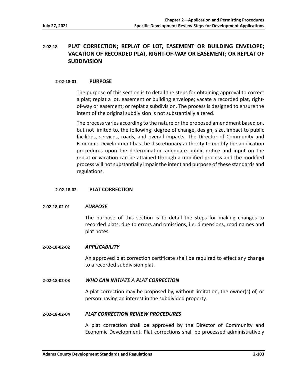# **2‐02‐18 PLAT CORRECTION; REPLAT OF LOT, EASEMENT OR BUILDING ENVELOPE; VACATION OF RECORDED PLAT, RIGHT‐OF‐WAY OR EASEMENT; OR REPLAT OF SUBDIVISION**

## **2‐02‐18‐01 PURPOSE**

The purpose of this section is to detail the steps for obtaining approval to correct a plat; replat a lot, easement or building envelope; vacate a recorded plat, right‐ of‐way or easement; or replat a subdivision. The process is designed to ensure the intent of the original subdivision is not substantially altered.

The process varies according to the nature or the proposed amendment based on, but not limited to, the following: degree of change, design, size, impact to public facilities, services, roads, and overall impacts. The Director of Community and Economic Development has the discretionary authority to modify the application procedures upon the determination adequate public notice and input on the replat or vacation can be attained through a modified process and the modified process will not substantially impair the intent and purpose of these standards and regulations.

## **2‐02‐18‐02 PLAT CORRECTION**

## **2‐02‐18‐02‐01** *PURPOSE*

The purpose of this section is to detail the steps for making changes to recorded plats, due to errors and omissions, i.e. dimensions, road names and plat notes.

## **2‐02‐18‐02‐02** *APPLICABILITY*

An approved plat correction certificate shall be required to effect any change to a recorded subdivision plat.

## **2‐02‐18‐02‐03** *WHO CAN INITIATE A PLAT CORRECTION*

A plat correction may be proposed by, without limitation, the owner(s) of, or person having an interest in the subdivided property.

#### **2‐02‐18‐02‐04** *PLAT CORRECTION REVIEW PROCEDURES*

A plat correction shall be approved by the Director of Community and Economic Development. Plat corrections shall be processed administratively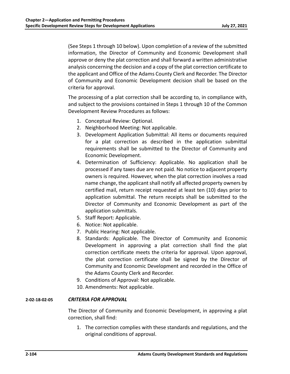(See Steps 1 through 10 below). Upon completion of a review of the submitted information, the Director of Community and Economic Development shall approve or deny the plat correction and shall forward a written administrative analysis concerning the decision and a copy of the plat correction certificate to the applicant and Office of the Adams County Clerk and Recorder. The Director of Community and Economic Development decision shall be based on the criteria for approval.

The processing of a plat correction shall be according to, in compliance with, and subject to the provisions contained in Steps 1 through 10 of the Common Development Review Procedures as follows:

- 1. Conceptual Review: Optional.
- 2. Neighborhood Meeting: Not applicable.
- 3. Development Application Submittal: All items or documents required for a plat correction as described in the application submittal requirements shall be submitted to the Director of Community and Economic Development.
- 4. Determination of Sufficiency: Applicable. No application shall be processed if any taxes due are not paid. No notice to adjacent property owners is required. However, when the plat correction involves a road name change, the applicant shall notify all affected property owners by certified mail, return receipt requested at least ten (10) days prior to application submittal. The return receipts shall be submitted to the Director of Community and Economic Development as part of the application submittals.
- 5. Staff Report: Applicable.
- 6. Notice: Not applicable.
- 7. Public Hearing: Not applicable.
- 8. Standards: Applicable. The Director of Community and Economic Development in approving a plat correction shall find the plat correction certificate meets the criteria for approval. Upon approval, the plat correction certificate shall be signed by the Director of Community and Economic Development and recorded in the Office of the Adams County Clerk and Recorder.
- 9. Conditions of Approval: Not applicable.
- 10. Amendments: Not applicable.

## **2‐02‐18‐02‐05** *CRITERIA FOR APPROVAL*

The Director of Community and Economic Development, in approving a plat correction, shall find:

1. The correction complies with these standards and regulations, and the original conditions of approval.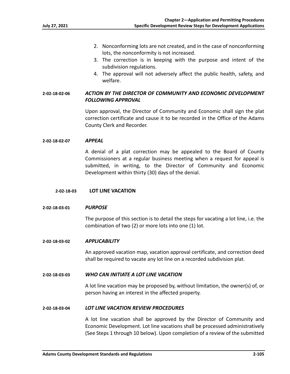- 2. Nonconforming lots are not created, and in the case of nonconforming lots, the nonconformity is not increased.
- 3. The correction is in keeping with the purpose and intent of the subdivision regulations.
- 4. The approval will not adversely affect the public health, safety, and welfare.

# **2‐02‐18‐02‐06** *ACTION BY THE DIRECTOR OF COMMUNITY AND ECONOMIC DEVELOPMENT FOLLOWING APPROVAL*

Upon approval, the Director of Community and Economic shall sign the plat correction certificate and cause it to be recorded in the Office of the Adams County Clerk and Recorder.

## **2‐02‐18‐02‐07** *APPEAL*

A denial of a plat correction may be appealed to the Board of County Commissioners at a regular business meeting when a request for appeal is submitted, in writing, to the Director of Community and Economic Development within thirty (30) days of the denial.

## **2‐02‐18‐03 LOT LINE VACATION**

#### **2‐02‐18‐03‐01** *PURPOSE*

The purpose of this section is to detail the steps for vacating a lot line, i.e. the combination of two (2) or more lots into one (1) lot.

#### **2‐02‐18‐03‐02** *APPLICABILITY*

An approved vacation map, vacation approval certificate, and correction deed shall be required to vacate any lot line on a recorded subdivision plat.

#### **2‐02‐18‐03‐03** *WHO CAN INITIATE A LOT LINE VACATION*

A lot line vacation may be proposed by, without limitation, the owner(s) of, or person having an interest in the affected property.

#### **2‐02‐18‐03‐04** *LOT LINE VACATION REVIEW PROCEDURES*

A lot line vacation shall be approved by the Director of Community and Economic Development. Lot line vacations shall be processed administratively (See Steps 1 through 10 below). Upon completion of a review of the submitted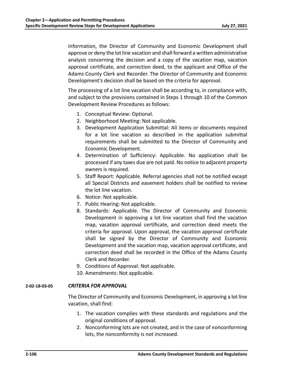information, the Director of Community and Economic Development shall approve or deny the lot line vacation and shall forward a written administrative analysis concerning the decision and a copy of the vacation map, vacation approval certificate, and correction deed, to the applicant and Office of the Adams County Clerk and Recorder. The Director of Community and Economic Development's decision shall be based on the criteria for approval.

The processing of a lot line vacation shall be according to, in compliance with, and subject to the provisions contained in Steps 1 through 10 of the Common Development Review Procedures as follows:

- 1. Conceptual Review: Optional.
- 2. Neighborhood Meeting: Not applicable.
- 3. Development Application Submittal: All items or documents required for a lot line vacation as described in the application submittal requirements shall be submitted to the Director of Community and Economic Development.
- 4. Determination of Sufficiency: Applicable. No application shall be processed if any taxes due are not paid. No notice to adjacent property owners is required.
- 5. Staff Report: Applicable. Referral agencies shall not be notified except all Special Districts and easement holders shall be notified to review the lot line vacation.
- 6. Notice: Not applicable.
- 7. Public Hearing: Not applicable.
- 8. Standards: Applicable. The Director of Community and Economic Development in approving a lot line vacation shall find the vacation map, vacation approval certificate, and correction deed meets the criteria for approval. Upon approval, the vacation approval certificate shall be signed by the Director of Community and Economic Development and the vacation map, vacation approval certificate, and correction deed shall be recorded in the Office of the Adams County Clerk and Recorder.
- 9. Conditions of Approval: Not applicable.
- 10. Amendments: Not applicable.

# **2‐02‐18‐03‐05** *CRITERIA FOR APPROVAL*

The Director of Community and Economic Development, in approving a lot line vacation, shall find:

- 1. The vacation complies with these standards and regulations and the original conditions of approval.
- 2. Nonconforming lots are not created, and in the case of nonconforming lots, the nonconformity is not increased.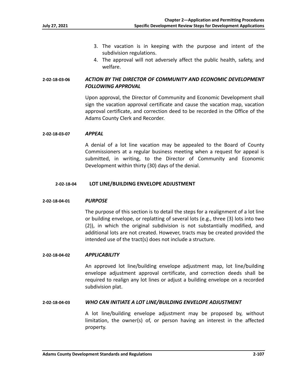- 3. The vacation is in keeping with the purpose and intent of the subdivision regulations.
- 4. The approval will not adversely affect the public health, safety, and welfare.

# **2‐02‐18‐03‐06** *ACTION BY THE DIRECTOR OF COMMUNITY AND ECONOMIC DEVELOPMENT FOLLOWING APPROVAL*

Upon approval, the Director of Community and Economic Development shall sign the vacation approval certificate and cause the vacation map, vacation approval certificate, and correction deed to be recorded in the Office of the Adams County Clerk and Recorder.

## **2‐02‐18‐03‐07** *APPEAL*

A denial of a lot line vacation may be appealed to the Board of County Commissioners at a regular business meeting when a request for appeal is submitted, in writing, to the Director of Community and Economic Development within thirty (30) days of the denial.

## **2‐02‐18‐04 LOT LINE/BUILDING ENVELOPE ADJUSTMENT**

#### **2‐02‐18‐04‐01** *PURPOSE*

The purpose of this section is to detail the steps for a realignment of a lot line or building envelope, or replatting of several lots (e.g., three (3) lots into two (2)), in which the original subdivision is not substantially modified, and additional lots are not created. However, tracts may be created provided the intended use of the tract(s) does not include a structure.

#### **2‐02‐18‐04‐02** *APPLICABILITY*

An approved lot line/building envelope adjustment map, lot line/building envelope adjustment approval certificate, and correction deeds shall be required to realign any lot lines or adjust a building envelope on a recorded subdivision plat.

## **2‐02‐18‐04‐03** *WHO CAN INITIATE A LOT LINE/BUILDING ENVELOPE ADJUSTMENT*

A lot line/building envelope adjustment may be proposed by, without limitation, the owner(s) of, or person having an interest in the affected property.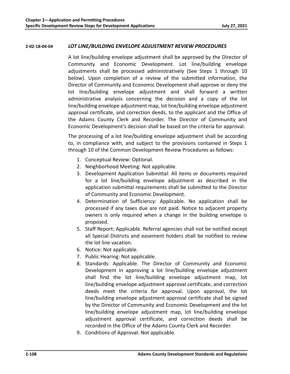# **2‐02‐18‐04‐04** *LOT LINE/BUILDING ENVELOPE ADJUSTMENT REVIEW PROCEDURES*

A lot line/building envelope adjustment shall be approved by the Director of Community and Economic Development. Lot line/building envelope adjustments shall be processed administratively (See Steps 1 through 10 below). Upon completion of a review of the submitted information, the Director of Community and Economic Development shall approve or deny the lot line/building envelope adjustment and shall forward a written administrative analysis concerning the decision and a copy of the lot line/building envelope adjustment map, lot line/building envelope adjustment approval certificate, and correction deeds, to the applicant and the Office of the Adams County Clerk and Recorder. The Director of Community and Economic Development's decision shall be based on the criteria for approval.

The processing of a lot line/building envelope adjustment shall be according to, in compliance with, and subject to the provisions contained in Steps 1 through 10 of the Common Development Review Procedures as follows:

- 1. Conceptual Review: Optional.
- 2. Neighborhood Meeting: Not applicable.
- 3. Development Application Submittal: All items or documents required for a lot line/building envelope adjustment as described in the application submittal requirements shall be submitted to the Director of Community and Economic Development.
- 4. Determination of Sufficiency: Applicable. No application shall be processed if any taxes due are not paid. Notice to adjacent property owners is only required when a change in the building envelope is proposed.
- 5. Staff Report: Applicable. Referral agencies shall not be notified except all Special Districts and easement holders shall be notified to review the lot line vacation.
- 6. Notice: Not applicable.
- 7. Public Hearing: Not applicable.
- 8. Standards: Applicable. The Director of Community and Economic Development in approving a lot line/building envelope adjustment shall find the lot line/building envelope adjustment map, lot line/building envelope adjustment approval certificate, and correction deeds meet the criteria for approval. Upon approval, the lot line/building envelope adjustment approval certificate shall be signed by the Director of Community and Economic Development and the lot line/building envelope adjustment map, lot line/building envelope adjustment approval certificate, and correction deeds shall be recorded in the Office of the Adams County Clerk and Recorder.
- 9. Conditions of Approval: Not applicable.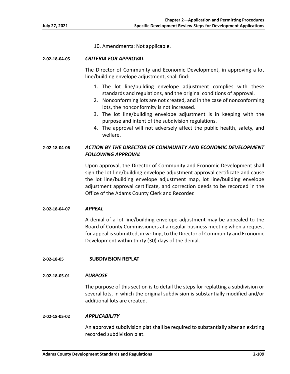10. Amendments: Not applicable.

#### **2‐02‐18‐04‐05** *CRITERIA FOR APPROVAL*

The Director of Community and Economic Development, in approving a lot line/building envelope adjustment, shall find:

- 1. The lot line/building envelope adjustment complies with these standards and regulations, and the original conditions of approval.
- 2. Nonconforming lots are not created, and in the case of nonconforming lots, the nonconformity is not increased.
- 3. The lot line/building envelope adjustment is in keeping with the purpose and intent of the subdivision regulations.
- 4. The approval will not adversely affect the public health, safety, and welfare.

# **2‐02‐18‐04‐06** *ACTION BY THE DIRECTOR OF COMMUNITY AND ECONOMIC DEVELOPMENT FOLLOWING APPROVAL*

Upon approval, the Director of Community and Economic Development shall sign the lot line/building envelope adjustment approval certificate and cause the lot line/building envelope adjustment map, lot line/building envelope adjustment approval certificate, and correction deeds to be recorded in the Office of the Adams County Clerk and Recorder.

# **2‐02‐18‐04‐07** *APPEAL*

A denial of a lot line/building envelope adjustment may be appealed to the Board of County Commissioners at a regular business meeting when a request for appeal is submitted, in writing, to the Director of Community and Economic Development within thirty (30) days of the denial.

# **2‐02‐18‐05 SUBDIVISION REPLAT**

# **2‐02‐18‐05‐01** *PURPOSE*

The purpose of this section is to detail the steps for replatting a subdivision or several lots, in which the original subdivision is substantially modified and/or additional lots are created.

#### **2‐02‐18‐05‐02** *APPLICABILITY*

An approved subdivision plat shall be required to substantially alter an existing recorded subdivision plat.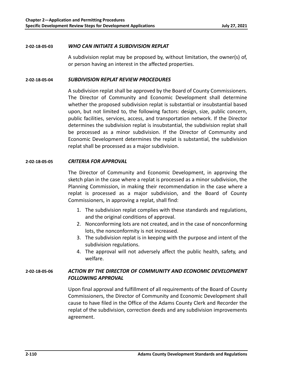### **2‐02‐18‐05‐03** *WHO CAN INITIATE A SUBDIVISION REPLAT*

A subdivision replat may be proposed by, without limitation, the owner(s) of, or person having an interest in the affected properties.

### **2‐02‐18‐05‐04** *SUBDIVISION REPLAT REVIEW PROCEDURES*

A subdivision replat shall be approved by the Board of County Commissioners. The Director of Community and Economic Development shall determine whether the proposed subdivision replat is substantial or insubstantial based upon, but not limited to, the following factors: design, size, public concern, public facilities, services, access, and transportation network. If the Director determines the subdivision replat is insubstantial, the subdivision replat shall be processed as a minor subdivision. If the Director of Community and Economic Development determines the replat is substantial, the subdivision replat shall be processed as a major subdivision.

# **2‐02‐18‐05‐05** *CRITERIA FOR APPROVAL*

The Director of Community and Economic Development, in approving the sketch plan in the case where a replat is processed as a minor subdivision, the Planning Commission, in making their recommendation in the case where a replat is processed as a major subdivision, and the Board of County Commissioners, in approving a replat, shall find:

- 1. The subdivision replat complies with these standards and regulations, and the original conditions of approval.
- 2. Nonconforming lots are not created, and in the case of nonconforming lots, the nonconformity is not increased.
- 3. The subdivision replat is in keeping with the purpose and intent of the subdivision regulations.
- 4. The approval will not adversely affect the public health, safety, and welfare.

# **2‐02‐18‐05‐06** *ACTION BY THE DIRECTOR OF COMMUNITY AND ECONOMIC DEVELOPMENT FOLLOWING APPROVAL*

Upon final approval and fulfillment of all requirements of the Board of County Commissioners, the Director of Community and Economic Development shall cause to have filed in the Office of the Adams County Clerk and Recorder the replat of the subdivision, correction deeds and any subdivision improvements agreement.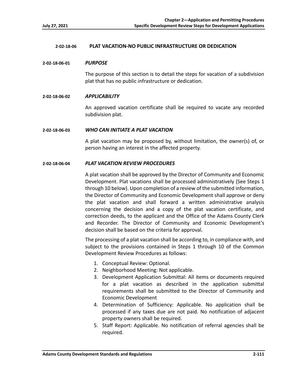# **2‐02‐18‐06 PLAT VACATION‐NO PUBLIC INFRASTRUCTURE OR DEDICATION**

#### **2‐02‐18‐06‐01** *PURPOSE*

The purpose of this section is to detail the steps for vacation of a subdivision plat that has no public infrastructure or dedication.

#### **2‐02‐18‐06‐02** *APPLICABILITY*

An approved vacation certificate shall be required to vacate any recorded subdivision plat.

#### **2‐02‐18‐06‐03** *WHO CAN INITIATE A PLAT VACATION*

A plat vacation may be proposed by, without limitation, the owner(s) of, or person having an interest in the affected property.

#### **2‐02‐18‐06‐04** *PLAT VACATION REVIEW PROCEDURES*

A plat vacation shall be approved by the Director of Community and Economic Development. Plat vacations shall be processed administratively (See Steps 1 through 10 below). Upon completion of a review of the submitted information, the Director of Community and Economic Development shall approve or deny the plat vacation and shall forward a written administrative analysis concerning the decision and a copy of the plat vacation certificate, and correction deeds, to the applicant and the Office of the Adams County Clerk and Recorder. The Director of Community and Economic Development's decision shall be based on the criteria for approval.

The processing of a plat vacation shall be according to, in compliance with, and subject to the provisions contained in Steps 1 through 10 of the Common Development Review Procedures as follows:

- 1. Conceptual Review: Optional.
- 2. Neighborhood Meeting: Not applicable.
- 3. Development Application Submittal: All items or documents required for a plat vacation as described in the application submittal requirements shall be submitted to the Director of Community and Economic Development
- 4. Determination of Sufficiency: Applicable. No application shall be processed if any taxes due are not paid. No notification of adjacent property owners shall be required.
- 5. Staff Report: Applicable. No notification of referral agencies shall be required.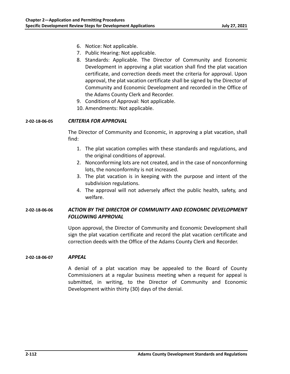- 6. Notice: Not applicable.
- 7. Public Hearing: Not applicable.
- 8. Standards: Applicable. The Director of Community and Economic Development in approving a plat vacation shall find the plat vacation certificate, and correction deeds meet the criteria for approval. Upon approval, the plat vacation certificate shall be signed by the Director of Community and Economic Development and recorded in the Office of the Adams County Clerk and Recorder.
- 9. Conditions of Approval: Not applicable.
- 10. Amendments: Not applicable.

# **2‐02‐18‐06‐05** *CRITERIA FOR APPROVAL*

The Director of Community and Economic, in approving a plat vacation, shall find:

- 1. The plat vacation complies with these standards and regulations, and the original conditions of approval.
- 2. Nonconforming lots are not created, and in the case of nonconforming lots, the nonconformity is not increased.
- 3. The plat vacation is in keeping with the purpose and intent of the subdivision regulations.
- 4. The approval will not adversely affect the public health, safety, and welfare.

# **2‐02‐18‐06‐06** *ACTION BY THE DIRECTOR OF COMMUNITY AND ECONOMIC DEVELOPMENT FOLLOWING APPROVAL*

Upon approval, the Director of Community and Economic Development shall sign the plat vacation certificate and record the plat vacation certificate and correction deeds with the Office of the Adams County Clerk and Recorder.

# **2‐02‐18‐06‐07** *APPEAL*

A denial of a plat vacation may be appealed to the Board of County Commissioners at a regular business meeting when a request for appeal is submitted, in writing, to the Director of Community and Economic Development within thirty (30) days of the denial.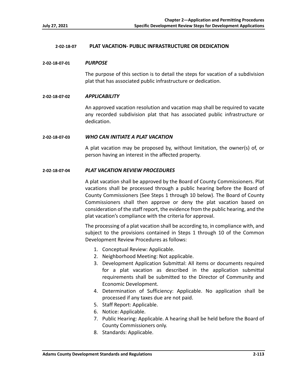# **2‐02‐18‐07 PLAT VACATION‐ PUBLIC INFRASTRUCTURE OR DEDICATION**

#### **2‐02‐18‐07‐01** *PURPOSE*

The purpose of this section is to detail the steps for vacation of a subdivision plat that has associated public infrastructure or dedication.

### **2‐02‐18‐07‐02** *APPLICABILITY*

An approved vacation resolution and vacation map shall be required to vacate any recorded subdivision plat that has associated public infrastructure or dedication.

#### **2‐02‐18‐07‐03** *WHO CAN INITIATE A PLAT VACATION*

A plat vacation may be proposed by, without limitation, the owner(s) of, or person having an interest in the affected property.

#### **2‐02‐18‐07‐04** *PLAT VACATION REVIEW PROCEDURES*

A plat vacation shall be approved by the Board of County Commissioners. Plat vacations shall be processed through a public hearing before the Board of County Commissioners (See Steps 1 through 10 below). The Board of County Commissioners shall then approve or deny the plat vacation based on consideration of the staff report, the evidence from the public hearing, and the plat vacation's compliance with the criteria for approval.

The processing of a plat vacation shall be according to, in compliance with, and subject to the provisions contained in Steps 1 through 10 of the Common Development Review Procedures as follows:

- 1. Conceptual Review: Applicable.
- 2. Neighborhood Meeting: Not applicable.
- 3. Development Application Submittal: All items or documents required for a plat vacation as described in the application submittal requirements shall be submitted to the Director of Community and Economic Development.
- 4. Determination of Sufficiency: Applicable. No application shall be processed if any taxes due are not paid.
- 5. Staff Report: Applicable.
- 6. Notice: Applicable.
- 7. Public Hearing: Applicable. A hearing shall be held before the Board of County Commissioners only.
- 8. Standards: Applicable.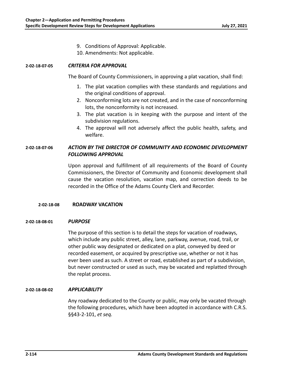- 9. Conditions of Approval: Applicable.
- 10. Amendments: Not applicable.

# **2‐02‐18‐07‐05** *CRITERIA FOR APPROVAL*

The Board of County Commissioners, in approving a plat vacation, shall find:

- 1. The plat vacation complies with these standards and regulations and the original conditions of approval.
- 2. Nonconforming lots are not created, and in the case of nonconforming lots, the nonconformity is not increased.
- 3. The plat vacation is in keeping with the purpose and intent of the subdivision regulations.
- 4. The approval will not adversely affect the public health, safety, and welfare.

# **2‐02‐18‐07‐06** *ACTION BY THE DIRECTOR OF COMMUNITY AND ECONOMIC DEVELOPMENT FOLLOWING APPROVAL*

Upon approval and fulfillment of all requirements of the Board of County Commissioners, the Director of Community and Economic development shall cause the vacation resolution, vacation map, and correction deeds to be recorded in the Office of the Adams County Clerk and Recorder.

# **2‐02‐18‐08 ROADWAY VACATION**

# **2‐02‐18‐08‐01** *PURPOSE*

The purpose of this section is to detail the steps for vacation of roadways, which include any public street, alley, lane, parkway, avenue, road, trail, or other public way designated or dedicated on a plat, conveyed by deed or recorded easement, or acquired by prescriptive use, whether or not it has ever been used as such. A street or road, established as part of a subdivision, but never constructed or used as such, may be vacated and replatted through the replat process.

# **2‐02‐18‐08‐02** *APPLICABILITY*

Any roadway dedicated to the County or public, may only be vacated through the following procedures, which have been adopted in accordance with C.R.S. §§43‐2‐101, *et seq.*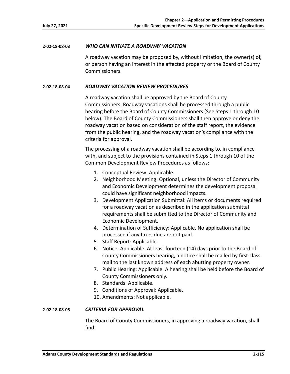# **2‐02‐18‐08‐03** *WHO CAN INITIATE A ROADWAY VACATION*

A roadway vacation may be proposed by, without limitation, the owner(s) of, or person having an interest in the affected property or the Board of County Commissioners.

# **2‐02‐18‐08‐04** *ROADWAY VACATION REVIEW PROCEDURES*

A roadway vacation shall be approved by the Board of County Commissioners. Roadway vacations shall be processed through a public hearing before the Board of County Commissioners (See Steps 1 through 10 below). The Board of County Commissioners shall then approve or deny the roadway vacation based on consideration of the staff report, the evidence from the public hearing, and the roadway vacation's compliance with the criteria for approval.

The processing of a roadway vacation shall be according to, in compliance with, and subject to the provisions contained in Steps 1 through 10 of the Common Development Review Procedures as follows:

- 1. Conceptual Review: Applicable.
- 2. Neighborhood Meeting: Optional, unless the Director of Community and Economic Development determines the development proposal could have significant neighborhood impacts.
- 3. Development Application Submittal: All items or documents required for a roadway vacation as described in the application submittal requirements shall be submitted to the Director of Community and Economic Development.
- 4. Determination of Sufficiency: Applicable. No application shall be processed if any taxes due are not paid.
- 5. Staff Report: Applicable.
- 6. Notice: Applicable. At least fourteen (14) days prior to the Board of County Commissioners hearing, a notice shall be mailed by first‐class mail to the last known address of each abutting property owner.
- 7. Public Hearing: Applicable. A hearing shall be held before the Board of County Commissioners only.
- 8. Standards: Applicable.
- 9. Conditions of Approval: Applicable.
- 10. Amendments: Not applicable.

#### **2‐02‐18‐08‐05** *CRITERIA FOR APPROVAL*

The Board of County Commissioners, in approving a roadway vacation, shall find: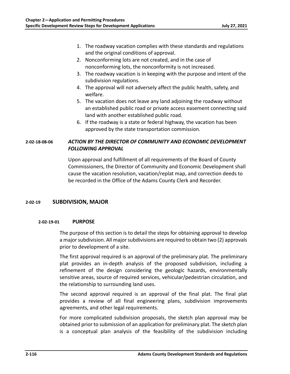- 1. The roadway vacation complies with these standards and regulations and the original conditions of approval.
- 2. Nonconforming lots are not created, and in the case of nonconforming lots, the nonconformity is not increased.
- 3. The roadway vacation is in keeping with the purpose and intent of the subdivision regulations.
- 4. The approval will not adversely affect the public health, safety, and welfare.
- 5. The vacation does not leave any land adjoining the roadway without an established public road or private access easement connecting said land with another established public road.
- 6. If the roadway is a state or federal highway, the vacation has been approved by the state transportation commission.

# **2‐02‐18‐08‐06** *ACTION BY THE DIRECTOR OF COMMUNITY AND ECONOMIC DEVELOPMENT FOLLOWING APPROVAL*

Upon approval and fulfillment of all requirements of the Board of County Commissioners, the Director of Community and Economic Development shall cause the vacation resolution, vacation/replat map, and correction deeds to be recorded in the Office of the Adams County Clerk and Recorder.

# **2‐02‐19 SUBDIVISION, MAJOR**

# **2‐02‐19‐01 PURPOSE**

The purpose of this section is to detail the steps for obtaining approval to develop a major subdivision. All major subdivisions are required to obtain two (2) approvals prior to development of a site.

The first approval required is an approval of the preliminary plat. The preliminary plat provides an in‐depth analysis of the proposed subdivision, including a refinement of the design considering the geologic hazards, environmentally sensitive areas, source of required services, vehicular/pedestrian circulation, and the relationship to surrounding land uses.

The second approval required is an approval of the final plat. The final plat provides a review of all final engineering plans, subdivision improvements agreements, and other legal requirements.

For more complicated subdivision proposals, the sketch plan approval may be obtained prior to submission of an application for preliminary plat. The sketch plan is a conceptual plan analysis of the feasibility of the subdivision including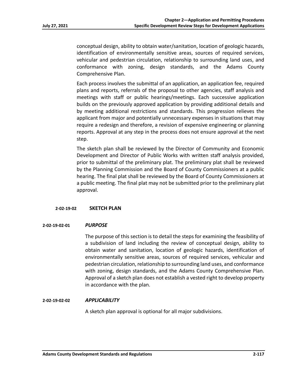conceptual design, ability to obtain water/sanitation, location of geologic hazards, identification of environmentally sensitive areas, sources of required services, vehicular and pedestrian circulation, relationship to surrounding land uses, and conformance with zoning, design standards, and the Adams County Comprehensive Plan.

Each process involves the submittal of an application, an application fee, required plans and reports, referrals of the proposal to other agencies, staff analysis and meetings with staff or public hearings/meetings. Each successive application builds on the previously approved application by providing additional details and by meeting additional restrictions and standards. This progression relieves the applicant from major and potentially unnecessary expenses in situations that may require a redesign and therefore, a revision of expensive engineering or planning reports. Approval at any step in the process does not ensure approval at the next step.

The sketch plan shall be reviewed by the Director of Community and Economic Development and Director of Public Works with written staff analysis provided, prior to submittal of the preliminary plat. The preliminary plat shall be reviewed by the Planning Commission and the Board of County Commissioners at a public hearing. The final plat shall be reviewed by the Board of County Commissioners at a public meeting. The final plat may not be submitted prior to the preliminary plat approval.

#### **2‐02‐19‐02 SKETCH PLAN**

#### **2‐02‐19‐02‐01** *PURPOSE*

The purpose of this section is to detail the steps for examining the feasibility of a subdivision of land including the review of conceptual design, ability to obtain water and sanitation, location of geologic hazards, identification of environmentally sensitive areas, sources of required services, vehicular and pedestrian circulation, relationship to surrounding land uses, and conformance with zoning, design standards, and the Adams County Comprehensive Plan. Approval of a sketch plan does not establish a vested right to develop property in accordance with the plan.

#### **2‐02‐19‐02‐02** *APPLICABILITY*

A sketch plan approval is optional for all major subdivisions.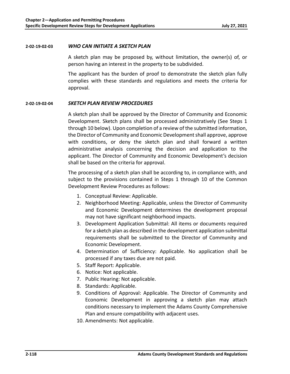#### **2‐02‐19‐02‐03** *WHO CAN INITIATE A SKETCH PLAN*

A sketch plan may be proposed by, without limitation, the owner(s) of, or person having an interest in the property to be subdivided.

The applicant has the burden of proof to demonstrate the sketch plan fully complies with these standards and regulations and meets the criteria for approval.

# **2‐02‐19‐02‐04** *SKETCH PLAN REVIEW PROCEDURES*

A sketch plan shall be approved by the Director of Community and Economic Development. Sketch plans shall be processed administratively (See Steps 1 through 10 below). Upon completion of a review of the submitted information, the Director of Community and Economic Development shall approve, approve with conditions, or deny the sketch plan and shall forward a written administrative analysis concerning the decision and application to the applicant. The Director of Community and Economic Development's decision shall be based on the criteria for approval.

The processing of a sketch plan shall be according to, in compliance with, and subject to the provisions contained in Steps 1 through 10 of the Common Development Review Procedures as follows:

- 1. Conceptual Review: Applicable.
- 2. Neighborhood Meeting: Applicable, unless the Director of Community and Economic Development determines the development proposal may not have significant neighborhood impacts.
- 3. Development Application Submittal: All items or documents required for a sketch plan as described in the development application submittal requirements shall be submitted to the Director of Community and Economic Development.
- 4. Determination of Sufficiency: Applicable. No application shall be processed if any taxes due are not paid.
- 5. Staff Report: Applicable.
- 6. Notice: Not applicable.
- 7. Public Hearing: Not applicable.
- 8. Standards: Applicable.
- 9. Conditions of Approval: Applicable. The Director of Community and Economic Development in approving a sketch plan may attach conditions necessary to implement the Adams County Comprehensive Plan and ensure compatibility with adjacent uses.
- 10. Amendments: Not applicable.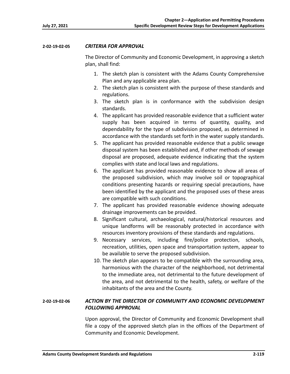# **2‐02‐19‐02‐05** *CRITERIA FOR APPROVAL*

The Director of Community and Economic Development, in approving a sketch plan, shall find:

- 1. The sketch plan is consistent with the Adams County Comprehensive Plan and any applicable area plan.
- 2. The sketch plan is consistent with the purpose of these standards and regulations.
- 3. The sketch plan is in conformance with the subdivision design standards.
- 4. The applicant has provided reasonable evidence that a sufficient water supply has been acquired in terms of quantity, quality, and dependability for the type of subdivision proposed, as determined in accordance with the standards set forth in the water supply standards.
- 5. The applicant has provided reasonable evidence that a public sewage disposal system has been established and, if other methods of sewage disposal are proposed, adequate evidence indicating that the system complies with state and local laws and regulations.
- 6. The applicant has provided reasonable evidence to show all areas of the proposed subdivision, which may involve soil or topographical conditions presenting hazards or requiring special precautions, have been identified by the applicant and the proposed uses of these areas are compatible with such conditions.
- 7. The applicant has provided reasonable evidence showing adequate drainage improvements can be provided.
- 8. Significant cultural, archaeological, natural/historical resources and unique landforms will be reasonably protected in accordance with resources inventory provisions of these standards and regulations.
- 9. Necessary services, including fire/police protection, schools, recreation, utilities, open space and transportation system, appear to be available to serve the proposed subdivision.
- 10. The sketch plan appears to be compatible with the surrounding area, harmonious with the character of the neighborhood, not detrimental to the immediate area, not detrimental to the future development of the area, and not detrimental to the health, safety, or welfare of the inhabitants of the area and the County.

# **2‐02‐19‐02‐06** *ACTION BY THE DIRECTOR OF COMMUNITY AND ECONOMIC DEVELOPMENT FOLLOWING APPROVAL*

Upon approval, the Director of Community and Economic Development shall file a copy of the approved sketch plan in the offices of the Department of Community and Economic Development.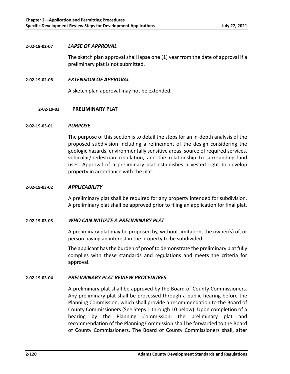### **2‐02‐19‐02‐07** *LAPSE OF APPROVAL*

The sketch plan approval shall lapse one (1) year from the date of approval if a preliminary plat is not submitted.

**2‐02‐19‐02‐08** *EXTENSION OF APPROVAL* 

A sketch plan approval may not be extended.

# **2‐02‐19‐03 PRELIMINARY PLAT**

#### **2‐02‐19‐03‐01** *PURPOSE*

The purpose of this section is to detail the steps for an in‐depth analysis of the proposed subdivision including a refinement of the design considering the geologic hazards, environmentally sensitive areas, source of required services, vehicular/pedestrian circulation, and the relationship to surrounding land uses. Approval of a preliminary plat establishes a vested right to develop property in accordance with the plat.

# **2‐02‐19‐03‐02** *APPLICABILITY*

A preliminary plat shall be required for any property intended for subdivision. A preliminary plat shall be approved prior to filing an application for final plat.

# **2‐02‐19‐03‐03** *WHO CAN INITIATE A PRELIMINARY PLAT*

A preliminary plat may be proposed by, without limitation, the owner(s) of, or person having an interest in the property to be subdivided.

The applicant has the burden of proof to demonstrate the preliminary plat fully complies with these standards and regulations and meets the criteria for approval.

# **2‐02‐19‐03‐04** *PRELIMINARY PLAT REVIEW PROCEDURES*

A preliminary plat shall be approved by the Board of County Commissioners. Any preliminary plat shall be processed through a public hearing before the Planning Commission, which shall provide a recommendation to the Board of County Commissioners (See Steps 1 through 10 below). Upon completion of a hearing by the Planning Commission, the preliminary plat and recommendation of the Planning Commission shall be forwarded to the Board of County Commissioners. The Board of County Commissioners shall, after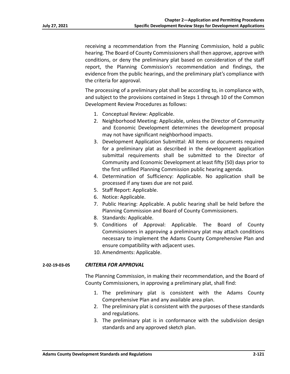receiving a recommendation from the Planning Commission, hold a public hearing. The Board of County Commissioners shall then approve, approve with conditions, or deny the preliminary plat based on consideration of the staff report, the Planning Commission's recommendation and findings, the evidence from the public hearings, and the preliminary plat's compliance with the criteria for approval.

The processing of a preliminary plat shall be according to, in compliance with, and subject to the provisions contained in Steps 1 through 10 of the Common Development Review Procedures as follows:

- 1. Conceptual Review: Applicable.
- 2. Neighborhood Meeting: Applicable, unless the Director of Community and Economic Development determines the development proposal may not have significant neighborhood impacts.
- 3. Development Application Submittal: All items or documents required for a preliminary plat as described in the development application submittal requirements shall be submitted to the Director of Community and Economic Development at least fifty (50) days prior to the first unfilled Planning Commission public hearing agenda.
- 4. Determination of Sufficiency: Applicable. No application shall be processed if any taxes due are not paid.
- 5. Staff Report: Applicable.
- 6. Notice: Applicable.
- 7. Public Hearing: Applicable. A public hearing shall be held before the Planning Commission and Board of County Commissioners.
- 8. Standards: Applicable.
- 9. Conditions of Approval: Applicable. The Board of County Commissioners in approving a preliminary plat may attach conditions necessary to implement the Adams County Comprehensive Plan and ensure compatibility with adjacent uses.
- 10. Amendments: Applicable.

# **2‐02‐19‐03‐05** *CRITERIA FOR APPROVAL*

The Planning Commission, in making their recommendation, and the Board of County Commissioners, in approving a preliminary plat, shall find:

- 1. The preliminary plat is consistent with the Adams County Comprehensive Plan and any available area plan.
- 2. The preliminary plat is consistent with the purposes of these standards and regulations.
- 3. The preliminary plat is in conformance with the subdivision design standards and any approved sketch plan.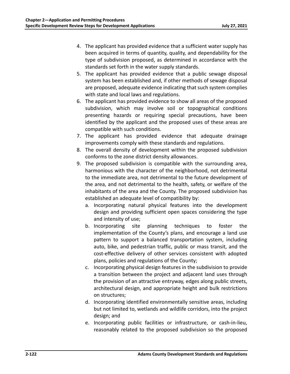- 4. The applicant has provided evidence that a sufficient water supply has been acquired in terms of quantity, quality, and dependability for the type of subdivision proposed, as determined in accordance with the standards set forth in the water supply standards.
- 5. The applicant has provided evidence that a public sewage disposal system has been established and, if other methods of sewage disposal are proposed, adequate evidence indicating that such system complies with state and local laws and regulations.
- 6. The applicant has provided evidence to show all areas of the proposed subdivision, which may involve soil or topographical conditions presenting hazards or requiring special precautions, have been identified by the applicant and the proposed uses of these areas are compatible with such conditions.
- 7. The applicant has provided evidence that adequate drainage improvements comply with these standards and regulations.
- 8. The overall density of development within the proposed subdivision conforms to the zone district density allowances.
- 9. The proposed subdivision is compatible with the surrounding area, harmonious with the character of the neighborhood, not detrimental to the immediate area, not detrimental to the future development of the area, and not detrimental to the health, safety, or welfare of the inhabitants of the area and the County. The proposed subdivision has established an adequate level of compatibility by:
	- a. Incorporating natural physical features into the development design and providing sufficient open spaces considering the type and intensity of use;
	- b. Incorporating site planning techniques to foster the implementation of the County's plans, and encourage a land use pattern to support a balanced transportation system, including auto, bike, and pedestrian traffic, public or mass transit, and the cost-effective delivery of other services consistent with adopted plans, policies and regulations of the County;
	- c. Incorporating physical design features in the subdivision to provide a transition between the project and adjacent land uses through the provision of an attractive entryway, edges along public streets, architectural design, and appropriate height and bulk restrictions on structures;
	- d. Incorporating identified environmentally sensitive areas, including but not limited to, wetlands and wildlife corridors, into the project design; and
	- e. Incorporating public facilities or infrastructure, or cash‐in‐lieu, reasonably related to the proposed subdivision so the proposed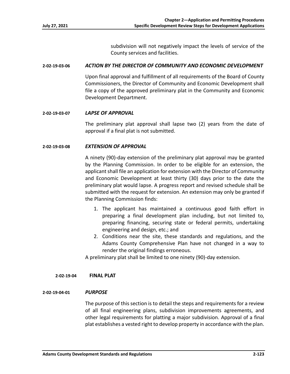subdivision will not negatively impact the levels of service of the County services and facilities.

#### **2‐02‐19‐03‐06** *ACTION BY THE DIRECTOR OF COMMUNITY AND ECONOMIC DEVELOPMENT*

Upon final approval and fulfillment of all requirements of the Board of County Commissioners, the Director of Community and Economic Development shall file a copy of the approved preliminary plat in the Community and Economic Development Department.

#### **2‐02‐19‐03‐07** *LAPSE OF APPROVAL*

The preliminary plat approval shall lapse two (2) years from the date of approval if a final plat is not submitted.

# **2‐02‐19‐03‐08** *EXTENSION OF APPROVAL*

A ninety (90)‐day extension of the preliminary plat approval may be granted by the Planning Commission. In order to be eligible for an extension, the applicant shall file an application for extension with the Director of Community and Economic Development at least thirty (30) days prior to the date the preliminary plat would lapse. A progress report and revised schedule shall be submitted with the request for extension. An extension may only be granted if the Planning Commission finds:

- 1. The applicant has maintained a continuous good faith effort in preparing a final development plan including, but not limited to, preparing financing, securing state or federal permits, undertaking engineering and design, etc.; and
- 2. Conditions near the site, these standards and regulations, and the Adams County Comprehensive Plan have not changed in a way to render the original findings erroneous.

A preliminary plat shall be limited to one ninety (90)‐day extension.

#### **2‐02‐19‐04 FINAL PLAT**

# **2‐02‐19‐04‐01** *PURPOSE*

The purpose of this section is to detail the steps and requirements for a review of all final engineering plans, subdivision improvements agreements, and other legal requirements for platting a major subdivision. Approval of a final plat establishes a vested right to develop property in accordance with the plan.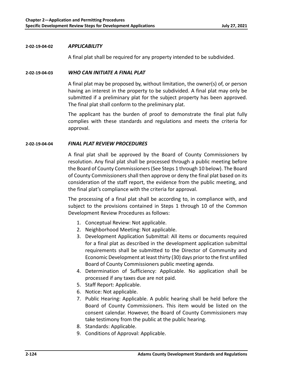### **2‐02‐19‐04‐02** *APPLICABILITY*

A final plat shall be required for any property intended to be subdivided.

### **2‐02‐19‐04‐03** *WHO CAN INITIATE A FINAL PLAT*

A final plat may be proposed by, without limitation, the owner(s) of, or person having an interest in the property to be subdivided. A final plat may only be submitted if a preliminary plat for the subject property has been approved. The final plat shall conform to the preliminary plat.

The applicant has the burden of proof to demonstrate the final plat fully complies with these standards and regulations and meets the criteria for approval.

# **2‐02‐19‐04‐04** *FINAL PLAT REVIEW PROCEDURES*

A final plat shall be approved by the Board of County Commissioners by resolution. Any final plat shall be processed through a public meeting before the Board of County Commissioners (See Steps 1 through 10 below). The Board of County Commissioners shall then approve or deny the final plat based on its consideration of the staff report, the evidence from the public meeting, and the final plat's compliance with the criteria for approval.

The processing of a final plat shall be according to, in compliance with, and subject to the provisions contained in Steps 1 through 10 of the Common Development Review Procedures as follows:

- 1. Conceptual Review: Not applicable.
- 2. Neighborhood Meeting: Not applicable.
- 3. Development Application Submittal: All items or documents required for a final plat as described in the development application submittal requirements shall be submitted to the Director of Community and Economic Development at least thirty (30) days prior to the first unfilled Board of County Commissioners public meeting agenda.
- 4. Determination of Sufficiency: Applicable. No application shall be processed if any taxes due are not paid.
- 5. Staff Report: Applicable.
- 6. Notice: Not applicable.
- 7. Public Hearing: Applicable. A public hearing shall be held before the Board of County Commissioners. This item would be listed on the consent calendar. However, the Board of County Commissioners may take testimony from the public at the public hearing.
- 8. Standards: Applicable.
- 9. Conditions of Approval: Applicable.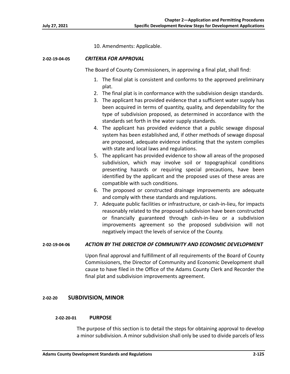10. Amendments: Applicable.

#### **2‐02‐19‐04‐05** *CRITERIA FOR APPROVAL*

The Board of County Commissioners, in approving a final plat, shall find:

- 1. The final plat is consistent and conforms to the approved preliminary plat.
- 2. The final plat is in conformance with the subdivision design standards.
- 3. The applicant has provided evidence that a sufficient water supply has been acquired in terms of quantity, quality, and dependability for the type of subdivision proposed, as determined in accordance with the standards set forth in the water supply standards.
- 4. The applicant has provided evidence that a public sewage disposal system has been established and, if other methods of sewage disposal are proposed, adequate evidence indicating that the system complies with state and local laws and regulations.
- 5. The applicant has provided evidence to show all areas of the proposed subdivision, which may involve soil or topographical conditions presenting hazards or requiring special precautions, have been identified by the applicant and the proposed uses of these areas are compatible with such conditions.
- 6. The proposed or constructed drainage improvements are adequate and comply with these standards and regulations.
- 7. Adequate public facilities or infrastructure, or cash‐in‐lieu, for impacts reasonably related to the proposed subdivision have been constructed or financially guaranteed through cash‐in‐lieu or a subdivision improvements agreement so the proposed subdivision will not negatively impact the levels of service of the County.

# **2‐02‐19‐04‐06** *ACTION BY THE DIRECTOR OF COMMUNITY AND ECONOMIC DEVELOPMENT*

Upon final approval and fulfillment of all requirements of the Board of County Commissioners, the Director of Community and Economic Development shall cause to have filed in the Office of the Adams County Clerk and Recorder the final plat and subdivision improvements agreement.

# **2‐02‐20 SUBDIVISION, MINOR**

#### **2‐02‐20‐01 PURPOSE**

The purpose of this section is to detail the steps for obtaining approval to develop a minor subdivision. A minor subdivision shall only be used to divide parcels of less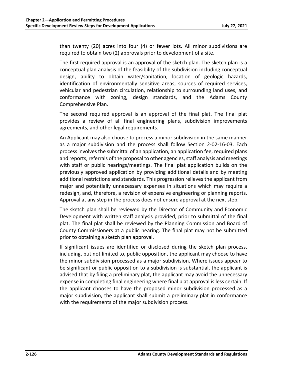than twenty (20) acres into four (4) or fewer lots. All minor subdivisions are required to obtain two (2) approvals prior to development of a site.

The first required approval is an approval of the sketch plan. The sketch plan is a conceptual plan analysis of the feasibility of the subdivision including conceptual design, ability to obtain water/sanitation, location of geologic hazards, identification of environmentally sensitive areas, sources of required services, vehicular and pedestrian circulation, relationship to surrounding land uses, and conformance with zoning, design standards, and the Adams County Comprehensive Plan.

The second required approval is an approval of the final plat. The final plat provides a review of all final engineering plans, subdivision improvements agreements, and other legal requirements.

An Applicant may also choose to process a minor subdivision in the same manner as a major subdivision and the process shall follow Section 2‐02‐16‐03. Each process involves the submittal of an application, an application fee, required plans and reports, referrals of the proposal to other agencies, staff analysis and meetings with staff or public hearings/meetings. The final plat application builds on the previously approved application by providing additional details and by meeting additional restrictions and standards. This progression relieves the applicant from major and potentially unnecessary expenses in situations which may require a redesign, and, therefore, a revision of expensive engineering or planning reports. Approval at any step in the process does not ensure approval at the next step.

The sketch plan shall be reviewed by the Director of Community and Economic Development with written staff analysis provided, prior to submittal of the final plat. The final plat shall be reviewed by the Planning Commission and Board of County Commissioners at a public hearing. The final plat may not be submitted prior to obtaining a sketch plan approval.

If significant issues are identified or disclosed during the sketch plan process, including, but not limited to, public opposition, the applicant may choose to have the minor subdivision processed as a major subdivision. Where issues appear to be significant or public opposition to a subdivision is substantial, the applicant is advised that by filing a preliminary plat, the applicant may avoid the unnecessary expense in completing final engineering where final plat approval is less certain. If the applicant chooses to have the proposed minor subdivision processed as a major subdivision, the applicant shall submit a preliminary plat in conformance with the requirements of the major subdivision process.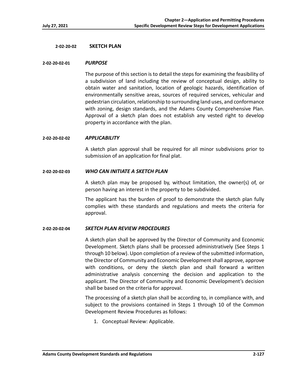### **2‐02‐20‐02 SKETCH PLAN**

#### **2‐02‐20‐02‐01** *PURPOSE*

The purpose of this section is to detail the steps for examining the feasibility of a subdivision of land including the review of conceptual design, ability to obtain water and sanitation, location of geologic hazards, identification of environmentally sensitive areas, sources of required services, vehicular and pedestrian circulation, relationship to surrounding land uses, and conformance with zoning, design standards, and the Adams County Comprehensive Plan. Approval of a sketch plan does not establish any vested right to develop property in accordance with the plan.

#### **2‐02‐20‐02‐02** *APPLICABILITY*

A sketch plan approval shall be required for all minor subdivisions prior to submission of an application for final plat.

#### **2‐02‐20‐02‐03** *WHO CAN INITIATE A SKETCH PLAN*

A sketch plan may be proposed by, without limitation, the owner(s) of, or person having an interest in the property to be subdivided.

The applicant has the burden of proof to demonstrate the sketch plan fully complies with these standards and regulations and meets the criteria for approval.

# **2‐02‐20‐02‐04** *SKETCH PLAN REVIEW PROCEDURES*

A sketch plan shall be approved by the Director of Community and Economic Development. Sketch plans shall be processed administratively (See Steps 1 through 10 below). Upon completion of a review of the submitted information, the Director of Community and Economic Development shall approve, approve with conditions, or deny the sketch plan and shall forward a written administrative analysis concerning the decision and application to the applicant. The Director of Community and Economic Development's decision shall be based on the criteria for approval.

The processing of a sketch plan shall be according to, in compliance with, and subject to the provisions contained in Steps 1 through 10 of the Common Development Review Procedures as follows:

1. Conceptual Review: Applicable.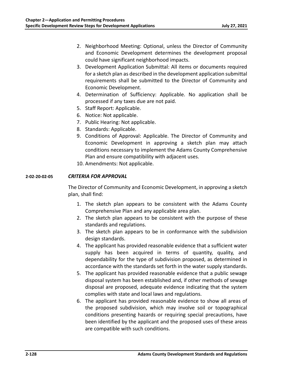- 2. Neighborhood Meeting: Optional, unless the Director of Community and Economic Development determines the development proposal could have significant neighborhood impacts.
- 3. Development Application Submittal: All items or documents required for a sketch plan as described in the development application submittal requirements shall be submitted to the Director of Community and Economic Development.
- 4. Determination of Sufficiency: Applicable. No application shall be processed if any taxes due are not paid.
- 5. Staff Report: Applicable.
- 6. Notice: Not applicable.
- 7. Public Hearing: Not applicable.
- 8. Standards: Applicable.
- 9. Conditions of Approval: Applicable. The Director of Community and Economic Development in approving a sketch plan may attach conditions necessary to implement the Adams County Comprehensive Plan and ensure compatibility with adjacent uses.
- 10. Amendments: Not applicable.

# **2‐02‐20‐02‐05** *CRITERIA FOR APPROVAL*

The Director of Community and Economic Development, in approving a sketch plan, shall find:

- 1. The sketch plan appears to be consistent with the Adams County Comprehensive Plan and any applicable area plan.
- 2. The sketch plan appears to be consistent with the purpose of these standards and regulations.
- 3. The sketch plan appears to be in conformance with the subdivision design standards.
- 4. The applicant has provided reasonable evidence that a sufficient water supply has been acquired in terms of quantity, quality, and dependability for the type of subdivision proposed, as determined in accordance with the standards set forth in the water supply standards.
- 5. The applicant has provided reasonable evidence that a public sewage disposal system has been established and, if other methods of sewage disposal are proposed, adequate evidence indicating that the system complies with state and local laws and regulations.
- 6. The applicant has provided reasonable evidence to show all areas of the proposed subdivision, which may involve soil or topographical conditions presenting hazards or requiring special precautions, have been identified by the applicant and the proposed uses of these areas are compatible with such conditions.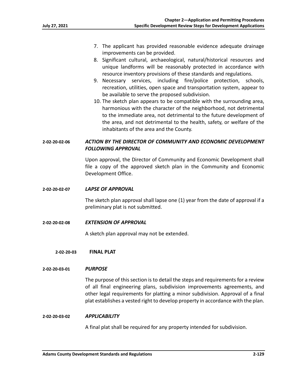- 7. The applicant has provided reasonable evidence adequate drainage improvements can be provided.
- 8. Significant cultural, archaeological, natural/historical resources and unique landforms will be reasonably protected in accordance with resource inventory provisions of these standards and regulations.
- 9. Necessary services, including fire/police protection, schools, recreation, utilities, open space and transportation system, appear to be available to serve the proposed subdivision.
- 10. The sketch plan appears to be compatible with the surrounding area, harmonious with the character of the neighborhood, not detrimental to the immediate area, not detrimental to the future development of the area, and not detrimental to the health, safety, or welfare of the inhabitants of the area and the County.

# **2‐02‐20‐02‐06** *ACTION BY THE DIRECTOR OF COMMUNITY AND ECONOMIC DEVELOPMENT FOLLOWING APPROVAL*

Upon approval, the Director of Community and Economic Development shall file a copy of the approved sketch plan in the Community and Economic Development Office.

# **2‐02‐20‐02‐07** *LAPSE OF APPROVAL*

The sketch plan approval shall lapse one (1) year from the date of approval if a preliminary plat is not submitted.

**2‐02‐20‐02‐08** *EXTENSION OF APPROVAL* 

A sketch plan approval may not be extended.

**2‐02‐20‐03 FINAL PLAT** 

# **2‐02‐20‐03‐01** *PURPOSE*

The purpose of this section is to detail the steps and requirements for a review of all final engineering plans, subdivision improvements agreements, and other legal requirements for platting a minor subdivision. Approval of a final plat establishes a vested right to develop property in accordance with the plan.

# **2‐02‐20‐03‐02** *APPLICABILITY*

A final plat shall be required for any property intended for subdivision.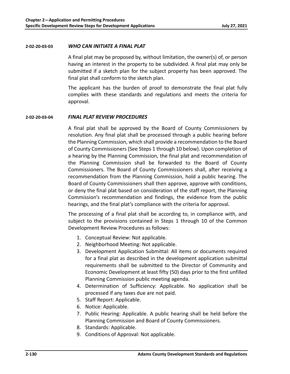### **2‐02‐20‐03‐03** *WHO CAN INITIATE A FINAL PLAT*

A final plat may be proposed by, without limitation, the owner(s) of, or person having an interest in the property to be subdivided. A final plat may only be submitted if a sketch plan for the subject property has been approved. The final plat shall conform to the sketch plan.

The applicant has the burden of proof to demonstrate the final plat fully complies with these standards and regulations and meets the criteria for approval.

# **2‐02‐20‐03‐04** *FINAL PLAT REVIEW PROCEDURES*

A final plat shall be approved by the Board of County Commissioners by resolution. Any final plat shall be processed through a public hearing before the Planning Commission, which shall provide a recommendation to the Board of County Commissioners (See Steps 1 through 10 below). Upon completion of a hearing by the Planning Commission, the final plat and recommendation of the Planning Commission shall be forwarded to the Board of County Commissioners. The Board of County Commissioners shall, after receiving a recommendation from the Planning Commission, hold a public hearing. The Board of County Commissioners shall then approve, approve with conditions, or deny the final plat based on consideration of the staff report, the Planning Commission's recommendation and findings, the evidence from the public hearings, and the final plat's compliance with the criteria for approval.

The processing of a final plat shall be according to, in compliance with, and subject to the provisions contained in Steps 1 through 10 of the Common Development Review Procedures as follows:

- 1. Conceptual Review: Not applicable.
- 2. Neighborhood Meeting: Not applicable.
- 3. Development Application Submittal: All items or documents required for a final plat as described in the development application submittal requirements shall be submitted to the Director of Community and Economic Development at least fifty (50) days prior to the first unfilled Planning Commission public meeting agenda.
- 4. Determination of Sufficiency: Applicable. No application shall be processed if any taxes due are not paid.
- 5. Staff Report: Applicable.
- 6. Notice: Applicable.
- 7. Public Hearing: Applicable. A public hearing shall be held before the Planning Commission and Board of County Commissioners.
- 8. Standards: Applicable.
- 9. Conditions of Approval: Not applicable.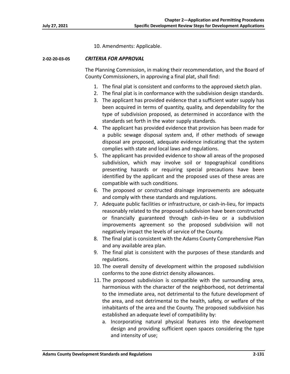10. Amendments: Applicable.

# **2‐02‐20‐03‐05** *CRITERIA FOR APPROVAL*

The Planning Commission, in making their recommendation, and the Board of County Commissioners, in approving a final plat, shall find:

- 1. The final plat is consistent and conforms to the approved sketch plan.
- 2. The final plat is in conformance with the subdivision design standards.
- 3. The applicant has provided evidence that a sufficient water supply has been acquired in terms of quantity, quality, and dependability for the type of subdivision proposed, as determined in accordance with the standards set forth in the water supply standards.
- 4. The applicant has provided evidence that provision has been made for a public sewage disposal system and, if other methods of sewage disposal are proposed, adequate evidence indicating that the system complies with state and local laws and regulations.
- 5. The applicant has provided evidence to show all areas of the proposed subdivision, which may involve soil or topographical conditions presenting hazards or requiring special precautions have been identified by the applicant and the proposed uses of these areas are compatible with such conditions.
- 6. The proposed or constructed drainage improvements are adequate and comply with these standards and regulations.
- 7. Adequate public facilities or infrastructure, or cash‐in‐lieu, for impacts reasonably related to the proposed subdivision have been constructed or financially guaranteed through cash‐in‐lieu or a subdivision improvements agreement so the proposed subdivision will not negatively impact the levels of service of the County.
- 8. The final plat is consistent with the Adams County Comprehensive Plan and any available area plan.
- 9. The final plat is consistent with the purposes of these standards and regulations.
- 10. The overall density of development within the proposed subdivision conforms to the zone district density allowances.
- 11. The proposed subdivision is compatible with the surrounding area, harmonious with the character of the neighborhood, not detrimental to the immediate area, not detrimental to the future development of the area, and not detrimental to the health, safety, or welfare of the inhabitants of the area and the County. The proposed subdivision has established an adequate level of compatibility by:
	- a. Incorporating natural physical features into the development design and providing sufficient open spaces considering the type and intensity of use;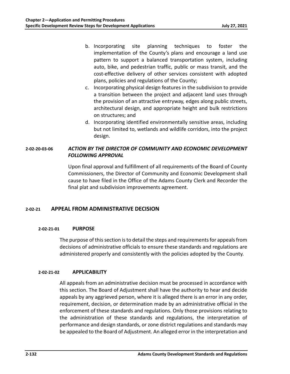- b. Incorporating site planning techniques to foster the implementation of the County's plans and encourage a land use pattern to support a balanced transportation system, including auto, bike, and pedestrian traffic, public or mass transit, and the cost‐effective delivery of other services consistent with adopted plans, policies and regulations of the County;
- c. Incorporating physical design features in the subdivision to provide a transition between the project and adjacent land uses through the provision of an attractive entryway, edges along public streets, architectural design, and appropriate height and bulk restrictions on structures; and
- d. Incorporating identified environmentally sensitive areas, including but not limited to, wetlands and wildlife corridors, into the project design.

# **2‐02‐20‐03‐06** *ACTION BY THE DIRECTOR OF COMMUNITY AND ECONOMIC DEVELOPMENT FOLLOWING APPROVAL*

Upon final approval and fulfillment of all requirements of the Board of County Commissioners, the Director of Community and Economic Development shall cause to have filed in the Office of the Adams County Clerk and Recorder the final plat and subdivision improvements agreement.

# **2‐02‐21 APPEAL FROM ADMINISTRATIVE DECISION**

# **2‐02‐21‐01 PURPOSE**

The purpose of this section is to detail the steps and requirements for appeals from decisions of administrative officials to ensure these standards and regulations are administered properly and consistently with the policies adopted by the County.

# **2‐02‐21‐02 APPLICABILITY**

All appeals from an administrative decision must be processed in accordance with this section. The Board of Adjustment shall have the authority to hear and decide appeals by any aggrieved person, where it is alleged there is an error in any order, requirement, decision, or determination made by an administrative official in the enforcement of these standards and regulations. Only those provisions relating to the administration of these standards and regulations, the interpretation of performance and design standards, or zone district regulations and standards may be appealed to the Board of Adjustment. An alleged error in the interpretation and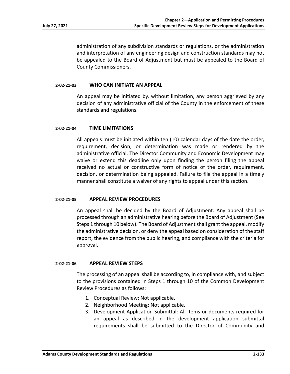administration of any subdivision standards or regulations, or the administration and interpretation of any engineering design and construction standards may not be appealed to the Board of Adjustment but must be appealed to the Board of County Commissioners.

#### **2‐02‐21‐03 WHO CAN INITIATE AN APPEAL**

An appeal may be initiated by, without limitation, any person aggrieved by any decision of any administrative official of the County in the enforcement of these standards and regulations.

#### **2‐02‐21‐04 TIME LIMITATIONS**

All appeals must be initiated within ten (10) calendar days of the date the order, requirement, decision, or determination was made or rendered by the administrative official. The Director Community and Economic Development may waive or extend this deadline only upon finding the person filing the appeal received no actual or constructive form of notice of the order, requirement, decision, or determination being appealed. Failure to file the appeal in a timely manner shall constitute a waiver of any rights to appeal under this section.

#### **2‐02‐21‐05 APPEAL REVIEW PROCEDURES**

An appeal shall be decided by the Board of Adjustment. Any appeal shall be processed through an administrative hearing before the Board of Adjustment (See Steps 1 through 10 below). The Board of Adjustment shall grant the appeal, modify the administrative decision, or deny the appeal based on consideration of the staff report, the evidence from the public hearing, and compliance with the criteria for approval.

#### **2‐02‐21‐06 APPEAL REVIEW STEPS**

The processing of an appeal shall be according to, in compliance with, and subject to the provisions contained in Steps 1 through 10 of the Common Development Review Procedures as follows:

- 1. Conceptual Review: Not applicable.
- 2. Neighborhood Meeting: Not applicable.
- 3. Development Application Submittal: All items or documents required for an appeal as described in the development application submittal requirements shall be submitted to the Director of Community and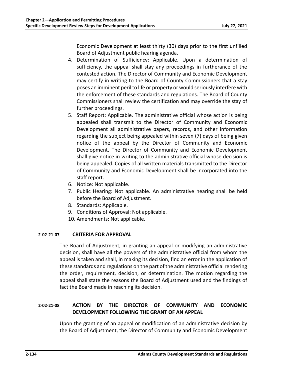Economic Development at least thirty (30) days prior to the first unfilled Board of Adjustment public hearing agenda.

- 4. Determination of Sufficiency: Applicable. Upon a determination of sufficiency, the appeal shall stay any proceedings in furtherance of the contested action. The Director of Community and Economic Development may certify in writing to the Board of County Commissioners that a stay poses an imminent peril to life or property or would seriously interfere with the enforcement of these standards and regulations. The Board of County Commissioners shall review the certification and may override the stay of further proceedings.
- 5. Staff Report: Applicable. The administrative official whose action is being appealed shall transmit to the Director of Community and Economic Development all administrative papers, records, and other information regarding the subject being appealed within seven (7) days of being given notice of the appeal by the Director of Community and Economic Development. The Director of Community and Economic Development shall give notice in writing to the administrative official whose decision is being appealed. Copies of all written materials transmitted to the Director of Community and Economic Development shall be incorporated into the staff report.
- 6. Notice: Not applicable.
- 7. Public Hearing: Not applicable. An administrative hearing shall be held before the Board of Adjustment.
- 8. Standards: Applicable.
- 9. Conditions of Approval: Not applicable.
- 10. Amendments: Not applicable.

# **2‐02‐21‐07 CRITERIA FOR APPROVAL**

The Board of Adjustment, in granting an appeal or modifying an administrative decision, shall have all the powers of the administrative official from whom the appeal is taken and shall, in making its decision, find an error in the application of these standards and regulations on the part of the administrative official rendering the order, requirement, decision, or determination. The motion regarding the appeal shall state the reasons the Board of Adjustment used and the findings of fact the Board made in reaching its decision.

# **2‐02‐21‐08 ACTION BY THE DIRECTOR OF COMMUNITY AND ECONOMIC DEVELOPMENT FOLLOWING THE GRANT OF AN APPEAL**

Upon the granting of an appeal or modification of an administrative decision by the Board of Adjustment, the Director of Community and Economic Development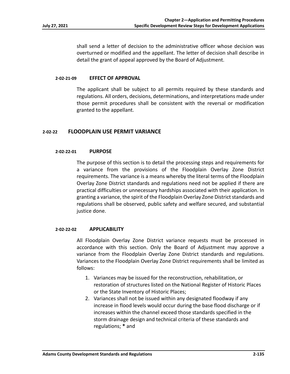shall send a letter of decision to the administrative officer whose decision was overturned or modified and the appellant. The letter of decision shall describe in detail the grant of appeal approved by the Board of Adjustment.

#### **2‐02‐21‐09 EFFECT OF APPROVAL**

The applicant shall be subject to all permits required by these standards and regulations. All orders, decisions, determinations, and interpretations made under those permit procedures shall be consistent with the reversal or modification granted to the appellant.

# **2‐02‐22 FLOODPLAIN USE PERMIT VARIANCE**

#### **2‐02‐22‐01 PURPOSE**

The purpose of this section is to detail the processing steps and requirements for a variance from the provisions of the Floodplain Overlay Zone District requirements. The variance is a means whereby the literal terms of the Floodplain Overlay Zone District standards and regulations need not be applied if there are practical difficulties or unnecessary hardships associated with their application. In granting a variance, the spirit of the Floodplain Overlay Zone District standards and regulations shall be observed, public safety and welfare secured, and substantial justice done.

#### **2‐02‐22‐02 APPLICABILITY**

All Floodplain Overlay Zone District variance requests must be processed in accordance with this section. Only the Board of Adjustment may approve a variance from the Floodplain Overlay Zone District standards and regulations. Variances to the Floodplain Overlay Zone District requirements shall be limited as follows:

- 1. Variances may be issued for the reconstruction, rehabilitation, or restoration of structures listed on the National Register of Historic Places or the State Inventory of Historic Places;
- 2. Variances shall not be issued within any designated floodway if any increase in flood levels would occur during the base flood discharge or if increases within the channel exceed those standards specified in the storm drainage design and technical criteria of these standards and regulations; **\*** and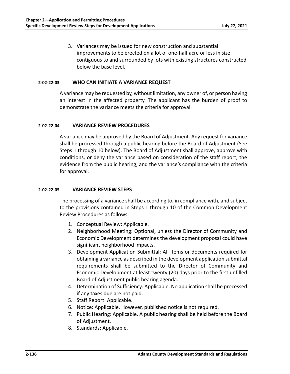3. Variances may be issued for new construction and substantial improvements to be erected on a lot of one‐half acre or less in size contiguous to and surrounded by lots with existing structures constructed below the base level.

# **2‐02‐22‐03 WHO CAN INITIATE A VARIANCE REQUEST**

A variance may be requested by, without limitation, any owner of, or person having an interest in the affected property. The applicant has the burden of proof to demonstrate the variance meets the criteria for approval.

#### **2‐02‐22‐04 VARIANCE REVIEW PROCEDURES**

A variance may be approved by the Board of Adjustment. Any request for variance shall be processed through a public hearing before the Board of Adjustment (See Steps 1 through 10 below). The Board of Adjustment shall approve, approve with conditions, or deny the variance based on consideration of the staff report, the evidence from the public hearing, and the variance's compliance with the criteria for approval.

### **2‐02‐22‐05 VARIANCE REVIEW STEPS**

The processing of a variance shall be according to, in compliance with, and subject to the provisions contained in Steps 1 through 10 of the Common Development Review Procedures as follows:

- 1. Conceptual Review: Applicable.
- 2. Neighborhood Meeting: Optional, unless the Director of Community and Economic Development determines the development proposal could have significant neighborhood impacts.
- 3. Development Application Submittal: All items or documents required for obtaining a variance as described in the development application submittal requirements shall be submitted to the Director of Community and Economic Development at least twenty (20) days prior to the first unfilled Board of Adjustment public hearing agenda.
- 4. Determination of Sufficiency: Applicable. No application shall be processed if any taxes due are not paid.
- 5. Staff Report: Applicable.
- 6. Notice: Applicable. However, published notice is not required.
- 7. Public Hearing: Applicable. A public hearing shall be held before the Board of Adjustment.
- 8. Standards: Applicable.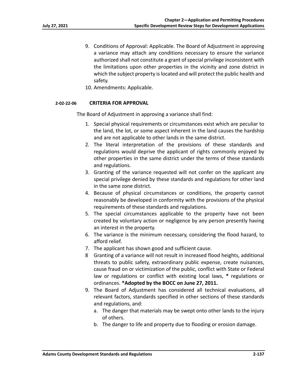- 9. Conditions of Approval: Applicable. The Board of Adjustment in approving a variance may attach any conditions necessary to ensure the variance authorized shall not constitute a grant of special privilege inconsistent with the limitations upon other properties in the vicinity and zone district in which the subject property is located and will protect the public health and safety.
- 10. Amendments: Applicable.

#### **2‐02‐22‐06 CRITERIA FOR APPROVAL**

The Board of Adjustment in approving a variance shall find:

- 1. Special physical requirements or circumstances exist which are peculiar to the land, the lot, or some aspect inherent in the land causes the hardship and are not applicable to other lands in the same district.
- 2. The literal interpretation of the provisions of these standards and regulations would deprive the applicant of rights commonly enjoyed by other properties in the same district under the terms of these standards and regulations.
- 3. Granting of the variance requested will not confer on the applicant any special privilege denied by these standards and regulations for other land in the same zone district.
- 4. Because of physical circumstances or conditions, the property cannot reasonably be developed in conformity with the provisions of the physical requirements of these standards and regulations.
- 5. The special circumstances applicable to the property have not been created by voluntary action or negligence by any person presently having an interest in the property.
- 6. The variance is the minimum necessary, considering the flood hazard, to afford relief.
- 7. The applicant has shown good and sufficient cause.
- 8 Granting of a variance will not result in increased flood heights, additional threats to public safety, extraordinary public expense, create nuisances, cause fraud on or victimization of the public, conflict with State or Federal law or regulations or conflict with existing local laws, **\*** regulations or ordinances. **\*Adopted by the BOCC on June 27, 2011.**
- 9. The Board of Adjustment has considered all technical evaluations, all relevant factors, standards specified in other sections of these standards and regulations, and:
	- a. The danger that materials may be swept onto other lands to the injury of others.
	- b. The danger to life and property due to flooding or erosion damage.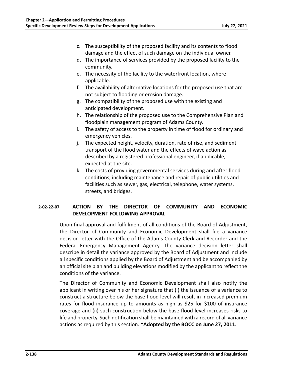- c. The susceptibility of the proposed facility and its contents to flood damage and the effect of such damage on the individual owner.
- d. The importance of services provided by the proposed facility to the community.
- e. The necessity of the facility to the waterfront location, where applicable.
- f. The availability of alternative locations for the proposed use that are not subject to flooding or erosion damage.
- g. The compatibility of the proposed use with the existing and anticipated development.
- h. The relationship of the proposed use to the Comprehensive Plan and floodplain management program of Adams County.
- i. The safety of access to the property in time of flood for ordinary and emergency vehicles.
- j. The expected height, velocity, duration, rate of rise, and sediment transport of the flood water and the effects of wave action as described by a registered professional engineer, if applicable, expected at the site.
- k. The costs of providing governmental services during and after flood conditions, including maintenance and repair of public utilities and facilities such as sewer, gas, electrical, telephone, water systems, streets, and bridges.

# **2‐02‐22‐07 ACTION BY THE DIRECTOR OF COMMUNITY AND ECONOMIC DEVELOPMENT FOLLOWING APPROVAL**

Upon final approval and fulfillment of all conditions of the Board of Adjustment, the Director of Community and Economic Development shall file a variance decision letter with the Office of the Adams County Clerk and Recorder and the Federal Emergency Management Agency. The variance decision letter shall describe in detail the variance approved by the Board of Adjustment and include all specific conditions applied by the Board of Adjustment and be accompanied by an official site plan and building elevations modified by the applicant to reflect the conditions of the variance.

The Director of Community and Economic Development shall also notify the applicant in writing over his or her signature that (i) the issuance of a variance to construct a structure below the base flood level will result in increased premium rates for flood insurance up to amounts as high as \$25 for \$100 of insurance coverage and (ii) such construction below the base flood level increases risks to life and property. Such notification shall be maintained with a record of all variance actions as required by this section. **\*Adopted by the BOCC on June 27, 2011.**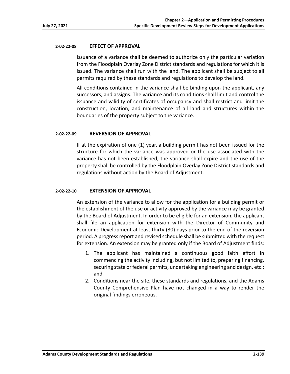### **2‐02‐22‐08 EFFECT OF APPROVAL**

Issuance of a variance shall be deemed to authorize only the particular variation from the Floodplain Overlay Zone District standards and regulations for which it is issued. The variance shall run with the land. The applicant shall be subject to all permits required by these standards and regulations to develop the land.

All conditions contained in the variance shall be binding upon the applicant, any successors, and assigns. The variance and its conditions shall limit and control the issuance and validity of certificates of occupancy and shall restrict and limit the construction, location, and maintenance of all land and structures within the boundaries of the property subject to the variance.

# **2‐02‐22‐09 REVERSION OF APPROVAL**

If at the expiration of one (1) year, a building permit has not been issued for the structure for which the variance was approved or the use associated with the variance has not been established, the variance shall expire and the use of the property shall be controlled by the Floodplain Overlay Zone District standards and regulations without action by the Board of Adjustment.

# **2‐02‐22‐10 EXTENSION OF APPROVAL**

An extension of the variance to allow for the application for a building permit or the establishment of the use or activity approved by the variance may be granted by the Board of Adjustment. In order to be eligible for an extension, the applicant shall file an application for extension with the Director of Community and Economic Development at least thirty (30) days prior to the end of the reversion period. A progress report and revised schedule shall be submitted with the request for extension. An extension may be granted only if the Board of Adjustment finds:

- 1. The applicant has maintained a continuous good faith effort in commencing the activity including, but not limited to, preparing financing, securing state or federal permits, undertaking engineering and design, etc.; and
- 2. Conditions near the site, these standards and regulations, and the Adams County Comprehensive Plan have not changed in a way to render the original findings erroneous.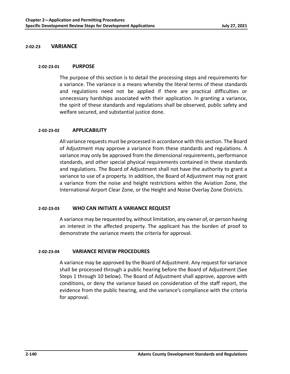# **2‐02‐23 VARIANCE**

#### **2‐02‐23‐01 PURPOSE**

The purpose of this section is to detail the processing steps and requirements for a variance. The variance is a means whereby the literal terms of these standards and regulations need not be applied if there are practical difficulties or unnecessary hardships associated with their application. In granting a variance, the spirit of these standards and regulations shall be observed, public safety and welfare secured, and substantial justice done.

#### **2‐02‐23‐02 APPLICABILITY**

All variance requests must be processed in accordance with this section. The Board of Adjustment may approve a variance from these standards and regulations. A variance may only be approved from the dimensional requirements, performance standards, and other special physical requirements contained in these standards and regulations. The Board of Adjustment shall not have the authority to grant a variance to use of a property. In addition, the Board of Adjustment may not grant a variance from the noise and height restrictions within the Aviation Zone, the International Airport Clear Zone, or the Height and Noise Overlay Zone Districts.

# **2‐02‐23‐03 WHO CAN INITIATE A VARIANCE REQUEST**

A variance may be requested by, without limitation, any owner of, or person having an interest in the affected property. The applicant has the burden of proof to demonstrate the variance meets the criteria for approval.

#### **2‐02‐23‐04 VARIANCE REVIEW PROCEDURES**

A variance may be approved by the Board of Adjustment. Any request for variance shall be processed through a public hearing before the Board of Adjustment (See Steps 1 through 10 below). The Board of Adjustment shall approve, approve with conditions, or deny the variance based on consideration of the staff report, the evidence from the public hearing, and the variance's compliance with the criteria for approval.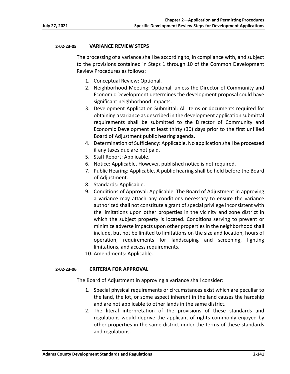# **2‐02‐23‐05 VARIANCE REVIEW STEPS**

The processing of a variance shall be according to, in compliance with, and subject to the provisions contained in Steps 1 through 10 of the Common Development Review Procedures as follows:

- 1. Conceptual Review: Optional.
- 2. Neighborhood Meeting: Optional, unless the Director of Community and Economic Development determines the development proposal could have significant neighborhood impacts.
- 3. Development Application Submittal: All items or documents required for obtaining a variance as described in the development application submittal requirements shall be submitted to the Director of Community and Economic Development at least thirty (30) days prior to the first unfilled Board of Adjustment public hearing agenda.
- 4. Determination of Sufficiency: Applicable. No application shall be processed if any taxes due are not paid.
- 5. Staff Report: Applicable.
- 6. Notice: Applicable. However, published notice is not required.
- 7. Public Hearing: Applicable. A public hearing shall be held before the Board of Adjustment.
- 8. Standards: Applicable.
- 9. Conditions of Approval: Applicable. The Board of Adjustment in approving a variance may attach any conditions necessary to ensure the variance authorized shall not constitute a grant of special privilege inconsistent with the limitations upon other properties in the vicinity and zone district in which the subject property is located. Conditions serving to prevent or minimize adverse impacts upon other properties in the neighborhood shall include, but not be limited to limitations on the size and location, hours of operation, requirements for landscaping and screening, lighting limitations, and access requirements.
- 10. Amendments: Applicable.

# **2‐02‐23‐06 CRITERIA FOR APPROVAL**

The Board of Adjustment in approving a variance shall consider:

- 1. Special physical requirements or circumstances exist which are peculiar to the land, the lot, or some aspect inherent in the land causes the hardship and are not applicable to other lands in the same district.
- 2. The literal interpretation of the provisions of these standards and regulations would deprive the applicant of rights commonly enjoyed by other properties in the same district under the terms of these standards and regulations.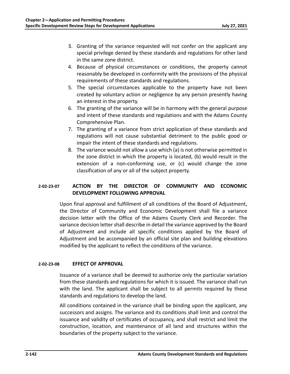- 3. Granting of the variance requested will not confer on the applicant any special privilege denied by these standards and regulations for other land in the same zone district.
- 4. Because of physical circumstances or conditions, the property cannot reasonably be developed in conformity with the provisions of the physical requirements of these standards and regulations.
- 5. The special circumstances applicable to the property have not been created by voluntary action or negligence by any person presently having an interest in the property.
- 6. The granting of the variance will be in harmony with the general purpose and intent of these standards and regulations and with the Adams County Comprehensive Plan.
- 7. The granting of a variance from strict application of these standards and regulations will not cause substantial detriment to the public good or impair the intent of these standards and regulations.
- 8. The variance would not allow a use which (a) is not otherwise permitted in the zone district in which the property is located, (b) would result in the extension of a non-conforming use, or (c) would change the zone classification of any or all of the subject property.

# **2‐02‐23‐07 ACTION BY THE DIRECTOR OF COMMUNITY AND ECONOMIC DEVELOPMENT FOLLOWING APPROVAL**

Upon final approval and fulfillment of all conditions of the Board of Adjustment, the Director of Community and Economic Development shall file a variance decision letter with the Office of the Adams County Clerk and Recorder. The variance decision letter shall describe in detail the variance approved by the Board of Adjustment and include all specific conditions applied by the Board of Adjustment and be accompanied by an official site plan and building elevations modified by the applicant to reflect the conditions of the variance.

# **2‐02‐23‐08 EFFECT OF APPROVAL**

Issuance of a variance shall be deemed to authorize only the particular variation from these standards and regulations for which it is issued. The variance shall run with the land. The applicant shall be subject to all permits required by these standards and regulations to develop the land.

All conditions contained in the variance shall be binding upon the applicant, any successors and assigns. The variance and its conditions shall limit and control the issuance and validity of certificates of occupancy, and shall restrict and limit the construction, location, and maintenance of all land and structures within the boundaries of the property subject to the variance.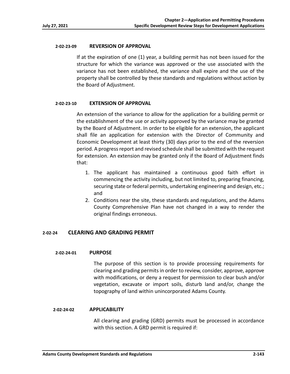# **2‐02‐23‐09 REVERSION OF APPROVAL**

If at the expiration of one (1) year, a building permit has not been issued for the structure for which the variance was approved or the use associated with the variance has not been established, the variance shall expire and the use of the property shall be controlled by these standards and regulations without action by the Board of Adjustment.

# **2‐02‐23‐10 EXTENSION OF APPROVAL**

An extension of the variance to allow for the application for a building permit or the establishment of the use or activity approved by the variance may be granted by the Board of Adjustment. In order to be eligible for an extension, the applicant shall file an application for extension with the Director of Community and Economic Development at least thirty (30) days prior to the end of the reversion period. A progress report and revised schedule shall be submitted with the request for extension. An extension may be granted only if the Board of Adjustment finds that:

- 1. The applicant has maintained a continuous good faith effort in commencing the activity including, but not limited to, preparing financing, securing state or federal permits, undertaking engineering and design, etc.; and
- 2. Conditions near the site, these standards and regulations, and the Adams County Comprehensive Plan have not changed in a way to render the original findings erroneous.

# **2‐02‐24 CLEARING AND GRADING PERMIT**

# **2‐02‐24‐01 PURPOSE**

The purpose of this section is to provide processing requirements for clearing and grading permits in order to review, consider, approve, approve with modifications, or deny a request for permission to clear bush and/or vegetation, excavate or import soils, disturb land and/or, change the topography of land within unincorporated Adams County.

# **2‐02‐24‐02 APPLICABILITY**

 All clearing and grading (GRD) permits must be processed in accordance with this section. A GRD permit is required if: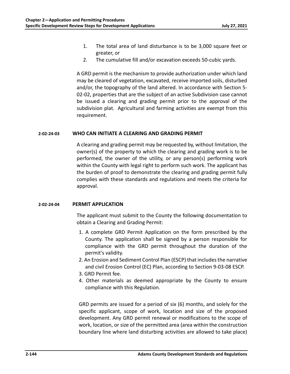- 1. The total area of land disturbance is to be 3,000 square feet or greater, or
- 2. The cumulative fill and/or excavation exceeds 50‐cubic yards.

 A GRD permit is the mechanism to provide authorization under which land may be cleared of vegetation, excavated, receive imported soils, disturbed and/or, the topography of the land altered. In accordance with Section 5‐ 02‐02, properties that are the subject of an active Subdivision case cannot be issued a clearing and grading permit prior to the approval of the subdivision plat. Agricultural and farming activities are exempt from this requirement.

## **2‐02‐24‐03 WHO CAN INITIATE A CLEARING AND GRADING PERMIT**

 A clearing and grading permit may be requested by, without limitation, the owner(s) of the property to which the clearing and grading work is to be performed, the owner of the utility, or any person(s) performing work within the County with legal right to perform such work. The applicant has the burden of proof to demonstrate the clearing and grading permit fully complies with these standards and regulations and meets the criteria for approval.

## **2‐02‐24‐04 PERMIT APPLICATION**

 The applicant must submit to the County the following documentation to obtain a Clearing and Grading Permit:

- 1. A complete GRD Permit Application on the form prescribed by the County. The application shall be signed by a person responsible for compliance with the GRD permit throughout the duration of the permit's validity.
- 2. An Erosion and Sediment Control Plan (ESCP) that includes the narrative and civil Erosion Control (EC) Plan, according to Section 9‐03‐08 ESCP.
- 3. GRD Permit fee.
- 4. Other materials as deemed appropriate by the County to ensure compliance with this Regulation.

GRD permits are issued for a period of six (6) months, and solely for the specific applicant, scope of work, location and size of the proposed development. Any GRD permit renewal or modifications to the scope of work, location, or size of the permitted area (area within the construction boundary line where land disturbing activities are allowed to take place)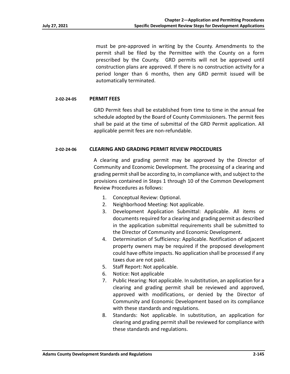must be pre‐approved in writing by the County. Amendments to the permit shall be filed by the Permittee with the County on a form prescribed by the County. GRD permits will not be approved until construction plans are approved. If there is no construction activity for a period longer than 6 months, then any GRD permit issued will be automatically terminated.

# **2‐02‐24‐05 PERMIT FEES**

 GRD Permit fees shall be established from time to time in the annual fee schedule adopted by the Board of County Commissioners. The permit fees shall be paid at the time of submittal of the GRD Permit application. All applicable permit fees are non‐refundable.

# **2‐02‐24‐06 CLEARING AND GRADING PERMIT REVIEW PROCEDURES**

 A clearing and grading permit may be approved by the Director of Community and Economic Development. The processing of a clearing and grading permit shall be according to, in compliance with, and subject to the provisions contained in Steps 1 through 10 of the Common Development Review Procedures as follows:

- 1. Conceptual Review: Optional.
- 2. Neighborhood Meeting: Not applicable.
- 3. Development Application Submittal: Applicable. All items or documents required for a clearing and grading permit as described in the application submittal requirements shall be submitted to the Director of Community and Economic Development.
- 4. Determination of Sufficiency: Applicable. Notification of adjacent property owners may be required if the proposed development could have offsite impacts. No application shall be processed if any taxes due are not paid.
- 5. Staff Report: Not applicable.
- 6. Notice: Not applicable
- 7. Public Hearing: Not applicable. In substitution, an application for a clearing and grading permit shall be reviewed and approved, approved with modifications, or denied by the Director of Community and Economic Development based on its compliance with these standards and regulations.
- 8. Standards: Not applicable. In substitution, an application for clearing and grading permit shall be reviewed for compliance with these standards and regulations.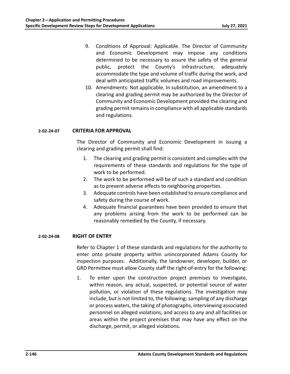- 9. Conditions of Approval: Applicable. The Director of Community and Economic Development may impose any conditions determined to be necessary to assure the safety of the general public, protect the County's infrastructure, adequately accommodate the type and volume of traffic during the work, and deal with anticipated traffic volumes and road improvements.
- 10. Amendments: Not applicable. In substitution, an amendment to a clearing and grading permit may be authorized by the Director of Community and Economic Development provided the clearing and grading permit remains in compliance with all applicable standards and regulations.

## **2‐02‐24‐07 CRITERIA FOR APPROVAL**

 The Director of Community and Economic Development in issuing a clearing and grading permit shall find:

- 1. The clearing and grading permit is consistent and complies with the requirements of these standards and regulations for the type of work to be performed.
- 2. The work to be performed will be of such a standard and condition as to prevent adverse effects to neighboring properties.
- 3. Adequate controls have been established to ensure compliance and safety during the course of work.
- 4. Adequate financial guarantees have been provided to ensure that any problems arising from the work to be performed can be reasonably remedied by the County, if necessary.

## **2‐02‐24‐08 RIGHT OF ENTRY**

 Refer to Chapter 1 of these standards and regulations for the authority to enter onto private property within unincorporated Adams County for inspection purposes. Additionally, the landowner, developer, builder, or GRD Permittee must allow County staff the right‐of‐entry for the following:

1. To enter upon the construction project premises to investigate, within reason, any actual, suspected, or potential source of water pollution, or violation of these regulations. The investigation may include, but is not limited to, the following: sampling of any discharge or process waters, the taking of photographs, interviewing associated personnel on alleged violations, and access to any and all facilities or areas within the project premises that may have any effect on the discharge, permit, or alleged violations.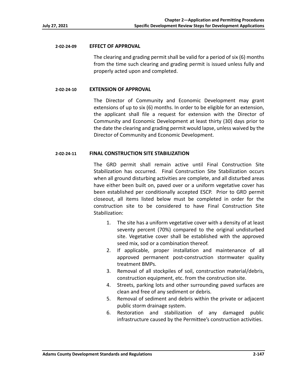#### **2‐02‐24‐09 EFFECT OF APPROVAL**

 The clearing and grading permit shall be valid for a period of six (6) months from the time such clearing and grading permit is issued unless fully and properly acted upon and completed.

## **2‐02‐24‐10 EXTENSION OF APPROVAL**

 The Director of Community and Economic Development may grant extensions of up to six (6) months. In order to be eligible for an extension, the applicant shall file a request for extension with the Director of Community and Economic Development at least thirty (30) days prior to the date the clearing and grading permit would lapse, unless waived by the Director of Community and Economic Development.

## **2‐02‐24‐11 FINAL CONSTRUCTION SITE STABILIZATION**

 The GRD permit shall remain active until Final Construction Site Stabilization has occurred. Final Construction Site Stabilization occurs when all ground disturbing activities are complete, and all disturbed areas have either been built on, paved over or a uniform vegetative cover has been established per conditionally accepted ESCP. Prior to GRD permit closeout, all items listed below must be completed in order for the construction site to be considered to have Final Construction Site Stabilization:

- 1. The site has a uniform vegetative cover with a density of at least seventy percent (70%) compared to the original undisturbed site. Vegetative cover shall be established with the approved seed mix, sod or a combination thereof.
- 2. If applicable, proper installation and maintenance of all approved permanent post-construction stormwater quality treatment BMPs.
- 3. Removal of all stockpiles of soil, construction material/debris, construction equipment, etc. from the construction site.
- 4. Streets, parking lots and other surrounding paved surfaces are clean and free of any sediment or debris.
- 5. Removal of sediment and debris within the private or adjacent public storm drainage system.
- 6. Restoration and stabilization of any damaged public infrastructure caused by the Permittee's construction activities.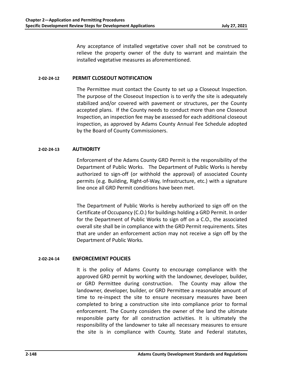Any acceptance of installed vegetative cover shall not be construed to relieve the property owner of the duty to warrant and maintain the installed vegetative measures as aforementioned.

## **2‐02‐24‐12 PERMIT CLOSEOUT NOTIFICATION**

 The Permittee must contact the County to set up a Closeout Inspection. The purpose of the Closeout Inspection is to verify the site is adequately stabilized and/or covered with pavement or structures, per the County accepted plans. If the County needs to conduct more than one Closeout Inspection, an inspection fee may be assessed for each additional closeout inspection, as approved by Adams County Annual Fee Schedule adopted by the Board of County Commissioners.

## **2‐02‐24‐13 AUTHORITY**

 Enforcement of the Adams County GRD Permit is the responsibility of the Department of Public Works. The Department of Public Works is hereby authorized to sign-off (or withhold the approval) of associated County permits (e.g. Building, Right‐of‐Way, Infrastructure, etc.) with a signature line once all GRD Permit conditions have been met.

 The Department of Public Works is hereby authorized to sign off on the Certificate of Occupancy (C.O.) for buildings holding a GRD Permit. In order for the Department of Public Works to sign off on a C.O., the associated overall site shall be in compliance with the GRD Permit requirements. Sites that are under an enforcement action may not receive a sign off by the Department of Public Works.

## **2‐02‐24‐14 ENFORCEMENT POLICIES**

 It is the policy of Adams County to encourage compliance with the approved GRD permit by working with the landowner, developer, builder, or GRD Permittee during construction. The County may allow the landowner, developer, builder, or GRD Permittee a reasonable amount of time to re-inspect the site to ensure necessary measures have been completed to bring a construction site into compliance prior to formal enforcement. The County considers the owner of the land the ultimate responsible party for all construction activities. It is ultimately the responsibility of the landowner to take all necessary measures to ensure the site is in compliance with County, State and Federal statutes,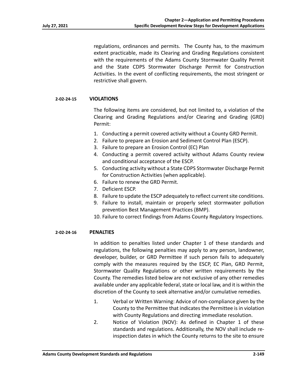regulations, ordinances and permits. The County has, to the maximum extent practicable, made its Clearing and Grading Regulations consistent with the requirements of the Adams County Stormwater Quality Permit and the State CDPS Stormwater Discharge Permit for Construction Activities. In the event of conflicting requirements, the most stringent or restrictive shall govern.

#### **2‐02‐24‐15 VIOLATIONS**

 The following items are considered, but not limited to, a violation of the Clearing and Grading Regulations and/or Clearing and Grading (GRD) Permit:

- 1. Conducting a permit covered activity without a County GRD Permit.
- 2. Failure to prepare an Erosion and Sediment Control Plan (ESCP).
- 3. Failure to prepare an Erosion Control (EC) Plan
- 4. Conducting a permit covered activity without Adams County review and conditional acceptance of the ESCP.
- 5. Conducting activity without a State CDPS Stormwater Discharge Permit for Construction Activities (when applicable).
- 6. Failure to renew the GRD Permit.
- 7. Deficient ESCP.
- 8. Failure to update the ESCP adequately to reflect current site conditions.
- 9. Failure to install, maintain or properly select stormwater pollution prevention Best Management Practices (BMP).
- 10. Failure to correct findings from Adams County Regulatory Inspections.

#### **2‐02‐24‐16 PENALTIES**

 In addition to penalties listed under Chapter 1 of these standards and regulations, the following penalties may apply to any person, landowner, developer, builder, or GRD Permittee if such person fails to adequately comply with the measures required by the ESCP, EC Plan, GRD Permit, Stormwater Quality Regulations or other written requirements by the County. The remedies listed below are not exclusive of any other remedies available under any applicable federal, state or local law, and it is within the discretion of the County to seek alternative and/or cumulative remedies.

- 1. Verbal or Written Warning: Advice of non‐compliance given by the County to the Permittee that indicates the Permittee is in violation with County Regulations and directing immediate resolution.
- 2. Notice of Violation (NOV): As defined in Chapter 1 of these standards and regulations. Additionally, the NOV shall include re‐ inspection dates in which the County returns to the site to ensure